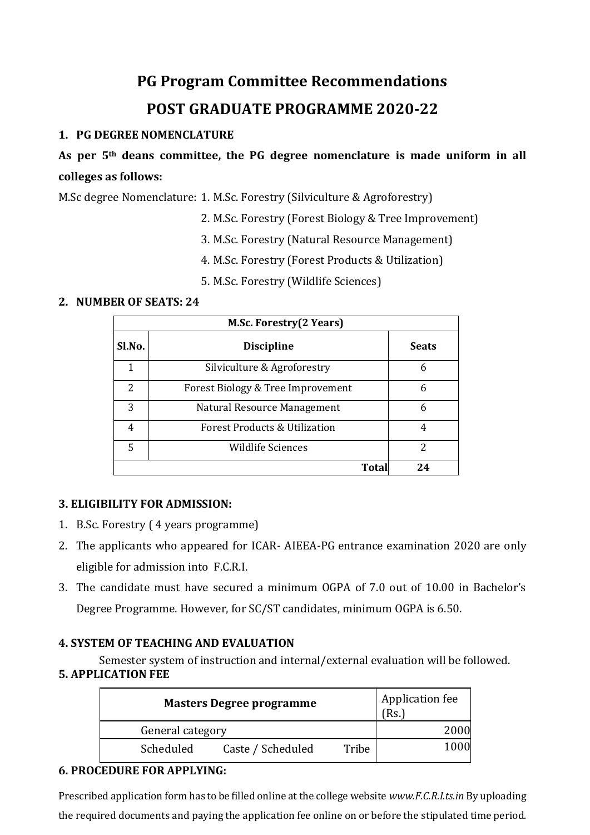# **PG Program Committee Recommendations POST GRADUATE PROGRAMME 2020-22**

## **1. PG DEGREE NOMENCLATURE**

# **As per 5th deans committee, the PG degree nomenclature is made uniform in all colleges as follows:**

M.Sc degree Nomenclature: 1. M.Sc. Forestry (Silviculture & Agroforestry)

- 2. M.Sc. Forestry (Forest Biology & Tree Improvement)
- 3. M.Sc. Forestry (Natural Resource Management)
- 4. M.Sc. Forestry (Forest Products & Utilization)
- 5. M.Sc. Forestry (Wildlife Sciences)

## **2. NUMBER OF SEATS: 24**

|               | M.Sc. Forestry(2 Years)                  |              |  |  |
|---------------|------------------------------------------|--------------|--|--|
| Sl.No.        | <b>Discipline</b>                        | <b>Seats</b> |  |  |
|               | Silviculture & Agroforestry              | 6            |  |  |
| $\mathcal{P}$ | Forest Biology & Tree Improvement        | 6            |  |  |
| 3             | Natural Resource Management              | 6            |  |  |
| 4             | <b>Forest Products &amp; Utilization</b> | 4            |  |  |
| 5             | <b>Wildlife Sciences</b>                 | 2            |  |  |
|               | <b>Total</b>                             |              |  |  |

## **3. ELIGIBILITY FOR ADMISSION:**

- 1. B.Sc. Forestry ( 4 years programme)
- 2. The applicants who appeared for ICAR- AIEEA-PG entrance examination 2020 are only eligible for admission into F.C.R.I.
- 3. The candidate must have secured a minimum OGPA of 7.0 out of 10.00 in Bachelor's Degree Programme. However, for SC/ST candidates, minimum OGPA is 6.50.

## **4. SYSTEM OF TEACHING AND EVALUATION**

Semester system of instruction and internal/external evaluation will be followed. **5. APPLICATION FEE**

| <b>Masters Degree programme</b> | Application fee<br>Rs. |       |      |
|---------------------------------|------------------------|-------|------|
| General category                |                        |       | 2000 |
| Scheduled                       | Caste / Scheduled      | Tribe | 1000 |

## **6. PROCEDURE FOR APPLYING:**

Prescribed application form has to be filled online at the college website *www.F.C.R.I.ts.in* By uploading the required documents and paying the application fee online on or before the stipulated time period.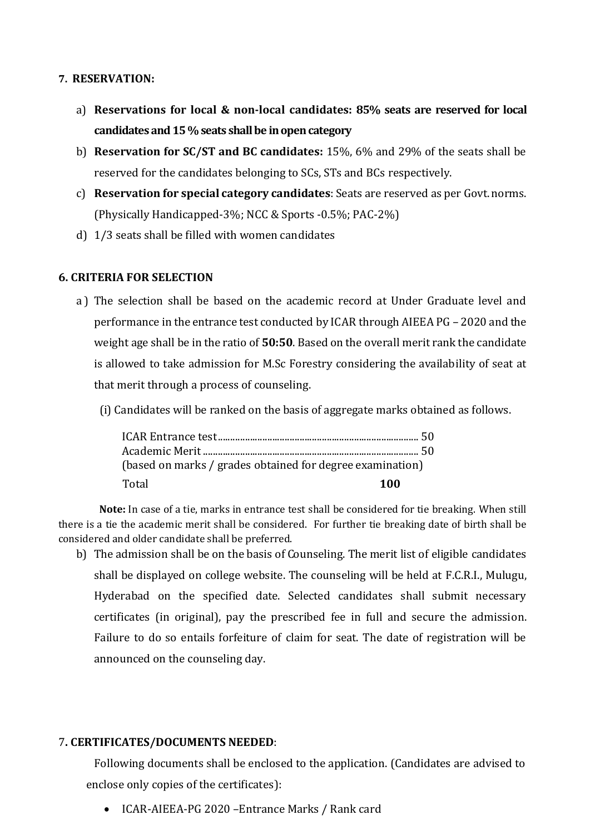## **7. RESERVATION:**

- a) **Reservations for local & non-local candidates: 85% seats are reserved for local candidates and 15 % seats shall be in open category**
- b) **Reservation for SC/ST and BC candidates:** 15%, 6% and 29% of the seats shall be reserved for the candidates belonging to SCs, STs and BCs respectively.
- c) **Reservation for special category candidates**: Seats are reserved as per Govt.norms. (Physically Handicapped-3%; NCC & Sports -0.5%; PAC-2%)
- d) 1/3 seats shall be filled with women candidates

#### **6. CRITERIA FOR SELECTION**

- a ) The selection shall be based on the academic record at Under Graduate level and performance in the entrance test conducted by ICAR through AIEEA PG – 2020 and the weight age shall be in the ratio of **50:50**. Based on the overall merit rank the candidate is allowed to take admission for M.Sc Forestry considering the availability of seat at that merit through a process of counseling.
	- (i) Candidates will be ranked on the basis of aggregate marks obtained as follows.

| (based on marks / grades obtained for degree examination) |      |
|-----------------------------------------------------------|------|
| Total                                                     | -100 |

**Note:** In case of a tie, marks in entrance test shall be considered for tie breaking. When still there is a tie the academic merit shall be considered. For further tie breaking date of birth shall be considered and older candidate shall be preferred.

b) The admission shall be on the basis of Counseling. The merit list of eligible candidates shall be displayed on college website. The counseling will be held at F.C.R.I., Mulugu, Hyderabad on the specified date. Selected candidates shall submit necessary certificates (in original), pay the prescribed fee in full and secure the admission. Failure to do so entails forfeiture of claim for seat. The date of registration will be announced on the counseling day.

#### 7**. CERTIFICATES/DOCUMENTS NEEDED**:

Following documents shall be enclosed to the application. (Candidates are advised to enclose only copies of the certificates):

• ICAR-AIEEA-PG 2020 –Entrance Marks / Rank card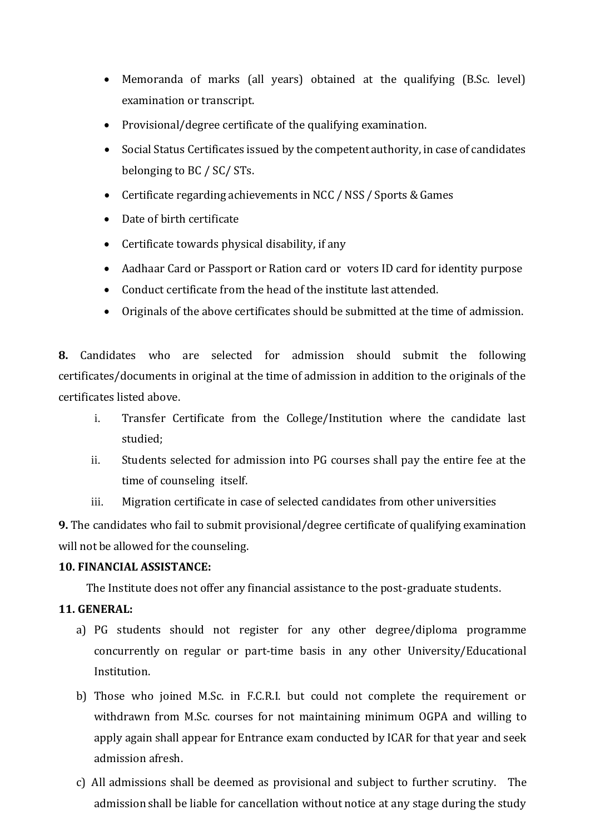- Memoranda of marks (all years) obtained at the qualifying (B.Sc. level) examination or transcript.
- Provisional/degree certificate of the qualifying examination.
- Social Status Certificates issued by the competent authority, in case of candidates belonging to BC / SC/ STs.
- Certificate regarding achievements in NCC / NSS/Sports & Games
- Date of birth certificate
- Certificate towards physical disability, if any
- Aadhaar Card or Passport or Ration card or voters ID card for identity purpose
- Conduct certificate from the head of the institute last attended.
- Originals of the above certificates should be submitted at the time of admission.

**8.** Candidates who are selected for admission should submit the following certificates/documents in original at the time of admission in addition to the originals of the certificates listed above.

- i. Transfer Certificate from the College/Institution where the candidate last studied;
- ii. Students selected for admission into PG courses shall pay the entire fee at the time of counseling itself.
- iii. Migration certificate in case of selected candidates from other universities

**9.** The candidates who fail to submit provisional/degree certificate of qualifying examination will not be allowed for the counseling.

## **10. FINANCIAL ASSISTANCE:**

The Institute does not offer any financial assistance to the post-graduate students.

## **11. GENERAL:**

- a) PG students should not register for any other degree/diploma programme concurrently on regular or part-time basis in any other University/Educational Institution.
- b) Those who joined M.Sc. in F.C.R.I. but could not complete the requirement or withdrawn from M.Sc. courses for not maintaining minimum OGPA and willing to apply again shall appear for Entrance exam conducted by ICAR for that year and seek admission afresh.
- c) All admissions shall be deemed as provisional and subject to further scrutiny. The admission shall be liable for cancellation without notice at any stage during the study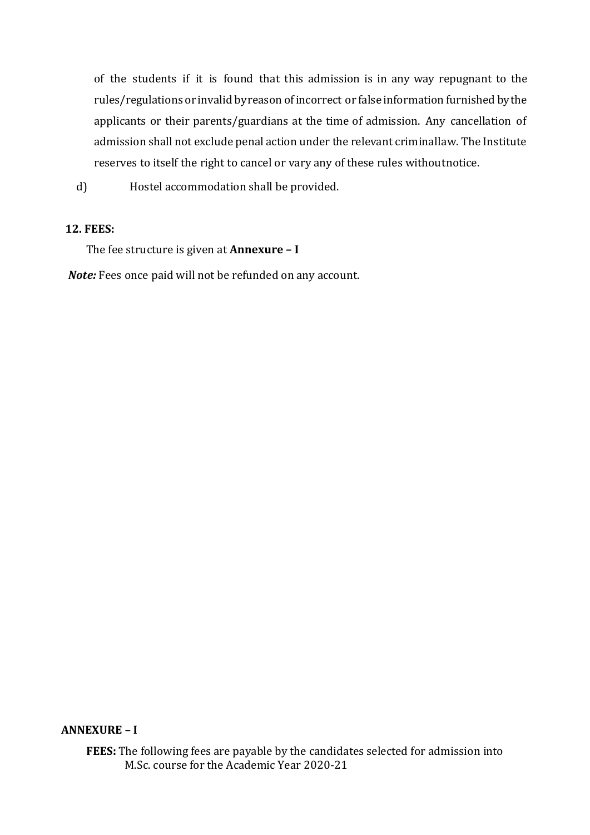of the students if it is found that this admission is in any way repugnant to the rules/regulations or invalid by reason of incorrect or false information furnished by the applicants or their parents/guardians at the time of admission. Any cancellation of admission shall not exclude penal action under the relevant criminallaw. The Institute reserves to itself the right to cancel or vary any of these rules without notice.

d) Hostel accommodation shall be provided.

#### **12. FEES:**

The fee structure is given at **Annexure – I**

*Note:* Fees once paid will not be refunded on any account.

#### **ANNEXURE – I**

**FEES:** The following fees are payable by the candidates selected for admission into M.Sc. course for the Academic Year 2020-21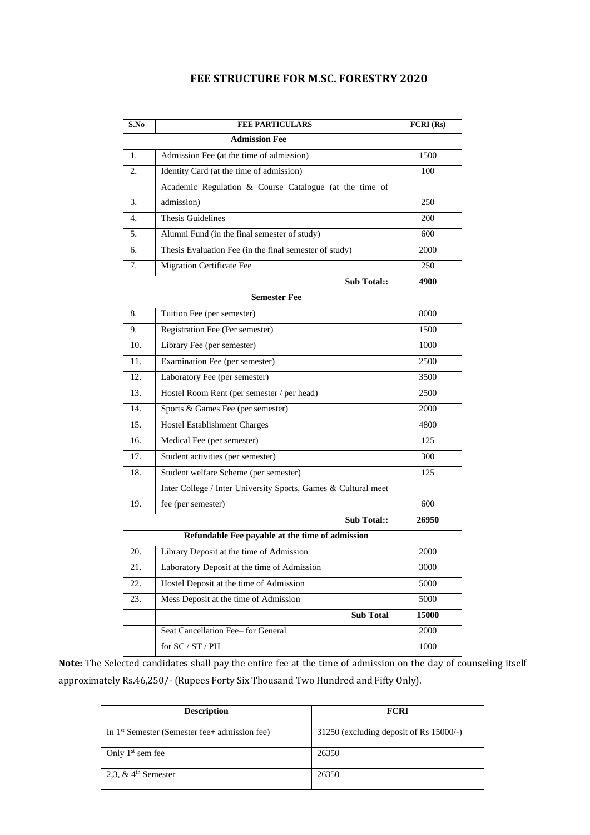| S.No | <b>FEE PARTICULARS</b>                                         | FCRI (Rs) |
|------|----------------------------------------------------------------|-----------|
|      | <b>Admission Fee</b>                                           |           |
| 1.   | Admission Fee (at the time of admission)                       | 1500      |
| 2.   | Identity Card (at the time of admission)                       | 100       |
|      | Academic Regulation & Course Catalogue (at the time of         |           |
| 3.   | admission)                                                     | 250       |
| 4.   | <b>Thesis Guidelines</b>                                       | 200       |
| 5.   | Alumni Fund (in the final semester of study)                   | 600       |
| б.   | Thesis Evaluation Fee (in the final semester of study)         | 2000      |
| 7.   | Migration Certificate Fee                                      | 250       |
|      | <b>Sub Total::</b>                                             | 4900      |
|      | <b>Semester Fee</b>                                            |           |
| 8.   | Tuition Fee (per semester)                                     | 8000      |
| 9.   | Registration Fee (Per semester)                                | 1500      |
| 10.  | Library Fee (per semester)                                     | 1000      |
| 11.  | Examination Fee (per semester)                                 | 2500      |
| 12.  | Laboratory Fee (per semester)                                  | 3500      |
| 13.  | Hostel Room Rent (per semester / per head)                     | 2500      |
| 14.  | Sports & Games Fee (per semester)                              | 2000      |
| 15.  | <b>Hostel Establishment Charges</b>                            | 4800      |
| 16.  | Medical Fee (per semester)                                     | 125       |
| 17.  | Student activities (per semester)                              | 300       |
| 18.  | Student welfare Scheme (per semester)                          | 125       |
|      | Inter College / Inter University Sports, Games & Cultural meet |           |
| 19.  | fee (per semester)                                             | 600       |
|      | <b>Sub Total::</b>                                             | 26950     |
|      |                                                                |           |
| 20.  | Library Deposit at the time of Admission                       | 2000      |
| 21.  | Laboratory Deposit at the time of Admission                    | 3000      |
| 22.  | Hostel Deposit at the time of Admission                        | 5000      |
| 23.  | Mess Deposit at the time of Admission                          | 5000      |
|      | <b>Sub Total</b>                                               | 15000     |
|      | Seat Cancellation Fee- for General                             | 2000      |
|      | for $SC / ST / PH$                                             | 1000      |

## **FEE STRUCTURE FOR M.SC. FORESTRY 2020**

**Note:** The Selected candidates shall pay the entire fee at the time of admission on the day of counseling itself approximately Rs.46,250/- (Rupees Forty Six Thousand Two Hundred and Fifty Only).

| <b>Description</b>                              | <b>FCRI</b>                             |
|-------------------------------------------------|-----------------------------------------|
| In $1st$ Semester (Semester fee+ admission fee) | 31250 (excluding deposit of Rs 15000/-) |
| Only $1st$ sem fee                              | 26350                                   |
| 2,3, $\&$ 4 <sup>th</sup> Semester              | 26350                                   |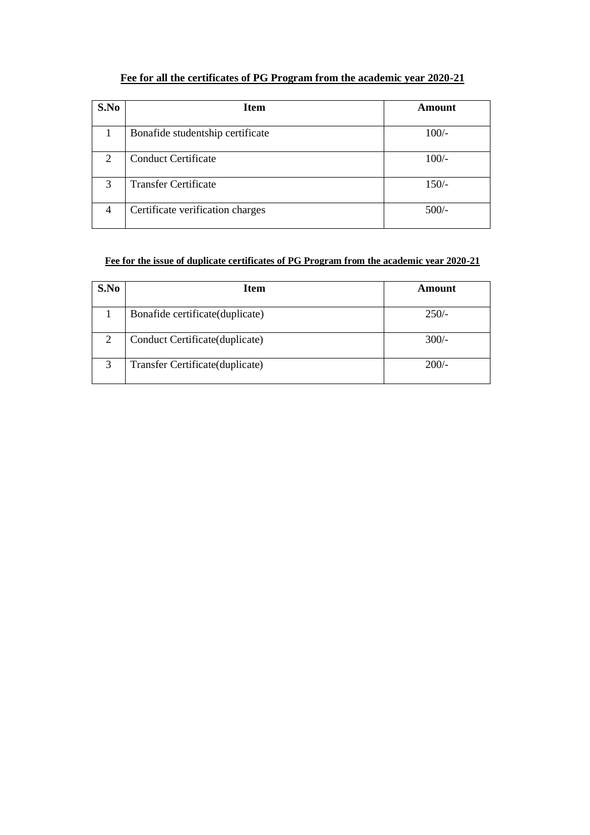## **Fee for all the certificates of PG Program from the academic year 2020-21**

| S.No           | <b>Item</b>                      | Amount  |
|----------------|----------------------------------|---------|
|                |                                  |         |
|                | Bonafide studentship certificate | $100/-$ |
| 2              | <b>Conduct Certificate</b>       | $100/-$ |
| 3              | <b>Transfer Certificate</b>      | $150/-$ |
| $\overline{4}$ | Certificate verification charges | $500/-$ |

#### **Fee for the issue of duplicate certificates of PG Program from the academic year 2020-21**

| S.No              | <b>Item</b>                     | Amount  |
|-------------------|---------------------------------|---------|
|                   | Bonafide certificate(duplicate) | $250/-$ |
| $\mathcal{D}$     | Conduct Certificate (duplicate) | $300/-$ |
| $\mathbf{\Omega}$ | Transfer Certificate(duplicate) | $200/-$ |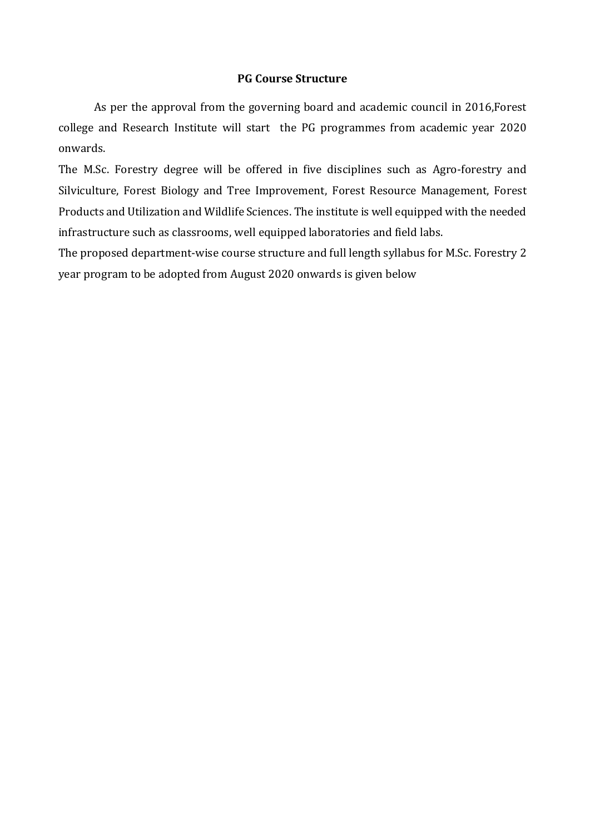#### **PG Course Structure**

As per the approval from the governing board and academic council in 2016,Forest college and Research Institute will start the PG programmes from academic year 2020 onwards.

The M.Sc. Forestry degree will be offered in five disciplines such as Agro-forestry and Silviculture, Forest Biology and Tree Improvement, Forest Resource Management, Forest Products and Utilization and Wildlife Sciences. The institute is well equipped with the needed infrastructure such as classrooms, well equipped laboratories and field labs.

The proposed department-wise course structure and full length syllabus for M.Sc. Forestry 2 year program to be adopted from August 2020 onwards is given below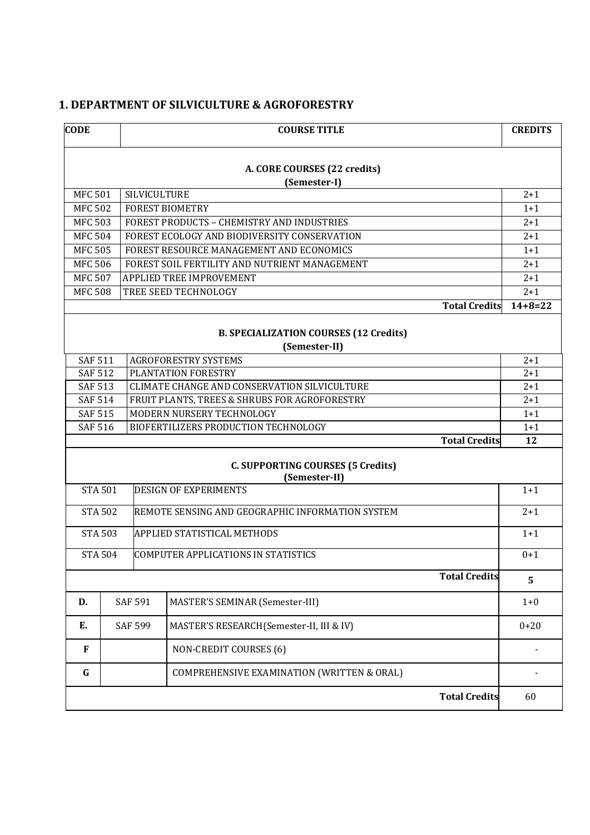## **1. DEPARTMENT OF SILVICULTURE & AGROFORESTRY**

| <b>CODE</b>                                           |                |                | <b>COURSE TITLE</b>                                            |                      | <b>CREDITS</b> |
|-------------------------------------------------------|----------------|----------------|----------------------------------------------------------------|----------------------|----------------|
|                                                       |                |                |                                                                |                      |                |
|                                                       |                |                | A. CORE COURSES (22 credits)<br>(Semester-I)                   |                      |                |
| <b>MFC 501</b>                                        |                | SILVICULTURE   |                                                                |                      | $2 + 1$        |
| <b>MFC 502</b>                                        |                |                | <b>FOREST BIOMETRY</b>                                         |                      | $1 + 1$        |
| <b>MFC 503</b>                                        |                |                | FOREST PRODUCTS - CHEMISTRY AND INDUSTRIES                     |                      | $2 + 1$        |
| <b>MFC 504</b>                                        |                |                | FOREST ECOLOGY AND BIODIVERSITY CONSERVATION                   |                      | $2 + 1$        |
| <b>MFC 505</b>                                        |                |                | FOREST RESOURCE MANAGEMENT AND ECONOMICS                       |                      | $1+1$          |
| <b>MFC 506</b>                                        |                |                | FOREST SOIL FERTILITY AND NUTRIENT MANAGEMENT                  |                      | $2 + 1$        |
| <b>MFC 507</b>                                        |                |                | APPLIED TREE IMPROVEMENT                                       |                      | $2 + 1$        |
| <b>MFC 508</b>                                        |                |                | TREE SEED TECHNOLOGY                                           |                      | $2 + 1$        |
|                                                       |                |                |                                                                | <b>Total Credits</b> | $14+8=22$      |
|                                                       |                |                |                                                                |                      |                |
|                                                       |                |                | <b>B. SPECIALIZATION COURSES (12 Credits)</b><br>(Semester-II) |                      |                |
| <b>SAF 511</b>                                        |                |                | <b>AGROFORESTRY SYSTEMS</b>                                    |                      | $2 + 1$        |
| <b>SAF 512</b>                                        |                |                | PLANTATION FORESTRY                                            |                      | $2 + 1$        |
| <b>SAF 513</b>                                        |                |                | CLIMATE CHANGE AND CONSERVATION SILVICULTURE                   |                      | $2 + 1$        |
| <b>SAF 514</b>                                        |                |                | FRUIT PLANTS, TREES & SHRUBS FOR AGROFORESTRY                  |                      | $2 + 1$        |
| <b>SAF 515</b>                                        |                |                | MODERN NURSERY TECHNOLOGY                                      |                      | $1+1$          |
| <b>SAF 516</b>                                        |                |                | BIOFERTILIZERS PRODUCTION TECHNOLOGY                           |                      | $1+1$          |
|                                                       |                |                |                                                                | <b>Total Credits</b> | 12             |
|                                                       |                |                | <b>C. SUPPORTING COURSES (5 Credits)</b><br>(Semester-II)      |                      |                |
| <b>STA 501</b>                                        |                |                | <b>DESIGN OF EXPERIMENTS</b>                                   |                      | $1 + 1$        |
|                                                       | <b>STA 502</b> |                | REMOTE SENSING AND GEOGRAPHIC INFORMATION SYSTEM               |                      | $2 + 1$        |
| <b>STA 503</b>                                        |                |                | <b>APPLIED STATISTICAL METHODS</b>                             |                      | $1+1$          |
| <b>STA 504</b><br>COMPUTER APPLICATIONS IN STATISTICS |                |                |                                                                | $0 + 1$              |                |
|                                                       |                |                |                                                                | <b>Total Credits</b> | 5              |
| D.                                                    |                | <b>SAF 591</b> | MASTER'S SEMINAR (Semester-III)                                |                      | $1 + 0$        |
| Е.                                                    |                | <b>SAF 599</b> | MASTER'S RESEARCH(Semester-II, III & IV)                       |                      | $0 + 20$       |
| $\boldsymbol{\mathrm{F}}$                             |                |                | <b>NON-CREDIT COURSES (6)</b>                                  |                      |                |
| $\mathbf G$                                           |                |                | COMPREHENSIVE EXAMINATION (WRITTEN & ORAL)                     |                      |                |
|                                                       |                |                |                                                                | <b>Total Credits</b> | 60             |
|                                                       |                |                |                                                                |                      |                |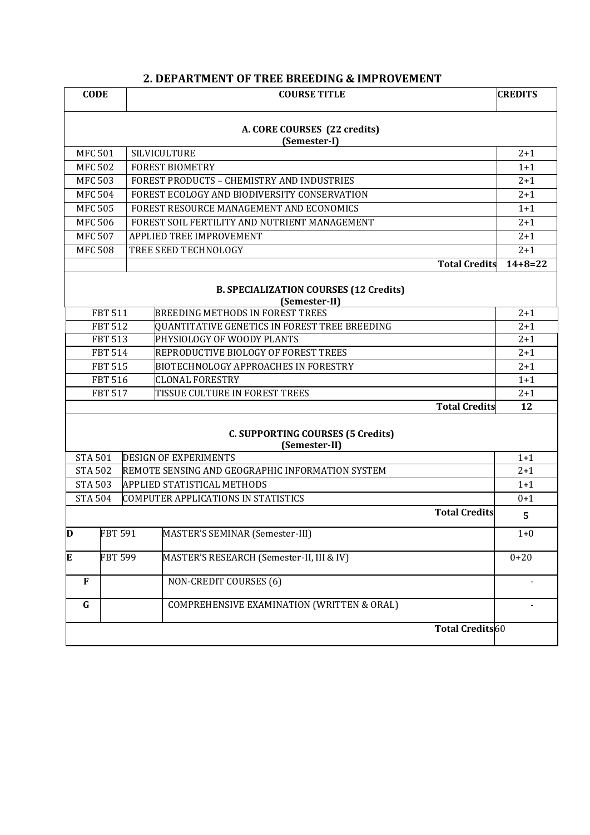## **2. DEPARTMENT OF TREE BREEDING & IMPROVEMENT**

| <b>CODE</b>                                           |                                                                          |         | <b>COURSE TITLE</b>                                            |                         | <b>CREDITS</b>   |  |
|-------------------------------------------------------|--------------------------------------------------------------------------|---------|----------------------------------------------------------------|-------------------------|------------------|--|
|                                                       | A. CORE COURSES (22 credits)<br>(Semester-I)                             |         |                                                                |                         |                  |  |
| <b>MFC 501</b>                                        |                                                                          |         | <b>SILVICULTURE</b>                                            |                         | $2 + 1$          |  |
|                                                       | <b>FOREST BIOMETRY</b><br><b>MFC 502</b>                                 |         |                                                                | $1 + 1$                 |                  |  |
| <b>MFC 503</b>                                        |                                                                          |         | FOREST PRODUCTS - CHEMISTRY AND INDUSTRIES                     |                         | $2 + 1$          |  |
| <b>MFC 504</b>                                        |                                                                          |         | FOREST ECOLOGY AND BIODIVERSITY CONSERVATION                   |                         | $2 + 1$          |  |
| <b>MFC 505</b>                                        |                                                                          |         | FOREST RESOURCE MANAGEMENT AND ECONOMICS                       |                         | $1 + 1$          |  |
| <b>MFC 506</b>                                        |                                                                          |         | FOREST SOIL FERTILITY AND NUTRIENT MANAGEMENT                  |                         | $2 + 1$          |  |
| <b>MFC 507</b>                                        |                                                                          |         | APPLIED TREE IMPROVEMENT                                       |                         | $2 + 1$          |  |
| <b>MFC 508</b>                                        |                                                                          |         | TREE SEED TECHNOLOGY                                           |                         | $2 + 1$          |  |
|                                                       |                                                                          |         |                                                                | <b>Total Credits</b>    | $14+8=22$        |  |
|                                                       |                                                                          |         | <b>B. SPECIALIZATION COURSES (12 Credits)</b><br>(Semester-II) |                         |                  |  |
|                                                       | <b>FBT 511</b>                                                           |         | <b>BREEDING METHODS IN FOREST TREES</b>                        |                         | $2 + 1$          |  |
|                                                       | <b>FBT 512</b>                                                           |         | QUANTITATIVE GENETICS IN FOREST TREE BREEDING                  |                         | $2 + 1$          |  |
|                                                       | <b>FBT 513</b>                                                           |         | PHYSIOLOGY OF WOODY PLANTS                                     |                         | $2 + 1$          |  |
|                                                       | <b>FBT 514</b><br>REPRODUCTIVE BIOLOGY OF FOREST TREES<br><b>FBT 515</b> |         |                                                                | $2 + 1$                 |                  |  |
|                                                       |                                                                          |         | BIOTECHNOLOGY APPROACHES IN FORESTRY                           |                         | $2 + 1$          |  |
|                                                       | <b>FBT 516</b><br><b>FBT 517</b>                                         |         | <b>CLONAL FORESTRY</b><br>TISSUE CULTURE IN FOREST TREES       |                         | $1+1$<br>$2 + 1$ |  |
|                                                       |                                                                          |         |                                                                | <b>Total Credits</b>    | 12               |  |
|                                                       |                                                                          |         | <b>C. SUPPORTING COURSES (5 Credits)</b><br>(Semester-II)      |                         |                  |  |
| <b>STA 501</b>                                        |                                                                          |         | <b>DESIGN OF EXPERIMENTS</b>                                   |                         | $1 + 1$          |  |
| <b>STA 502</b>                                        |                                                                          |         | REMOTE SENSING AND GEOGRAPHIC INFORMATION SYSTEM               |                         | $2 + 1$          |  |
| <b>STA 503</b>                                        |                                                                          |         | <b>APPLIED STATISTICAL METHODS</b>                             |                         | $1 + 1$          |  |
| <b>STA 504</b><br>COMPUTER APPLICATIONS IN STATISTICS |                                                                          | $0 + 1$ |                                                                |                         |                  |  |
|                                                       | <b>Total Credits</b><br>5                                                |         |                                                                |                         |                  |  |
| D                                                     | <b>FBT 591</b>                                                           |         | MASTER'S SEMINAR (Semester-III)                                |                         | $1 + 0$          |  |
| E                                                     | <b>FBT 599</b>                                                           |         | MASTER'S RESEARCH (Semester-II, III & IV)                      |                         | $0 + 20$         |  |
| F                                                     |                                                                          |         | <b>NON-CREDIT COURSES (6)</b>                                  |                         |                  |  |
| G                                                     |                                                                          |         | COMPREHENSIVE EXAMINATION (WRITTEN & ORAL)                     |                         |                  |  |
|                                                       |                                                                          |         |                                                                | <b>Total Credits</b> 60 |                  |  |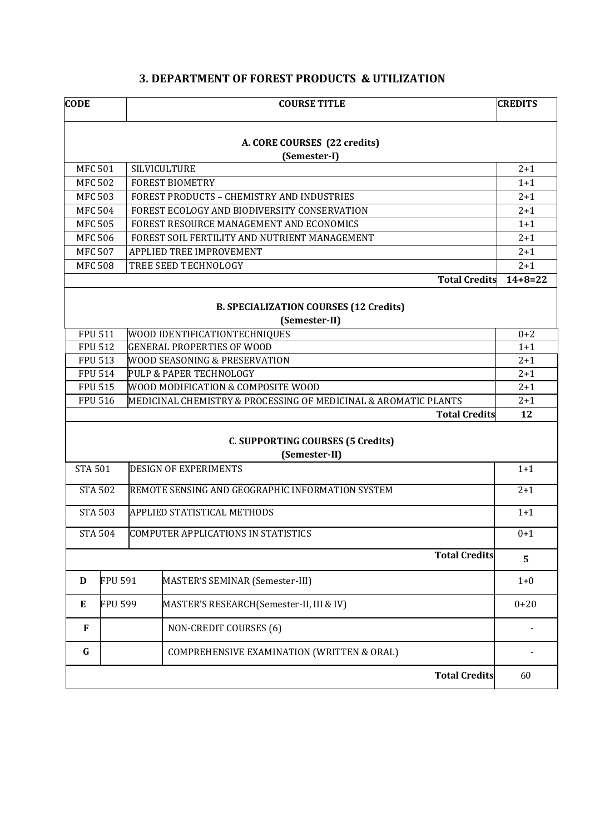# **3. DEPARTMENT OF FOREST PRODUCTS & UTILIZATION**

| <b>CODE</b>                      |                                        | <b>COURSE TITLE</b>                                                | <b>CREDITS</b>   |
|----------------------------------|----------------------------------------|--------------------------------------------------------------------|------------------|
|                                  |                                        | A. CORE COURSES (22 credits)                                       |                  |
|                                  |                                        | (Semester-I)                                                       |                  |
| <b>MFC 501</b>                   |                                        | <b>SILVICULTURE</b>                                                | $2 + 1$          |
| <b>MFC 502</b>                   |                                        | <b>FOREST BIOMETRY</b>                                             | $1 + 1$          |
| <b>MFC 503</b>                   |                                        | FOREST PRODUCTS - CHEMISTRY AND INDUSTRIES                         | $2 + 1$          |
| <b>MFC 504</b>                   |                                        | FOREST ECOLOGY AND BIODIVERSITY CONSERVATION                       | $2 + 1$          |
| <b>MFC 505</b>                   |                                        | FOREST RESOURCE MANAGEMENT AND ECONOMICS                           | $1 + 1$          |
| <b>MFC 506</b>                   |                                        | FOREST SOIL FERTILITY AND NUTRIENT MANAGEMENT                      | $2 + 1$          |
| <b>MFC 507</b>                   |                                        | <b>APPLIED TREE IMPROVEMENT</b>                                    | $2 + 1$          |
| <b>MFC 508</b>                   |                                        | TREE SEED TECHNOLOGY                                               | $2 + 1$          |
|                                  |                                        | <b>Total Credits</b>                                               | $14+8=22$        |
|                                  |                                        |                                                                    |                  |
|                                  |                                        | <b>B. SPECIALIZATION COURSES (12 Credits)</b>                      |                  |
|                                  |                                        | (Semester-II)                                                      |                  |
| <b>FPU 511</b>                   |                                        | WOOD IDENTIFICATIONTECHNIQUES                                      | $0+2$            |
| <b>FPU 512</b><br><b>FPU 513</b> |                                        | <b>GENERAL PROPERTIES OF WOOD</b><br>WOOD SEASONING & PRESERVATION | $1+1$<br>$2 + 1$ |
|                                  | <b>FPU 514</b>                         | PULP & PAPER TECHNOLOGY                                            | $2 + 1$          |
| <b>FPU 515</b>                   |                                        | WOOD MODIFICATION & COMPOSITE WOOD                                 | $2 + 1$          |
|                                  |                                        | MEDICINAL CHEMISTRY & PROCESSING OF MEDICINAL & AROMATIC PLANTS    | $2 + 1$          |
|                                  | <b>FPU 516</b><br><b>Total Credits</b> |                                                                    |                  |
|                                  |                                        |                                                                    |                  |
|                                  |                                        | <b>C. SUPPORTING COURSES (5 Credits)</b>                           |                  |
|                                  |                                        | (Semester-II)                                                      |                  |
| <b>STA 501</b>                   |                                        | <b>DESIGN OF EXPERIMENTS</b>                                       | $1 + 1$          |
|                                  |                                        |                                                                    |                  |
|                                  | <b>STA 502</b>                         | REMOTE SENSING AND GEOGRAPHIC INFORMATION SYSTEM                   | $2 + 1$          |
|                                  | <b>STA 503</b>                         | <b>APPLIED STATISTICAL METHODS</b>                                 | $1 + 1$          |
|                                  | <b>STA 504</b>                         | COMPUTER APPLICATIONS IN STATISTICS                                | $0+1$            |
|                                  |                                        |                                                                    |                  |
|                                  |                                        | <b>Total Credits</b>                                               | 5                |
| D                                | <b>FPU 591</b>                         | MASTER'S SEMINAR (Semester-III)                                    | $1 + 0$          |
| E                                | <b>FPU 599</b>                         | MASTER'S RESEARCH (Semester-II, III & IV)                          | $0 + 20$         |
| F                                |                                        | NON-CREDIT COURSES (6)                                             |                  |
| G                                |                                        | COMPREHENSIVE EXAMINATION (WRITTEN & ORAL)                         |                  |
|                                  |                                        | <b>Total Credits</b>                                               | 60               |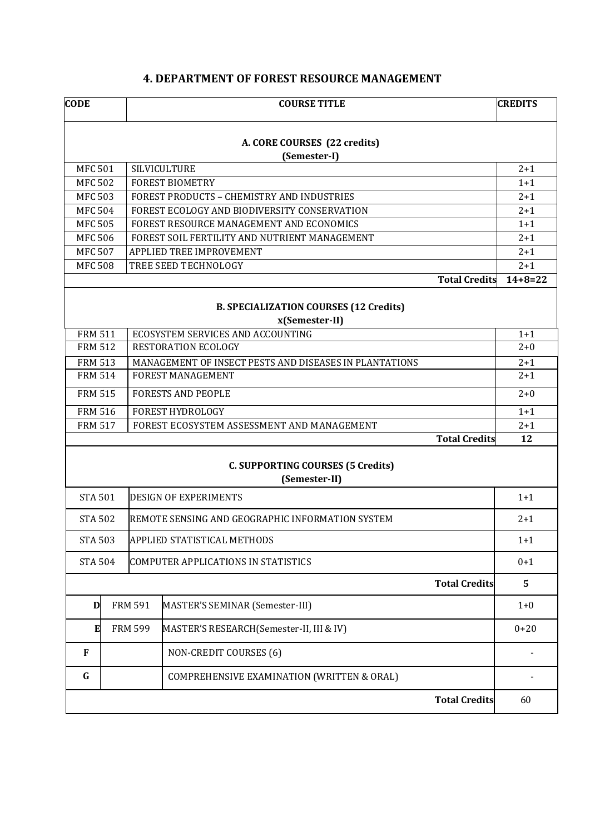## **4. DEPARTMENT OF FOREST RESOURCE MANAGEMENT**

| A. CORE COURSES (22 credits)<br>(Semester-I)<br><b>MFC 501</b><br>SILVICULTURE<br>$2 + 1$<br><b>FOREST BIOMETRY</b><br><b>MFC 502</b><br>$1 + 1$<br>FOREST PRODUCTS - CHEMISTRY AND INDUSTRIES<br>$2 + 1$<br><b>MFC 503</b><br>$2 + 1$<br><b>MFC 504</b><br>FOREST ECOLOGY AND BIODIVERSITY CONSERVATION<br><b>MFC 505</b><br>FOREST RESOURCE MANAGEMENT AND ECONOMICS<br>$1 + 1$<br>FOREST SOIL FERTILITY AND NUTRIENT MANAGEMENT<br>$2 + 1$<br><b>MFC 506</b><br><b>MFC 507</b><br>APPLIED TREE IMPROVEMENT<br>$2 + 1$<br><b>MFC 508</b><br>TREE SEED TECHNOLOGY<br><b>Total Credits</b><br><b>B. SPECIALIZATION COURSES (12 Credits)</b><br>x(Semester-II)<br><b>FRM 511</b><br>ECOSYSTEM SERVICES AND ACCOUNTING<br><b>FRM 512</b><br>RESTORATION ECOLOGY<br><b>FRM 513</b><br>MANAGEMENT OF INSECT PESTS AND DISEASES IN PLANTATIONS<br><b>FRM 514</b><br><b>FOREST MANAGEMENT</b><br><b>FRM 515</b><br><b>FORESTS AND PEOPLE</b><br><b>FRM 516</b><br><b>FOREST HYDROLOGY</b><br><b>FRM 517</b><br>FOREST ECOSYSTEM ASSESSMENT AND MANAGEMENT<br><b>Total Credits</b><br>12<br><b>C. SUPPORTING COURSES (5 Credits)</b><br>(Semester-II)<br><b>DESIGN OF EXPERIMENTS</b><br><b>STA 501</b><br>REMOTE SENSING AND GEOGRAPHIC INFORMATION SYSTEM<br><b>STA 502</b><br>APPLIED STATISTICAL METHODS<br><b>STA 503</b><br><b>STA 504</b><br>COMPUTER APPLICATIONS IN STATISTICS<br><b>Total Credits</b><br>5<br>D<br><b>FRM 591</b><br>MASTER'S SEMINAR (Semester-III)<br><b>FRM 599</b><br>E<br>MASTER'S RESEARCH(Semester-II, III & IV)<br>F<br>NON-CREDIT COURSES (6) | <b>CODE</b> |  |  | <b>COURSE TITLE</b>                        | <b>CREDITS</b> |
|---------------------------------------------------------------------------------------------------------------------------------------------------------------------------------------------------------------------------------------------------------------------------------------------------------------------------------------------------------------------------------------------------------------------------------------------------------------------------------------------------------------------------------------------------------------------------------------------------------------------------------------------------------------------------------------------------------------------------------------------------------------------------------------------------------------------------------------------------------------------------------------------------------------------------------------------------------------------------------------------------------------------------------------------------------------------------------------------------------------------------------------------------------------------------------------------------------------------------------------------------------------------------------------------------------------------------------------------------------------------------------------------------------------------------------------------------------------------------------------------------------------------------------------------------------------------------|-------------|--|--|--------------------------------------------|----------------|
|                                                                                                                                                                                                                                                                                                                                                                                                                                                                                                                                                                                                                                                                                                                                                                                                                                                                                                                                                                                                                                                                                                                                                                                                                                                                                                                                                                                                                                                                                                                                                                           |             |  |  |                                            |                |
|                                                                                                                                                                                                                                                                                                                                                                                                                                                                                                                                                                                                                                                                                                                                                                                                                                                                                                                                                                                                                                                                                                                                                                                                                                                                                                                                                                                                                                                                                                                                                                           |             |  |  |                                            |                |
|                                                                                                                                                                                                                                                                                                                                                                                                                                                                                                                                                                                                                                                                                                                                                                                                                                                                                                                                                                                                                                                                                                                                                                                                                                                                                                                                                                                                                                                                                                                                                                           |             |  |  |                                            |                |
|                                                                                                                                                                                                                                                                                                                                                                                                                                                                                                                                                                                                                                                                                                                                                                                                                                                                                                                                                                                                                                                                                                                                                                                                                                                                                                                                                                                                                                                                                                                                                                           |             |  |  |                                            |                |
|                                                                                                                                                                                                                                                                                                                                                                                                                                                                                                                                                                                                                                                                                                                                                                                                                                                                                                                                                                                                                                                                                                                                                                                                                                                                                                                                                                                                                                                                                                                                                                           |             |  |  |                                            |                |
|                                                                                                                                                                                                                                                                                                                                                                                                                                                                                                                                                                                                                                                                                                                                                                                                                                                                                                                                                                                                                                                                                                                                                                                                                                                                                                                                                                                                                                                                                                                                                                           |             |  |  |                                            |                |
|                                                                                                                                                                                                                                                                                                                                                                                                                                                                                                                                                                                                                                                                                                                                                                                                                                                                                                                                                                                                                                                                                                                                                                                                                                                                                                                                                                                                                                                                                                                                                                           |             |  |  |                                            |                |
|                                                                                                                                                                                                                                                                                                                                                                                                                                                                                                                                                                                                                                                                                                                                                                                                                                                                                                                                                                                                                                                                                                                                                                                                                                                                                                                                                                                                                                                                                                                                                                           |             |  |  |                                            |                |
|                                                                                                                                                                                                                                                                                                                                                                                                                                                                                                                                                                                                                                                                                                                                                                                                                                                                                                                                                                                                                                                                                                                                                                                                                                                                                                                                                                                                                                                                                                                                                                           |             |  |  |                                            | $2 + 1$        |
|                                                                                                                                                                                                                                                                                                                                                                                                                                                                                                                                                                                                                                                                                                                                                                                                                                                                                                                                                                                                                                                                                                                                                                                                                                                                                                                                                                                                                                                                                                                                                                           |             |  |  |                                            | $14+8=22$      |
|                                                                                                                                                                                                                                                                                                                                                                                                                                                                                                                                                                                                                                                                                                                                                                                                                                                                                                                                                                                                                                                                                                                                                                                                                                                                                                                                                                                                                                                                                                                                                                           |             |  |  |                                            |                |
|                                                                                                                                                                                                                                                                                                                                                                                                                                                                                                                                                                                                                                                                                                                                                                                                                                                                                                                                                                                                                                                                                                                                                                                                                                                                                                                                                                                                                                                                                                                                                                           |             |  |  |                                            |                |
|                                                                                                                                                                                                                                                                                                                                                                                                                                                                                                                                                                                                                                                                                                                                                                                                                                                                                                                                                                                                                                                                                                                                                                                                                                                                                                                                                                                                                                                                                                                                                                           |             |  |  |                                            |                |
|                                                                                                                                                                                                                                                                                                                                                                                                                                                                                                                                                                                                                                                                                                                                                                                                                                                                                                                                                                                                                                                                                                                                                                                                                                                                                                                                                                                                                                                                                                                                                                           |             |  |  |                                            | $1+1$          |
|                                                                                                                                                                                                                                                                                                                                                                                                                                                                                                                                                                                                                                                                                                                                                                                                                                                                                                                                                                                                                                                                                                                                                                                                                                                                                                                                                                                                                                                                                                                                                                           |             |  |  |                                            | $2 + 0$        |
|                                                                                                                                                                                                                                                                                                                                                                                                                                                                                                                                                                                                                                                                                                                                                                                                                                                                                                                                                                                                                                                                                                                                                                                                                                                                                                                                                                                                                                                                                                                                                                           |             |  |  |                                            | $2 + 1$        |
|                                                                                                                                                                                                                                                                                                                                                                                                                                                                                                                                                                                                                                                                                                                                                                                                                                                                                                                                                                                                                                                                                                                                                                                                                                                                                                                                                                                                                                                                                                                                                                           |             |  |  |                                            | $2 + 1$        |
|                                                                                                                                                                                                                                                                                                                                                                                                                                                                                                                                                                                                                                                                                                                                                                                                                                                                                                                                                                                                                                                                                                                                                                                                                                                                                                                                                                                                                                                                                                                                                                           |             |  |  |                                            | $2 + 0$        |
|                                                                                                                                                                                                                                                                                                                                                                                                                                                                                                                                                                                                                                                                                                                                                                                                                                                                                                                                                                                                                                                                                                                                                                                                                                                                                                                                                                                                                                                                                                                                                                           |             |  |  |                                            | $1+1$          |
|                                                                                                                                                                                                                                                                                                                                                                                                                                                                                                                                                                                                                                                                                                                                                                                                                                                                                                                                                                                                                                                                                                                                                                                                                                                                                                                                                                                                                                                                                                                                                                           |             |  |  | $2 + 1$                                    |                |
|                                                                                                                                                                                                                                                                                                                                                                                                                                                                                                                                                                                                                                                                                                                                                                                                                                                                                                                                                                                                                                                                                                                                                                                                                                                                                                                                                                                                                                                                                                                                                                           |             |  |  |                                            |                |
|                                                                                                                                                                                                                                                                                                                                                                                                                                                                                                                                                                                                                                                                                                                                                                                                                                                                                                                                                                                                                                                                                                                                                                                                                                                                                                                                                                                                                                                                                                                                                                           |             |  |  |                                            |                |
|                                                                                                                                                                                                                                                                                                                                                                                                                                                                                                                                                                                                                                                                                                                                                                                                                                                                                                                                                                                                                                                                                                                                                                                                                                                                                                                                                                                                                                                                                                                                                                           |             |  |  |                                            | $1+1$          |
|                                                                                                                                                                                                                                                                                                                                                                                                                                                                                                                                                                                                                                                                                                                                                                                                                                                                                                                                                                                                                                                                                                                                                                                                                                                                                                                                                                                                                                                                                                                                                                           |             |  |  |                                            | $2+1$          |
|                                                                                                                                                                                                                                                                                                                                                                                                                                                                                                                                                                                                                                                                                                                                                                                                                                                                                                                                                                                                                                                                                                                                                                                                                                                                                                                                                                                                                                                                                                                                                                           |             |  |  |                                            | $1 + 1$        |
|                                                                                                                                                                                                                                                                                                                                                                                                                                                                                                                                                                                                                                                                                                                                                                                                                                                                                                                                                                                                                                                                                                                                                                                                                                                                                                                                                                                                                                                                                                                                                                           |             |  |  |                                            | $0 + 1$        |
|                                                                                                                                                                                                                                                                                                                                                                                                                                                                                                                                                                                                                                                                                                                                                                                                                                                                                                                                                                                                                                                                                                                                                                                                                                                                                                                                                                                                                                                                                                                                                                           |             |  |  |                                            |                |
|                                                                                                                                                                                                                                                                                                                                                                                                                                                                                                                                                                                                                                                                                                                                                                                                                                                                                                                                                                                                                                                                                                                                                                                                                                                                                                                                                                                                                                                                                                                                                                           |             |  |  |                                            | $1 + 0$        |
|                                                                                                                                                                                                                                                                                                                                                                                                                                                                                                                                                                                                                                                                                                                                                                                                                                                                                                                                                                                                                                                                                                                                                                                                                                                                                                                                                                                                                                                                                                                                                                           |             |  |  |                                            | $0 + 20$       |
|                                                                                                                                                                                                                                                                                                                                                                                                                                                                                                                                                                                                                                                                                                                                                                                                                                                                                                                                                                                                                                                                                                                                                                                                                                                                                                                                                                                                                                                                                                                                                                           |             |  |  |                                            |                |
|                                                                                                                                                                                                                                                                                                                                                                                                                                                                                                                                                                                                                                                                                                                                                                                                                                                                                                                                                                                                                                                                                                                                                                                                                                                                                                                                                                                                                                                                                                                                                                           | G           |  |  | COMPREHENSIVE EXAMINATION (WRITTEN & ORAL) |                |
| <b>Total Credits</b><br>60                                                                                                                                                                                                                                                                                                                                                                                                                                                                                                                                                                                                                                                                                                                                                                                                                                                                                                                                                                                                                                                                                                                                                                                                                                                                                                                                                                                                                                                                                                                                                |             |  |  |                                            |                |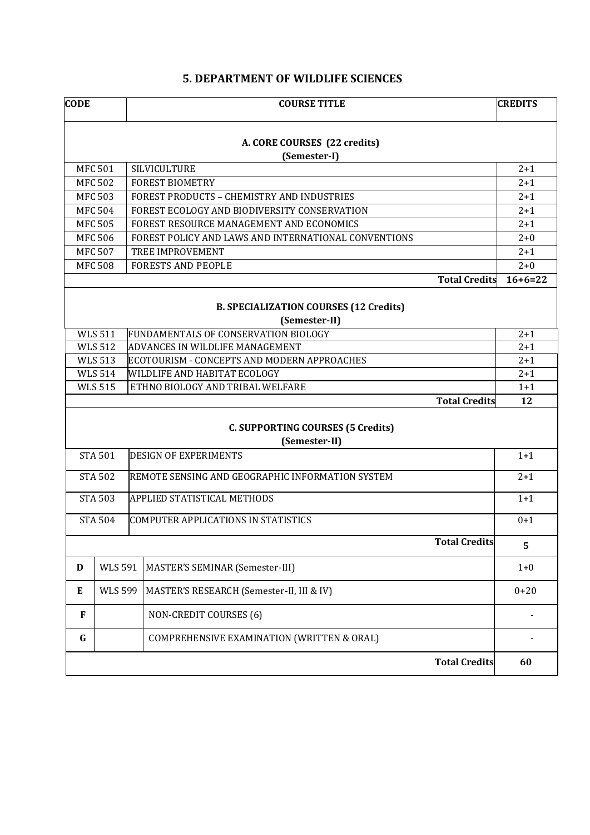## **5. DEPARTMENT OF WILDLIFE SCIENCES**

| <b>CODE</b> |                                                               | <b>COURSE TITLE</b>                                  |                      | <b>CREDITS</b> |
|-------------|---------------------------------------------------------------|------------------------------------------------------|----------------------|----------------|
|             |                                                               |                                                      |                      |                |
|             |                                                               | A. CORE COURSES (22 credits)                         |                      |                |
|             | <b>MFC 501</b>                                                | (Semester-I)<br><b>SILVICULTURE</b>                  |                      | $2 + 1$        |
|             | <b>MFC 502</b>                                                | <b>FOREST BIOMETRY</b>                               |                      | $2 + 1$        |
|             | <b>MFC 503</b>                                                | FOREST PRODUCTS - CHEMISTRY AND INDUSTRIES           |                      | $2 + 1$        |
|             | <b>MFC 504</b>                                                | FOREST ECOLOGY AND BIODIVERSITY CONSERVATION         |                      | $2 + 1$        |
|             | <b>MFC 505</b>                                                | FOREST RESOURCE MANAGEMENT AND ECONOMICS             |                      | $2 + 1$        |
|             | <b>MFC 506</b>                                                | FOREST POLICY AND LAWS AND INTERNATIONAL CONVENTIONS |                      | $2 + 0$        |
|             | <b>MFC 507</b>                                                | TREE IMPROVEMENT                                     |                      | $2 + 1$        |
|             | <b>MFC 508</b>                                                | <b>FORESTS AND PEOPLE</b>                            |                      | $2 + 0$        |
|             |                                                               |                                                      | <b>Total Credits</b> | $16+6=22$      |
|             |                                                               |                                                      |                      |                |
|             |                                                               | <b>B. SPECIALIZATION COURSES (12 Credits)</b>        |                      |                |
|             |                                                               | (Semester-II)                                        |                      |                |
|             | <b>WLS 511</b>                                                | FUNDAMENTALS OF CONSERVATION BIOLOGY                 |                      | $2 + 1$        |
|             | <b>WLS 512</b>                                                | ADVANCES IN WILDLIFE MANAGEMENT                      |                      | $2 + 1$        |
|             | <b>WLS 513</b><br>ECOTOURISM - CONCEPTS AND MODERN APPROACHES |                                                      |                      | $2 + 1$        |
|             | <b>WLS 514</b>                                                | WILDLIFE AND HABITAT ECOLOGY                         |                      | $2 + 1$        |
|             | <b>WLS 515</b>                                                | ETHNO BIOLOGY AND TRIBAL WELFARE                     | <b>Total Credits</b> | $1+1$<br>12    |
|             |                                                               |                                                      |                      |                |
|             |                                                               | <b>C. SUPPORTING COURSES (5 Credits)</b>             |                      |                |
|             |                                                               | (Semester-II)                                        |                      |                |
|             | <b>STA 501</b>                                                | <b>DESIGN OF EXPERIMENTS</b>                         |                      | $1+1$          |
|             |                                                               |                                                      |                      |                |
|             | <b>STA 502</b>                                                | REMOTE SENSING AND GEOGRAPHIC INFORMATION SYSTEM     |                      | $2 + 1$        |
|             | <b>STA 503</b>                                                | <b>APPLIED STATISTICAL METHODS</b>                   |                      | $1 + 1$        |
|             |                                                               |                                                      |                      |                |
|             | <b>STA 504</b>                                                | COMPUTER APPLICATIONS IN STATISTICS                  |                      | $0 + 1$        |
|             |                                                               |                                                      | <b>Total Credits</b> |                |
|             |                                                               |                                                      |                      | 5              |
| $\mathbf D$ | <b>WLS 591</b>                                                | MASTER'S SEMINAR (Semester-III)                      |                      | $1 + 0$        |
| E           | <b>WLS 599</b>                                                | MASTER'S RESEARCH (Semester-II, III & IV)            |                      | $0 + 20$       |
| F           |                                                               | NON-CREDIT COURSES (6)                               |                      |                |
| G           |                                                               | COMPREHENSIVE EXAMINATION (WRITTEN & ORAL)           |                      |                |
|             |                                                               |                                                      | <b>Total Credits</b> | 60             |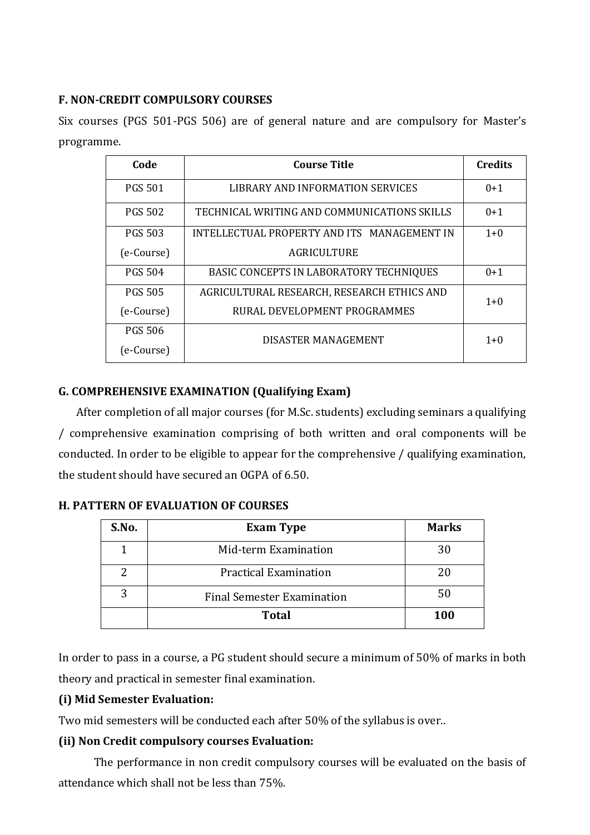## **F. NON-CREDIT COMPULSORY COURSES**

Six courses (PGS 501-PGS 506) are of general nature and are compulsory for Master's programme.

| Code           | <b>Course Title</b>                         | <b>Credits</b> |  |
|----------------|---------------------------------------------|----------------|--|
| <b>PGS 501</b> | LIBRARY AND INFORMATION SERVICES            | $0+1$          |  |
| <b>PGS 502</b> | TECHNICAL WRITING AND COMMUNICATIONS SKILLS | $0+1$          |  |
| <b>PGS 503</b> | INTELLECTUAL PROPERTY AND ITS MANAGEMENT IN | $1+0$          |  |
| (e-Course)     | AGRICULTURE                                 |                |  |
| <b>PGS 504</b> | BASIC CONCEPTS IN LABORATORY TECHNIQUES     | $0+1$          |  |
| <b>PGS 505</b> | AGRICULTURAL RESEARCH, RESEARCH ETHICS AND  | $1 + 0$        |  |
| (e-Course)     | RURAL DEVELOPMENT PROGRAMMES                |                |  |
| <b>PGS 506</b> | DISASTER MANAGEMENT                         | $1 + 0$        |  |
| (e-Course)     |                                             |                |  |

## **G. COMPREHENSIVE EXAMINATION (Qualifying Exam)**

After completion of all major courses (for M.Sc. students) excluding seminars a qualifying / comprehensive examination comprising of both written and oral components will be conducted. In order to be eligible to appear for the comprehensive / qualifying examination, the student should have secured an OGPA of 6.50.

| S.No. | <b>Exam Type</b>                  | <b>Marks</b> |
|-------|-----------------------------------|--------------|
|       | Mid-term Examination              | 30           |
|       | <b>Practical Examination</b>      |              |
| 3     | <b>Final Semester Examination</b> |              |
|       | <b>Total</b>                      | 100          |

## **H. PATTERN OF EVALUATION OF COURSES**

In order to pass in a course, a PG student should secure a minimum of 50% of marks in both theory and practical in semester final examination.

## **(i) Mid Semester Evaluation:**

Two mid semesters will be conducted each after 50% of the syllabus is over..

## **(ii) Non Credit compulsory courses Evaluation:**

The performance in non credit compulsory courses will be evaluated on the basis of attendance which shall not be less than 75%.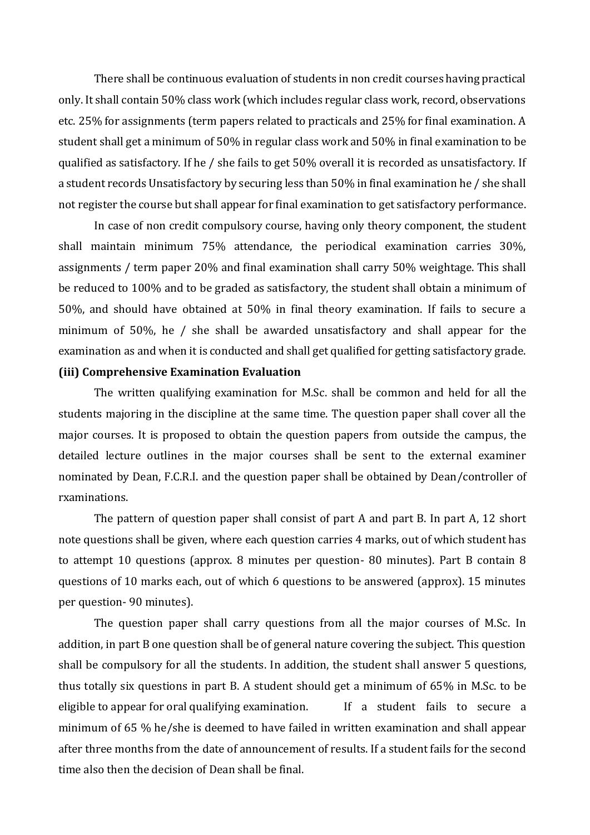There shall be continuous evaluation of students in non credit courses having practical only. It shall contain 50% class work (which includes regular class work, record, observations etc. 25% for assignments (term papers related to practicals and 25% for final examination. A student shall get a minimum of 50% in regular class work and 50% in final examination to be qualified as satisfactory. If he / she fails to get 50% overall it is recorded as unsatisfactory. If a student records Unsatisfactory by securing less than 50% in final examination he / she shall not register the course but shall appear for final examination to get satisfactory performance.

In case of non credit compulsory course, having only theory component, the student shall maintain minimum 75% attendance, the periodical examination carries 30%, assignments / term paper 20% and final examination shall carry 50% weightage. This shall be reduced to 100% and to be graded as satisfactory, the student shall obtain a minimum of 50%, and should have obtained at 50% in final theory examination. If fails to secure a minimum of 50%, he / she shall be awarded unsatisfactory and shall appear for the examination as and when it is conducted and shall get qualified for getting satisfactory grade.

#### **(iii) Comprehensive Examination Evaluation**

The written qualifying examination for M.Sc. shall be common and held for all the students majoring in the discipline at the same time. The question paper shall cover all the major courses. It is proposed to obtain the question papers from outside the campus, the detailed lecture outlines in the major courses shall be sent to the external examiner nominated by Dean, F.C.R.I. and the question paper shall be obtained by Dean/controller of rxaminations.

The pattern of question paper shall consist of part A and part B. In part A, 12 short note questions shall be given, where each question carries 4 marks, out of which student has to attempt 10 questions (approx. 8 minutes per question- 80 minutes). Part B contain 8 questions of 10 marks each, out of which 6 questions to be answered (approx). 15 minutes per question- 90 minutes).

The question paper shall carry questions from all the major courses of M.Sc. In addition, in part B one question shall be of general nature covering the subject. This question shall be compulsory for all the students. In addition, the student shall answer 5 questions, thus totally six questions in part B. A student should get a minimum of 65% in M.Sc. to be eligible to appear for oral qualifying examination. If a student fails to secure a minimum of 65 % he/she is deemed to have failed in written examination and shall appear after three months from the date of announcement of results. If a student fails for the second time also then the decision of Dean shall be final.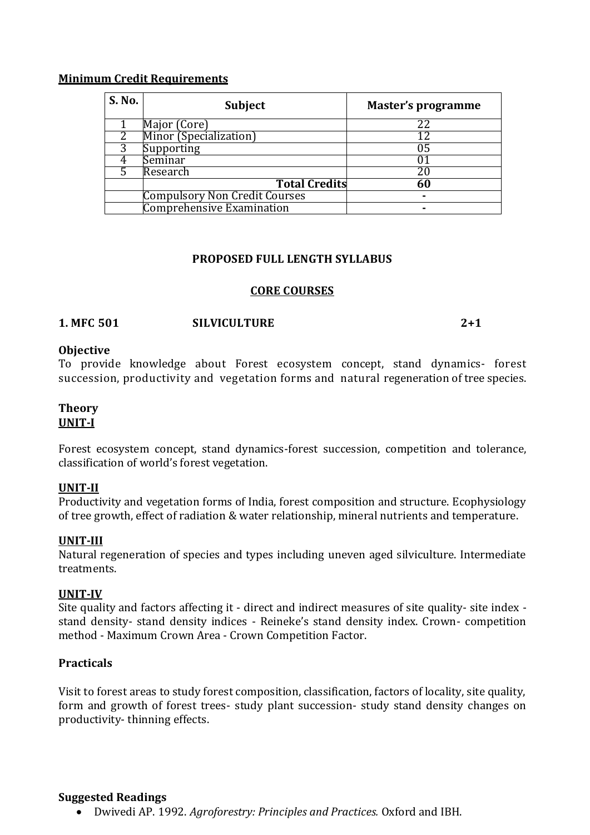## **Minimum Credit Requirements**

| S. No. | <b>Subject</b>                       | Master's programme |
|--------|--------------------------------------|--------------------|
|        | Major (Core)                         | 22                 |
|        | Minor (Specialization)               | 12                 |
|        | Supporting                           | 05                 |
|        | Seminar                              |                    |
|        | Research                             | 20                 |
|        | <b>Total Credits</b>                 | 60                 |
|        | <b>Compulsory Non Credit Courses</b> |                    |
|        | <b>Comprehensive Examination</b>     |                    |

#### **PROPOSED FULL LENGTH SYLLABUS**

#### **CORE COURSES**

#### **1. MFC 501 SILVICULTURE 2+1**

#### **Objective**

To provide knowledge about Forest ecosystem concept, stand dynamics- forest succession, productivity and vegetation forms and natural regeneration of tree species.

#### **Theory UNIT-I**

Forest ecosystem concept, stand dynamics-forest succession, competition and tolerance, classification of world's forest vegetation.

#### **UNIT-II**

Productivity and vegetation forms of India, forest composition and structure. Ecophysiology of tree growth, effect of radiation & water relationship, mineral nutrients and temperature.

#### **UNIT-III**

Natural regeneration of species and types including uneven aged silviculture. Intermediate treatments.

#### **UNIT-IV**

Site quality and factors affecting it - direct and indirect measures of site quality- site index stand density- stand density indices - Reineke's stand density index. Crown- competition method - Maximum Crown Area - Crown Competition Factor.

#### **Practicals**

Visit to forest areas to study forest composition, classification, factors of locality, site quality, form and growth of forest trees- study plant succession- study stand density changes on productivity- thinning effects.

#### **Suggested Readings**

• Dwivedi AP. 1992. *Agroforestry: Principles and Practices.* Oxford and IBH.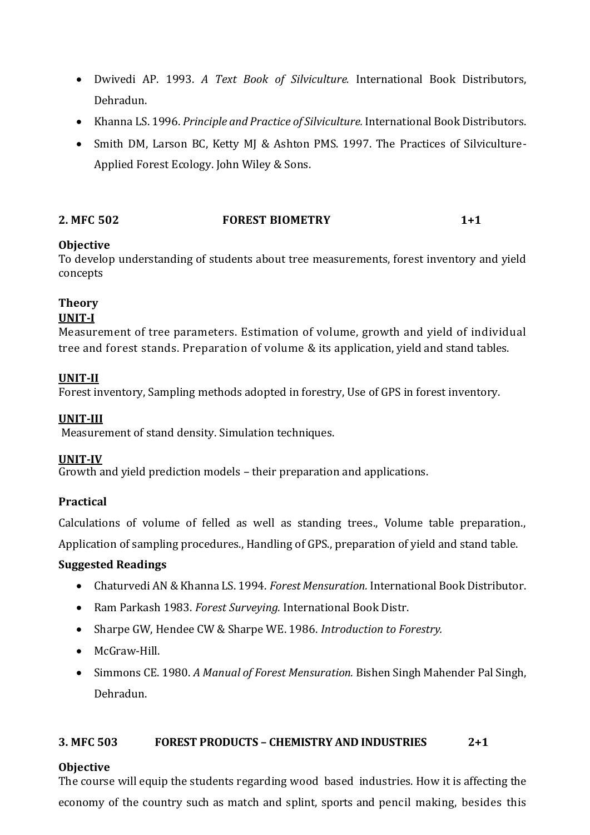- Dwivedi AP. 1993. *A Text Book of Silviculture.* International Book Distributors, Dehradun.
- Khanna LS. 1996. *Principle and Practice of Silviculture.* International Book Distributors.
- Smith DM, Larson BC, Ketty MJ & Ashton PMS. 1997. The Practices of Silviculture-Applied Forest Ecology. John Wiley & Sons.

## **2. MFC 502 FOREST BIOMETRY 1+1**

#### **Objective**

To develop understanding of students about tree measurements, forest inventory and yield concepts

## **Theory**

#### **UNIT-I**

Measurement of tree parameters. Estimation of volume, growth and yield of individual tree and forest stands. Preparation of volume & its application, yield and stand tables.

#### **UNIT-II**

Forest inventory, Sampling methods adopted in forestry, Use of GPS in forest inventory.

#### **UNIT-III**

Measurement of stand density. Simulation techniques.

## **UNIT-IV**

Growth and yield prediction models – their preparation and applications.

## **Practical**

Calculations of volume of felled as well as standing trees., Volume table preparation.,

Application of sampling procedures., Handling of GPS., preparation of yield and stand table.

#### **Suggested Readings**

- Chaturvedi AN & Khanna LS. 1994. *Forest Mensuration.* International Book Distributor.
- Ram Parkash 1983. *Forest Surveying.* International Book Distr.
- Sharpe GW, Hendee CW & Sharpe WE. 1986. *Introduction to Forestry.*
- McGraw-Hill.
- Simmons CE. 1980. *A Manual of Forest Mensuration.* Bishen Singh Mahender Pal Singh, Dehradun.

## **3. MFC 503 FOREST PRODUCTS – CHEMISTRY AND INDUSTRIES 2+1**

#### **Objective**

The course will equip the students regarding wood based industries. How it is affecting the economy of the country such as match and splint, sports and pencil making, besides this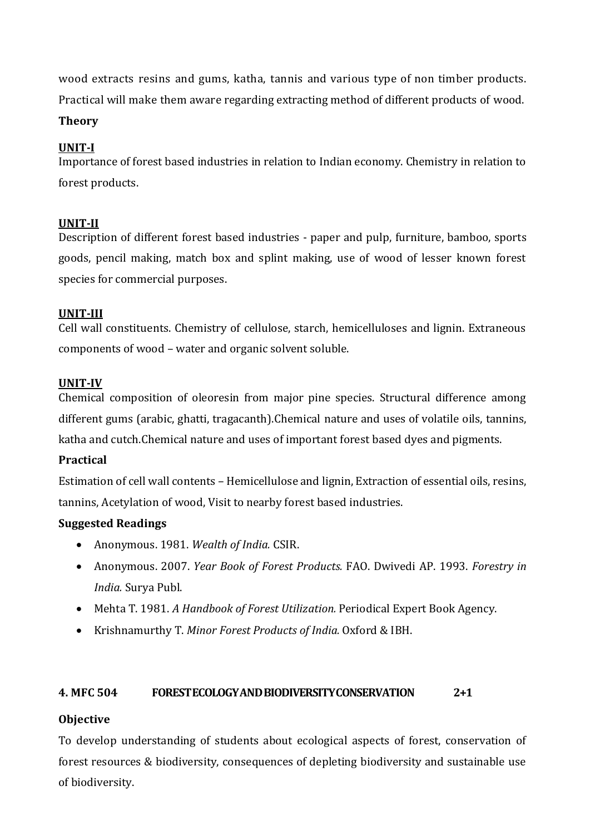wood extracts resins and gums, katha, tannis and various type of non timber products. Practical will make them aware regarding extracting method of different products of wood.

## **Theory**

## **UNIT-I**

Importance of forest based industries in relation to Indian economy. Chemistry in relation to forest products.

## **UNIT-II**

Description of different forest based industries - paper and pulp, furniture, bamboo, sports goods, pencil making, match box and splint making, use of wood of lesser known forest species for commercial purposes.

## **UNIT-III**

Cell wall constituents. Chemistry of cellulose, starch, hemicelluloses and lignin. Extraneous components of wood – water and organic solvent soluble.

## **UNIT-IV**

Chemical composition of oleoresin from major pine species. Structural difference among different gums (arabic, ghatti, tragacanth).Chemical nature and uses of volatile oils, tannins, katha and cutch.Chemical nature and uses of important forest based dyes and pigments.

## **Practical**

Estimation of cell wall contents – Hemicellulose and lignin, Extraction of essential oils, resins, tannins, Acetylation of wood, Visit to nearby forest based industries.

## **Suggested Readings**

- Anonymous. 1981. *Wealth of India.* CSIR.
- Anonymous. 2007. *Year Book of Forest Products.* FAO. Dwivedi AP. 1993. *Forestry in India.* Surya Publ.
- Mehta T. 1981. *A Handbook of Forest Utilization.* Periodical Expert Book Agency.
- Krishnamurthy T. *Minor Forest Products of India.* Oxford & IBH.

## **4. MFC 504 FORESTECOLOGYANDBIODIVERSITYCONSERVATION 2+1**

## **Objective**

To develop understanding of students about ecological aspects of forest, conservation of forest resources & biodiversity, consequences of depleting biodiversity and sustainable use of biodiversity.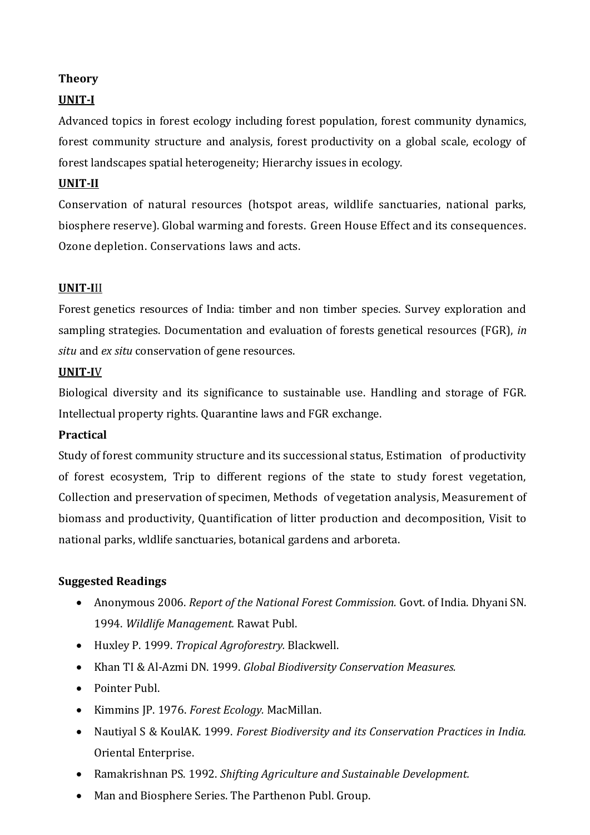## **Theory**

## **UNIT-I**

Advanced topics in forest ecology including forest population, forest community dynamics, forest community structure and analysis, forest productivity on a global scale, ecology of forest landscapes spatial heterogeneity; Hierarchy issues in ecology.

## **UNIT-II**

Conservation of natural resources (hotspot areas, wildlife sanctuaries, national parks, biosphere reserve). Global warming and forests. Green House Effect and its consequences. Ozone depletion. Conservations laws and acts.

## **UNIT-I**II

Forest genetics resources of India: timber and non timber species. Survey exploration and sampling strategies. Documentation and evaluation of forests genetical resources (FGR), *in situ* and *ex situ* conservation of gene resources.

## **UNIT-I**V

Biological diversity and its significance to sustainable use. Handling and storage of FGR. Intellectual property rights. Quarantine laws and FGR exchange.

## **Practical**

Study of forest community structure and its successional status, Estimation of productivity of forest ecosystem, Trip to different regions of the state to study forest vegetation, Collection and preservation of specimen, Methods of vegetation analysis, Measurement of biomass and productivity, Quantification of litter production and decomposition, Visit to national parks, wldlife sanctuaries, botanical gardens and arboreta.

## **Suggested Readings**

- Anonymous 2006. *Report of the National Forest Commission.* Govt. of India. Dhyani SN. 1994. *Wildlife Management.* Rawat Publ.
- Huxley P. 1999. *Tropical Agroforestry.* Blackwell.
- Khan TI & Al-Azmi DN. 1999. *Global Biodiversity Conservation Measures.*
- Pointer Publ.
- Kimmins JP. 1976. *Forest Ecology.* MacMillan.
- Nautiyal S & KoulAK. 1999. *Forest Biodiversity and its Conservation Practices in India.*  Oriental Enterprise.
- Ramakrishnan PS. 1992. *Shifting Agriculture and Sustainable Development.*
- Man and Biosphere Series. The Parthenon Publ. Group.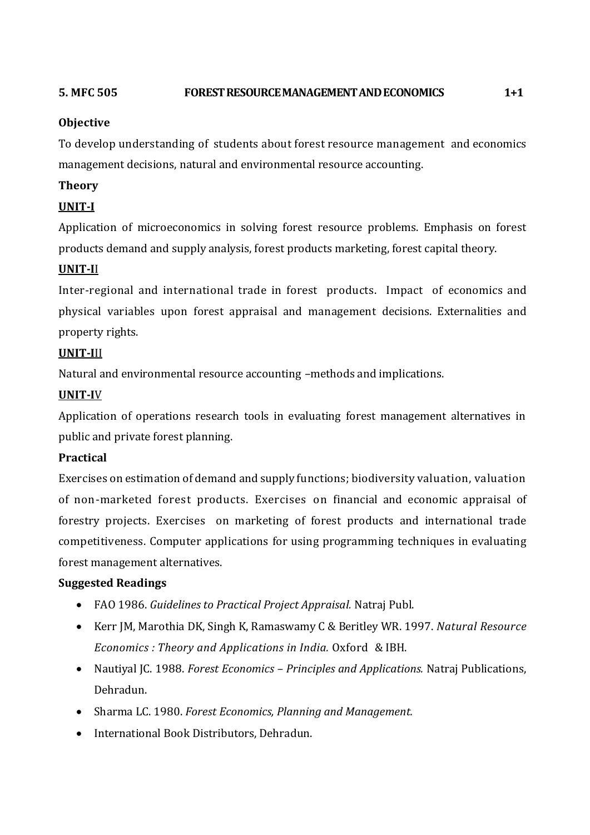## **5. MFC 505 FORESTRESOURCEMANAGEMENTANDECONOMICS 1+1**

## **Objective**

To develop understanding of students about forest resource management and economics management decisions, natural and environmental resource accounting.

## **Theory**

## **UNIT-I**

Application of microeconomics in solving forest resource problems. Emphasis on forest products demand and supply analysis, forest products marketing, forest capital theory.

## **UNIT-I**I

Inter-regional and international trade in forest products. Impact of economics and physical variables upon forest appraisal and management decisions. Externalities and property rights.

## **UNIT-I**II

Natural and environmental resource accounting –methods and implications.

## **UNIT-I**V

Application of operations research tools in evaluating forest management alternatives in public and private forest planning.

## **Practical**

Exercises on estimation of demand and supply functions; biodiversity valuation, valuation of non-marketed forest products. Exercises on financial and economic appraisal of forestry projects. Exercises on marketing of forest products and international trade competitiveness. Computer applications for using programming techniques in evaluating forest management alternatives.

## **Suggested Readings**

- FAO 1986. *Guidelines to Practical Project Appraisal.* Natraj Publ.
- Kerr JM, Marothia DK, Singh K, Ramaswamy C & Beritley WR. 1997. *Natural Resource Economics : Theory and Applications in India.* Oxford & IBH.
- Nautiyal JC. 1988. *Forest Economics – Principles and Applications.* Natraj Publications, Dehradun.
- Sharma LC. 1980. *Forest Economics, Planning and Management.*
- International Book Distributors, Dehradun.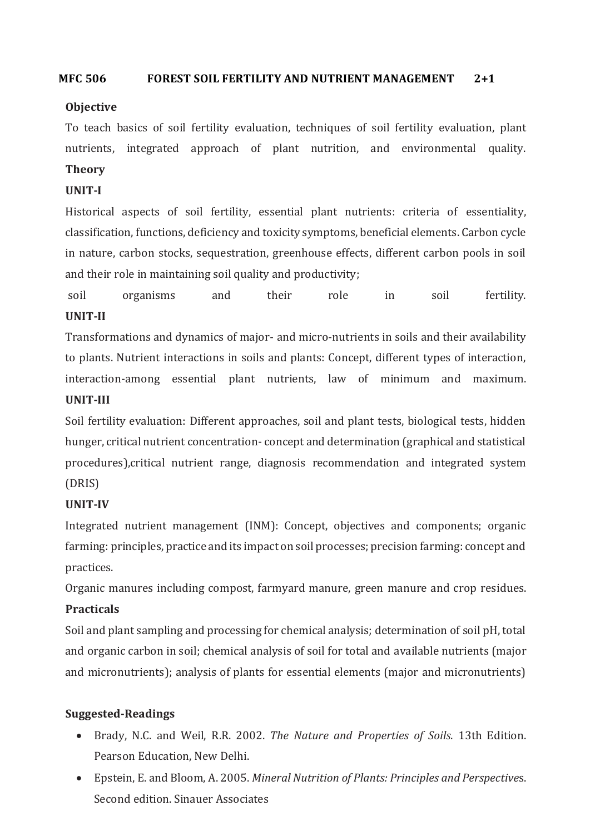## **MFC 506 FOREST SOIL FERTILITY AND NUTRIENT MANAGEMENT 2+1**

## **Objective**

To teach basics of soil fertility evaluation, techniques of soil fertility evaluation, plant nutrients, integrated approach of plant nutrition, and environmental quality. **Theory**

# **UNIT-I**

Historical aspects of soil fertility, essential plant nutrients: criteria of essentiality, classification, functions, deficiency and toxicity symptoms, beneficial elements. Carbon cycle in nature, carbon stocks, sequestration, greenhouse effects, different carbon pools in soil and their role in maintaining soil quality and productivity;

soil organisms and their role in soil fertility. **UNIT-II**

Transformations and dynamics of major- and micro-nutrients in soils and their availability to plants. Nutrient interactions in soils and plants: Concept, different types of interaction, interaction-among essential plant nutrients, law of minimum and maximum. **UNIT-III**

Soil fertility evaluation: Different approaches, soil and plant tests, biological tests, hidden hunger, critical nutrient concentration- concept and determination (graphical and statistical procedures),critical nutrient range, diagnosis recommendation and integrated system (DRIS)

## **UNIT-IV**

Integrated nutrient management (INM): Concept, objectives and components; organic farming: principles, practice and its impact on soil processes; precision farming: concept and practices.

Organic manures including compost, farmyard manure, green manure and crop residues. **Practicals**

Soil and plant sampling and processing for chemical analysis; determination of soil pH, total and organic carbon in soil; chemical analysis of soil for total and available nutrients (major and micronutrients); analysis of plants for essential elements (major and micronutrients)

## **Suggested-Readings**

- Brady, N.C. and Weil, R.R. 2002. *The Nature and Properties of Soils*. 13th Edition. Pearson Education, New Delhi.
- Epstein, E. and Bloom, A. 2005. *Mineral Nutrition of Plants: Principles and Perspective*s. Second edition. Sinauer Associates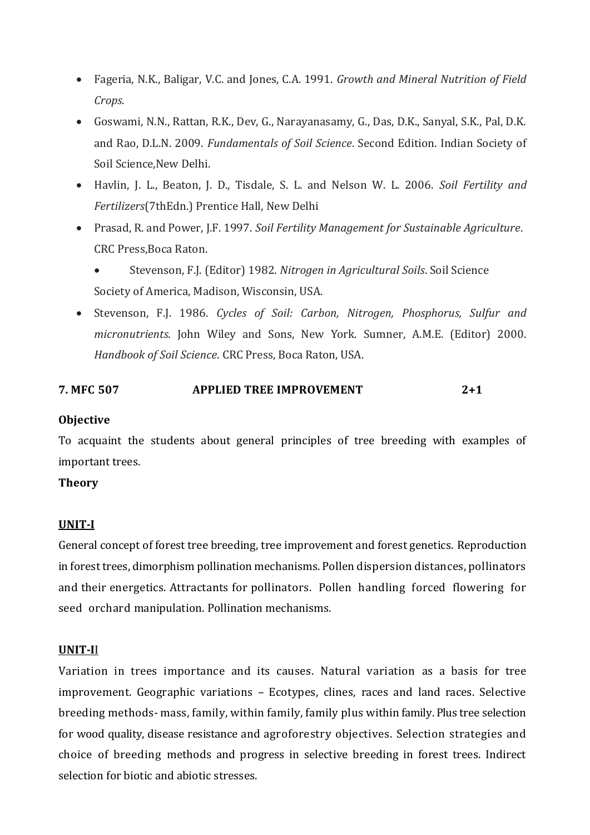- Fageria, N.K., Baligar, V.C. and Jones, C.A. 1991. *Growth and Mineral Nutrition of Field Crops*.
- Goswami, N.N., Rattan, R.K., Dev, G., Narayanasamy, G., Das, D.K., Sanyal, S.K., Pal, D.K. and Rao, D.L.N. 2009. *Fundamentals of Soil Science*. Second Edition. Indian Society of Soil Science,New Delhi.
- Havlin, J. L., Beaton, J. D., Tisdale, S. L. and Nelson W. L. 2006. *Soil Fertility and Fertilizers*(7thEdn.) Prentice Hall, New Delhi
- Prasad, R. and Power, J.F. 1997. *Soil Fertility Management for Sustainable Agriculture*. CRC Press,Boca Raton.
	- Stevenson, F.J. (Editor) 1982. *Nitrogen in Agricultural Soils*. Soil Science Society of America, Madison, Wisconsin, USA.
- Stevenson, F.J. 1986. *Cycles of Soil: Carbon, Nitrogen, Phosphorus, Sulfur and micronutrients*. John Wiley and Sons, New York. Sumner, A.M.E. (Editor) 2000. *Handbook of Soil Science*. CRC Press, Boca Raton, USA.

## **7. MFC 507 APPLIED TREE IMPROVEMENT 2+1**

#### **Objective**

To acquaint the students about general principles of tree breeding with examples of important trees.

**Theory**

#### **UNIT-I**

General concept of forest tree breeding, tree improvement and forest genetics. Reproduction in forest trees, dimorphism pollination mechanisms. Pollen dispersion distances, pollinators and their energetics. Attractants for pollinators. Pollen handling forced flowering for seed orchard manipulation. Pollination mechanisms.

#### **UNIT-I**I

Variation in trees importance and its causes. Natural variation as a basis for tree improvement. Geographic variations – Ecotypes, clines, races and land races. Selective breeding methods- mass, family, within family, family plus within family. Plus tree selection for wood quality, disease resistance and agroforestry objectives. Selection strategies and choice of breeding methods and progress in selective breeding in forest trees. Indirect selection for biotic and abiotic stresses.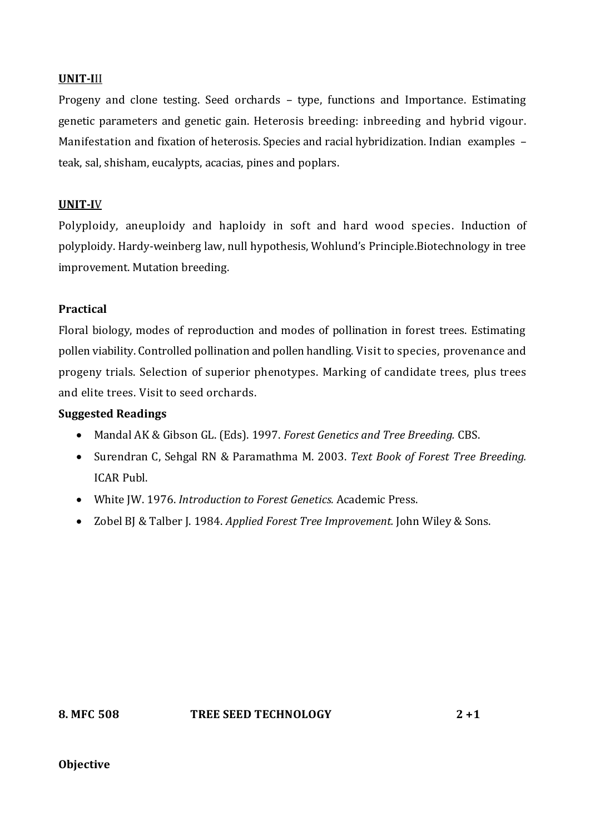#### **UNIT-I**II

Progeny and clone testing. Seed orchards – type, functions and Importance. Estimating genetic parameters and genetic gain. Heterosis breeding: inbreeding and hybrid vigour. Manifestation and fixation of heterosis. Species and racial hybridization. Indian examples – teak, sal, shisham, eucalypts, acacias, pines and poplars.

#### **UNIT-I**V

Polyploidy, aneuploidy and haploidy in soft and hard wood species. Induction of polyploidy. Hardy-weinberg law, null hypothesis, Wohlund's Principle.Biotechnology in tree improvement. Mutation breeding.

#### **Practical**

Floral biology, modes of reproduction and modes of pollination in forest trees. Estimating pollen viability. Controlled pollination and pollen handling. Visit to species, provenance and progeny trials. Selection of superior phenotypes. Marking of candidate trees, plus trees and elite trees. Visit to seed orchards.

#### **Suggested Readings**

- Mandal AK & Gibson GL. (Eds). 1997. *Forest Genetics and Tree Breeding.* CBS.
- Surendran C, Sehgal RN & Paramathma M. 2003. *Text Book of Forest Tree Breeding.*  ICAR Publ.
- White JW. 1976. *Introduction to Forest Genetics.* Academic Press.
- Zobel BJ & Talber J. 1984. *Applied Forest Tree Improvement.* John Wiley & Sons.

## **8. MFC 508 TREE SEED TECHNOLOGY 2 +1**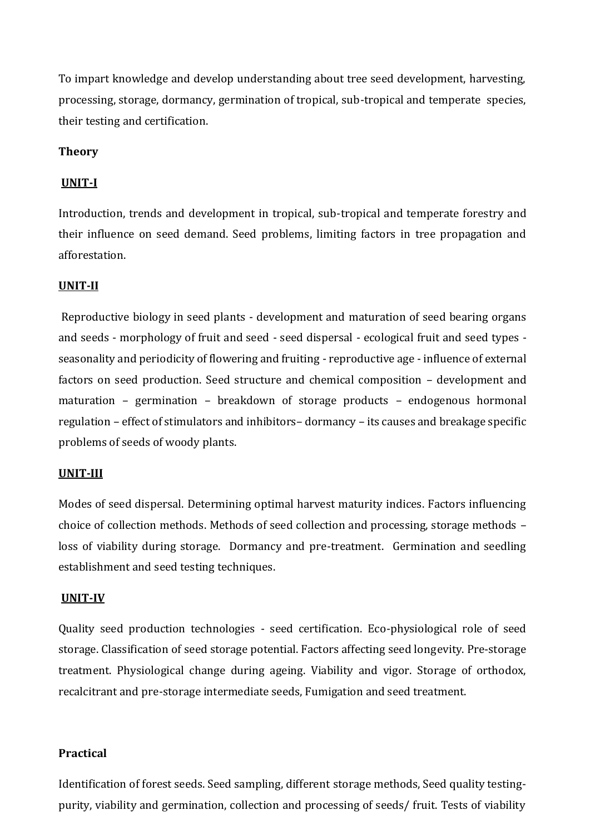To impart knowledge and develop understanding about tree seed development, harvesting, processing, storage, dormancy, germination of tropical, sub-tropical and temperate species, their testing and certification.

#### **Theory**

#### **UNIT-I**

Introduction, trends and development in tropical, sub-tropical and temperate forestry and their influence on seed demand. Seed problems, limiting factors in tree propagation and afforestation.

#### **UNIT-II**

Reproductive biology in seed plants - development and maturation of seed bearing organs and seeds - morphology of fruit and seed - seed dispersal - ecological fruit and seed types seasonality and periodicity of flowering and fruiting - reproductive age - influence of external factors on seed production. Seed structure and chemical composition – development and maturation – germination – breakdown of storage products – endogenous hormonal regulation – effect of stimulators and inhibitors– dormancy – its causes and breakage specific problems of seeds of woody plants.

#### **UNIT-III**

Modes of seed dispersal. Determining optimal harvest maturity indices. Factors influencing choice of collection methods. Methods of seed collection and processing, storage methods – loss of viability during storage. Dormancy and pre-treatment. Germination and seedling establishment and seed testing techniques.

#### **UNIT-IV**

Quality seed production technologies - seed certification. Eco-physiological role of seed storage. Classification of seed storage potential. Factors affecting seed longevity. Pre-storage treatment. Physiological change during ageing. Viability and vigor. Storage of orthodox, recalcitrant and pre-storage intermediate seeds, Fumigation and seed treatment.

#### **Practical**

Identification of forest seeds. Seed sampling, different storage methods, Seed quality testingpurity, viability and germination, collection and processing of seeds/ fruit. Tests of viability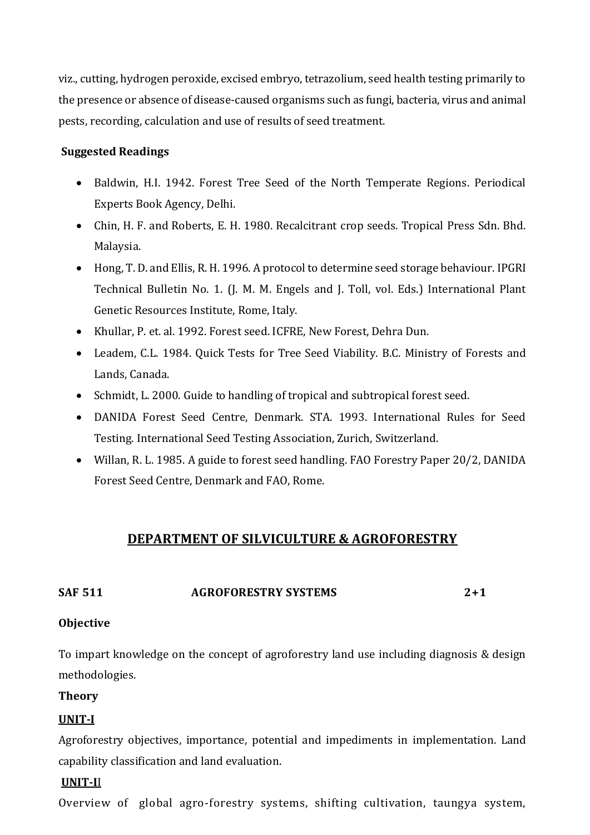viz., cutting, hydrogen peroxide, excised embryo, tetrazolium, seed health testing primarily to the presence or absence of disease-caused organisms such as fungi, bacteria, virus and animal pests, recording, calculation and use of results of seed treatment.

## **Suggested Readings**

- Baldwin, H.I. 1942. Forest Tree Seed of the North Temperate Regions. Periodical Experts Book Agency, Delhi.
- Chin, H. F. and Roberts, E. H. 1980. Recalcitrant crop seeds. Tropical Press Sdn. Bhd. Malaysia.
- Hong, T. D. and Ellis, R. H. 1996. A protocol to determine seed storage behaviour. IPGRI Technical Bulletin No. 1. (J. M. M. Engels and J. Toll, vol. Eds.) International Plant Genetic Resources Institute, Rome, Italy.
- Khullar, P. et. al. 1992. Forest seed. ICFRE, New Forest, Dehra Dun.
- Leadem, C.L. 1984. Quick Tests for Tree Seed Viability. B.C. Ministry of Forests and Lands, Canada.
- Schmidt, L. 2000. Guide to handling of tropical and subtropical forest seed.
- DANIDA Forest Seed Centre, Denmark. STA. 1993. International Rules for Seed Testing. International Seed Testing Association, Zurich, Switzerland.
- Willan, R. L. 1985. A guide to forest seed handling. FAO Forestry Paper 20/2, DANIDA Forest Seed Centre, Denmark and FAO, Rome.

## **DEPARTMENT OF SILVICULTURE & AGROFORESTRY**

## **SAF 511 AGROFORESTRY SYSTEMS 2+1**

## **Objective**

To impart knowledge on the concept of agroforestry land use including diagnosis & design methodologies.

## **Theory**

## **UNIT-I**

Agroforestry objectives, importance, potential and impediments in implementation. Land capability classification and land evaluation.

## **UNIT-I**I

Overview of global agro-forestry systems, shifting cultivation, taungya system,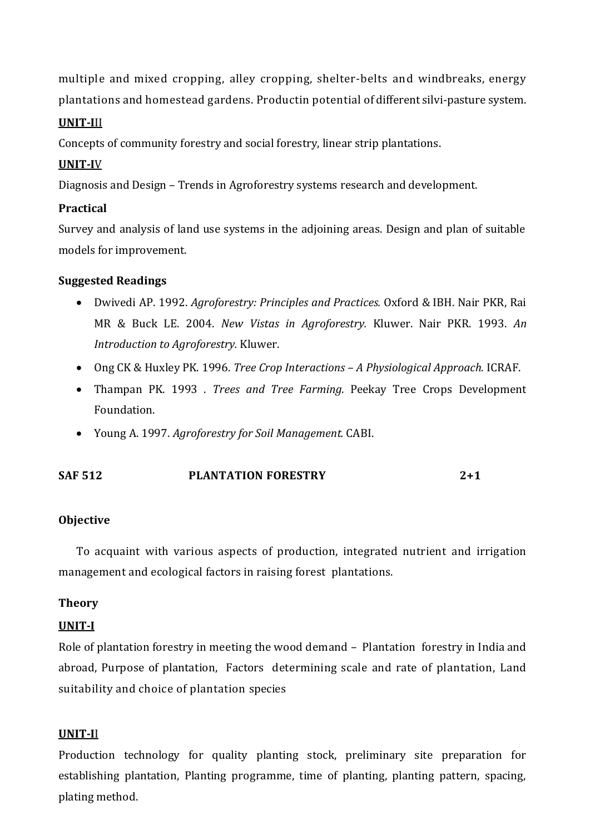multiple and mixed cropping, alley cropping, shelter-belts and windbreaks, energy plantations and homestead gardens. Productin potential of different silvi-pasture system.

#### **UNIT-I**II

Concepts of community forestry and social forestry, linear strip plantations.

## **UNIT-I**V

Diagnosis and Design – Trends in Agroforestry systems research and development.

## **Practical**

Survey and analysis of land use systems in the adjoining areas. Design and plan of suitable models for improvement.

## **Suggested Readings**

- Dwivedi AP. 1992. *Agroforestry: Principles and Practices.* Oxford & IBH. Nair PKR, Rai MR & Buck LE. 2004. *New Vistas in Agroforestry.* Kluwer. Nair PKR. 1993. *An Introduction to Agroforestry.* Kluwer.
- Ong CK & Huxley PK. 1996. *Tree Crop Interactions – A Physiological Approach.* ICRAF.
- Thampan PK. 1993 . *Trees and Tree Farming.* Peekay Tree Crops Development Foundation.
- Young A. 1997. *Agroforestry for Soil Management.* CABI.

## **SAF 512 PLANTATION FORESTRY 2+1**

## **Objective**

To acquaint with various aspects of production, integrated nutrient and irrigation management and ecological factors in raising forest plantations.

## **Theory**

#### **UNIT-I**

Role of plantation forestry in meeting the wood demand – Plantation forestry in India and abroad, Purpose of plantation, Factors determining scale and rate of plantation, Land suitability and choice of plantation species

## **UNIT-I**I

Production technology for quality planting stock, preliminary site preparation for establishing plantation, Planting programme, time of planting, planting pattern, spacing, plating method.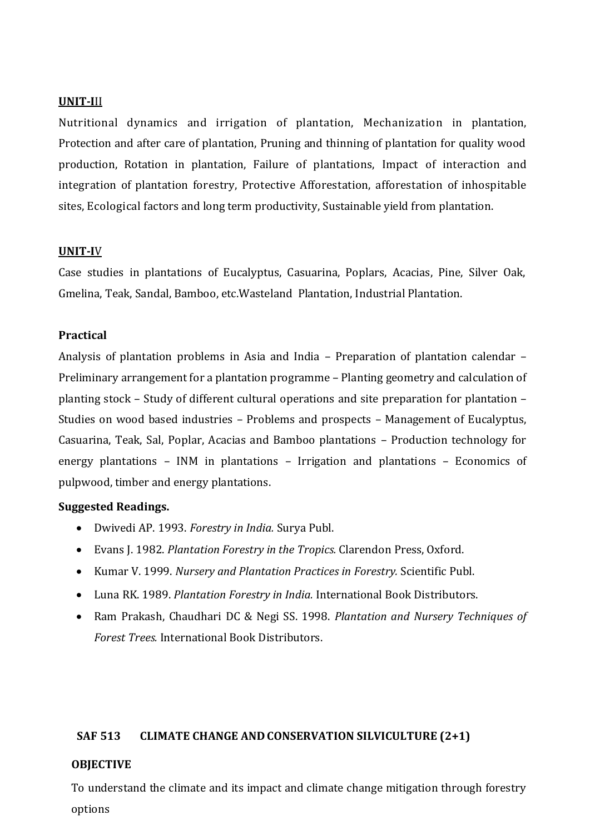#### **UNIT-I**II

Nutritional dynamics and irrigation of plantation, Mechanization in plantation, Protection and after care of plantation, Pruning and thinning of plantation for quality wood production, Rotation in plantation, Failure of plantations, Impact of interaction and integration of plantation forestry, Protective Afforestation, afforestation of inhospitable sites, Ecological factors and long term productivity, Sustainable yield from plantation.

#### **UNIT-I**V

Case studies in plantations of Eucalyptus, Casuarina, Poplars, Acacias, Pine, Silver Oak, Gmelina, Teak, Sandal, Bamboo, etc.Wasteland Plantation, Industrial Plantation.

#### **Practical**

Analysis of plantation problems in Asia and India – Preparation of plantation calendar – Preliminary arrangement for a plantation programme – Planting geometry and calculation of planting stock – Study of different cultural operations and site preparation for plantation – Studies on wood based industries – Problems and prospects – Management of Eucalyptus, Casuarina, Teak, Sal, Poplar, Acacias and Bamboo plantations – Production technology for energy plantations – INM in plantations – Irrigation and plantations – Economics of pulpwood, timber and energy plantations.

## **Suggested Readings.**

- Dwivedi AP. 1993. *Forestry in India.* Surya Publ.
- Evans J. 1982. *Plantation Forestry in the Tropics.* Clarendon Press, Oxford.
- Kumar V. 1999. *Nursery and Plantation Practices in Forestry.* Scientific Publ.
- Luna RK. 1989. *Plantation Forestry in India.* International Book Distributors.
- Ram Prakash, Chaudhari DC & Negi SS. 1998. *Plantation and Nursery Techniques of Forest Trees.* International Book Distributors.

## **SAF 513 CLIMATE CHANGE AND CONSERVATION SILVICULTURE (2+1)**

#### **OBJECTIVE**

To understand the climate and its impact and climate change mitigation through forestry options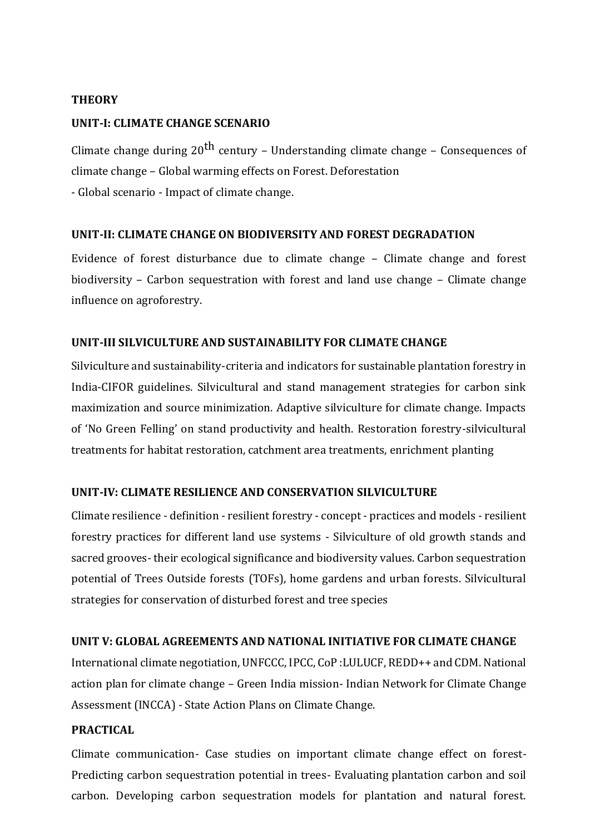## **THEORY**

## **UNIT-I: CLIMATE CHANGE SCENARIO**

Climate change during  $20^{th}$  century – Understanding climate change – Consequences of climate change – Global warming effects on Forest. Deforestation

- Global scenario - Impact of climate change.

## **UNIT-II: CLIMATE CHANGE ON BIODIVERSITY AND FOREST DEGRADATION**

Evidence of forest disturbance due to climate change – Climate change and forest biodiversity – Carbon sequestration with forest and land use change – Climate change influence on agroforestry.

## **UNIT-III SILVICULTURE AND SUSTAINABILITY FOR CLIMATE CHANGE**

Silviculture and sustainability-criteria and indicators for sustainable plantation forestry in India-CIFOR guidelines. Silvicultural and stand management strategies for carbon sink maximization and source minimization. Adaptive silviculture for climate change. Impacts of 'No Green Felling' on stand productivity and health. Restoration forestry-silvicultural treatments for habitat restoration, catchment area treatments, enrichment planting

## **UNIT-IV: CLIMATE RESILIENCE AND CONSERVATION SILVICULTURE**

Climate resilience - definition - resilient forestry - concept - practices and models - resilient forestry practices for different land use systems - Silviculture of old growth stands and sacred grooves- their ecological significance and biodiversity values. Carbon sequestration potential of Trees Outside forests (TOFs), home gardens and urban forests. Silvicultural strategies for conservation of disturbed forest and tree species

## **UNIT V: GLOBAL AGREEMENTS AND NATIONAL INITIATIVE FOR CLIMATE CHANGE**

International climate negotiation, UNFCCC, IPCC, CoP :LULUCF, REDD++ and CDM. National action plan for climate change – Green India mission- Indian Network for Climate Change Assessment (INCCA) - State Action Plans on Climate Change.

## **PRACTICAL**

Climate communication- Case studies on important climate change effect on forest-Predicting carbon sequestration potential in trees- Evaluating plantation carbon and soil carbon. Developing carbon sequestration models for plantation and natural forest.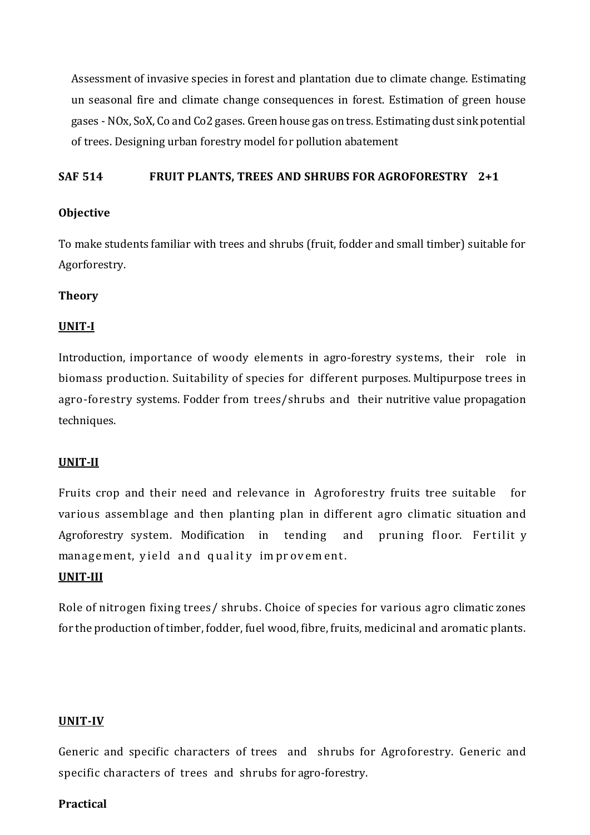Assessment of invasive species in forest and plantation due to climate change. Estimating un seasonal fire and climate change consequences in forest. Estimation of green house gases - NOx, SoX, Co and Co2 gases. Green house gas on tress. Estimating dust sink potential of trees. Designing urban forestry model for pollution abatement

## **SAF 514 FRUIT PLANTS, TREES AND SHRUBS FOR AGROFORESTRY 2+1**

## **Objective**

To make students familiar with trees and shrubs (fruit, fodder and small timber) suitable for Agorforestry.

## **Theory**

## **UNIT-I**

Introduction, importance of woody elements in agro-forestry systems, their role in biomass production. Suitability of species for different purposes. Multipurpose trees in agro-forestry systems. Fodder from trees/shrubs and their nutritive value propagation techniques.

## **UNIT-II**

Fruits crop and their need and relevance in Agroforestry fruits tree suitable for various assemblage and then planting plan in different agro climatic situation and Agroforestry system. Modification in tending and pruning floor. Fertilit y management, yield and quality improvement.

## **UNIT-III**

Role of nitrogen fixing trees/ shrubs. Choice of species for various agro climatic zones for the production of timber, fodder, fuel wood, fibre, fruits, medicinal and aromatic plants.

## **UNIT-IV**

Generic and specific characters of trees and shrubs for Agroforestry. Generic and specific characters of trees and shrubs for agro-forestry.

## **Practical**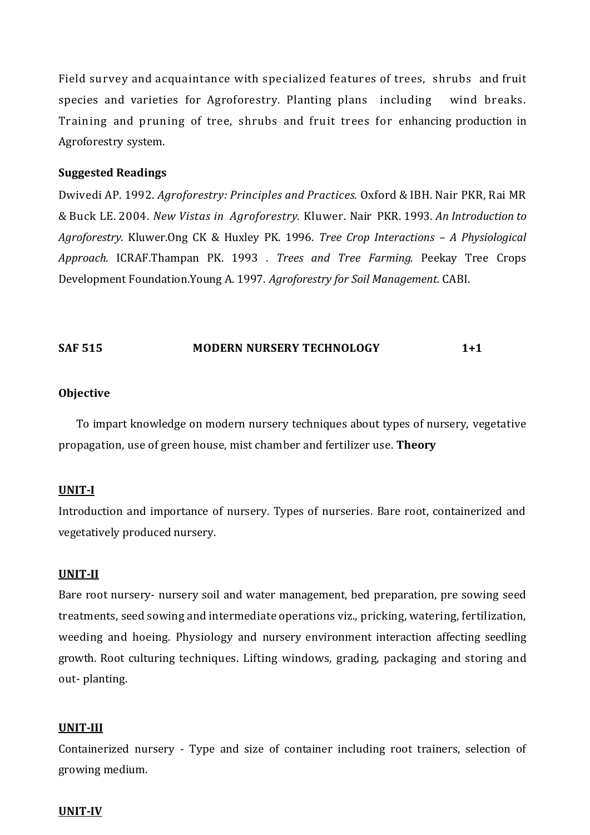Field survey and acquaintance with specialized features of trees, shrubs and fruit species and varieties for Agroforestry. Planting plans including wind breaks. Training and pruning of tree, shrubs and fruit trees for enhancing production in Agroforestry system.

#### **Suggested Readings**

Dwivedi AP. 1992. *Agroforestry: Principles and Practices.* Oxford & IBH. Nair PKR, Rai MR & Buck LE. 2004. *New Vistas in Agroforestry.* Kluwer. Nair PKR. 1993. *An Introduction to Agroforestry.* Kluwer.Ong CK & Huxley PK. 1996. *Tree Crop Interactions – A Physiological Approach.* ICRAF.Thampan PK. 1993 . *Trees and Tree Farming.* Peekay Tree Crops Development Foundation.Young A. 1997. *Agroforestry for Soil Management.* CABI.

#### **SAF 515 MODERN NURSERY TECHNOLOGY 1+1**

#### **Objective**

To impart knowledge on modern nursery techniques about types of nursery, vegetative propagation, use of green house, mist chamber and fertilizer use. **Theory**

#### **UNIT-I**

Introduction and importance of nursery. Types of nurseries. Bare root, containerized and vegetatively produced nursery.

#### **UNIT-II**

Bare root nursery- nursery soil and water management, bed preparation, pre sowing seed treatments, seed sowing and intermediate operations viz., pricking, watering, fertilization, weeding and hoeing. Physiology and nursery environment interaction affecting seedling growth. Root culturing techniques. Lifting windows, grading, packaging and storing and out- planting.

#### **UNIT-III**

Containerized nursery - Type and size of container including root trainers, selection of growing medium.

#### **UNIT-IV**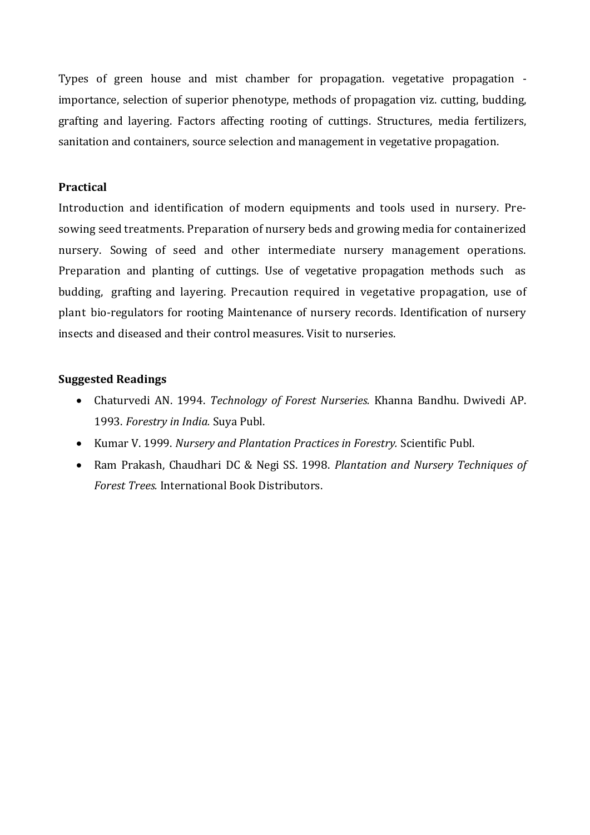Types of green house and mist chamber for propagation. vegetative propagation importance, selection of superior phenotype, methods of propagation viz. cutting, budding, grafting and layering. Factors affecting rooting of cuttings. Structures, media fertilizers, sanitation and containers, source selection and management in vegetative propagation.

#### **Practical**

Introduction and identification of modern equipments and tools used in nursery. Presowing seed treatments. Preparation of nursery beds and growing media for containerized nursery. Sowing of seed and other intermediate nursery management operations. Preparation and planting of cuttings. Use of vegetative propagation methods such as budding, grafting and layering. Precaution required in vegetative propagation, use of plant bio-regulators for rooting Maintenance of nursery records. Identification of nursery insects and diseased and their control measures. Visit to nurseries.

#### **Suggested Readings**

- Chaturvedi AN. 1994. *Technology of Forest Nurseries.* Khanna Bandhu. Dwivedi AP. 1993. *Forestry in India.* Suya Publ.
- Kumar V. 1999. *Nursery and Plantation Practices in Forestry.* Scientific Publ.
- Ram Prakash, Chaudhari DC & Negi SS. 1998. *Plantation and Nursery Techniques of Forest Trees.* International Book Distributors.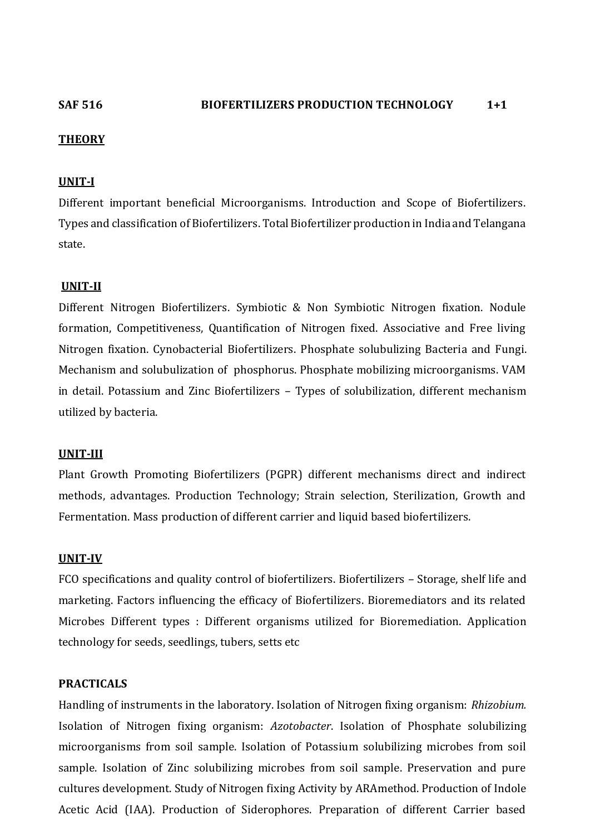#### **THEORY**

#### **UNIT-I**

Different important beneficial Microorganisms. Introduction and Scope of Biofertilizers. Types and classification of Biofertilizers. Total Biofertilizer production in India and Telangana state.

#### **UNIT-II**

Different Nitrogen Biofertilizers. Symbiotic & Non Symbiotic Nitrogen fixation. Nodule formation, Competitiveness, Quantification of Nitrogen fixed. Associative and Free living Nitrogen fixation. Cynobacterial Biofertilizers. Phosphate solubulizing Bacteria and Fungi. Mechanism and solubulization of phosphorus. Phosphate mobilizing microorganisms. VAM in detail. Potassium and Zinc Biofertilizers – Types of solubilization, different mechanism utilized by bacteria.

#### **UNIT-III**

Plant Growth Promoting Biofertilizers (PGPR) different mechanisms direct and indirect methods, advantages. Production Technology; Strain selection, Sterilization, Growth and Fermentation. Mass production of different carrier and liquid based biofertilizers.

#### **UNIT-IV**

FCO specifications and quality control of biofertilizers. Biofertilizers – Storage, shelf life and marketing. Factors influencing the efficacy of Biofertilizers. Bioremediators and its related Microbes Different types : Different organisms utilized for Bioremediation. Application technology for seeds, seedlings, tubers, setts etc

#### **PRACTICALS**

Handling of instruments in the laboratory. Isolation of Nitrogen fixing organism: *Rhizobium.* Isolation of Nitrogen fixing organism: *Azotobacter*. Isolation of Phosphate solubilizing microorganisms from soil sample. Isolation of Potassium solubilizing microbes from soil sample. Isolation of Zinc solubilizing microbes from soil sample. Preservation and pure cultures development. Study of Nitrogen fixing Activity by ARAmethod. Production of Indole Acetic Acid (IAA). Production of Siderophores. Preparation of different Carrier based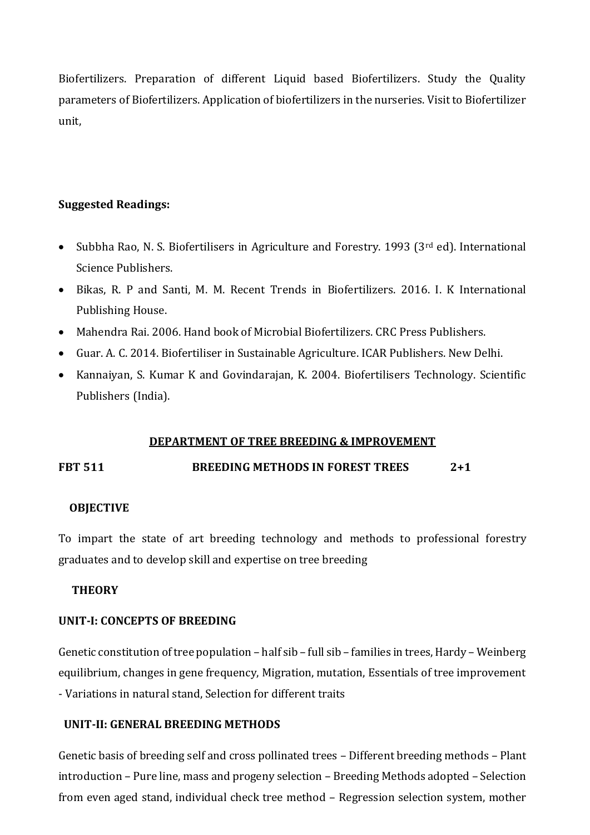Biofertilizers. Preparation of different Liquid based Biofertilizers. Study the Quality parameters of Biofertilizers. Application of biofertilizers in the nurseries. Visit to Biofertilizer unit,

#### **Suggested Readings:**

- Subbha Rao, N. S. Biofertilisers in Agriculture and Forestry. 1993 (3<sup>rd</sup> ed). International Science Publishers.
- Bikas, R. P and Santi, M. M. Recent Trends in Biofertilizers. 2016. I. K International Publishing House.
- Mahendra Rai. 2006. Hand book of Microbial Biofertilizers. CRC Press Publishers.
- Guar. A. C. 2014. Biofertiliser in Sustainable Agriculture. ICAR Publishers. New Delhi.
- Kannaiyan, S. Kumar K and Govindarajan, K. 2004. Biofertilisers Technology. Scientific Publishers (India).

#### **DEPARTMENT OF TREE BREEDING & IMPROVEMENT**

#### **FBT 511 BREEDING METHODS IN FOREST TREES 2+1**

#### **OBJECTIVE**

To impart the state of art breeding technology and methods to professional forestry graduates and to develop skill and expertise on tree breeding

#### **THEORY**

#### **UNIT-I: CONCEPTS OF BREEDING**

Genetic constitution of tree population – half sib – full sib – families in trees, Hardy – Weinberg equilibrium, changes in gene frequency, Migration, mutation, Essentials of tree improvement - Variations in natural stand, Selection for different traits

#### **UNIT-II: GENERAL BREEDING METHODS**

Genetic basis of breeding self and cross pollinated trees – Different breeding methods – Plant introduction – Pure line, mass and progeny selection – Breeding Methods adopted – Selection from even aged stand, individual check tree method – Regression selection system, mother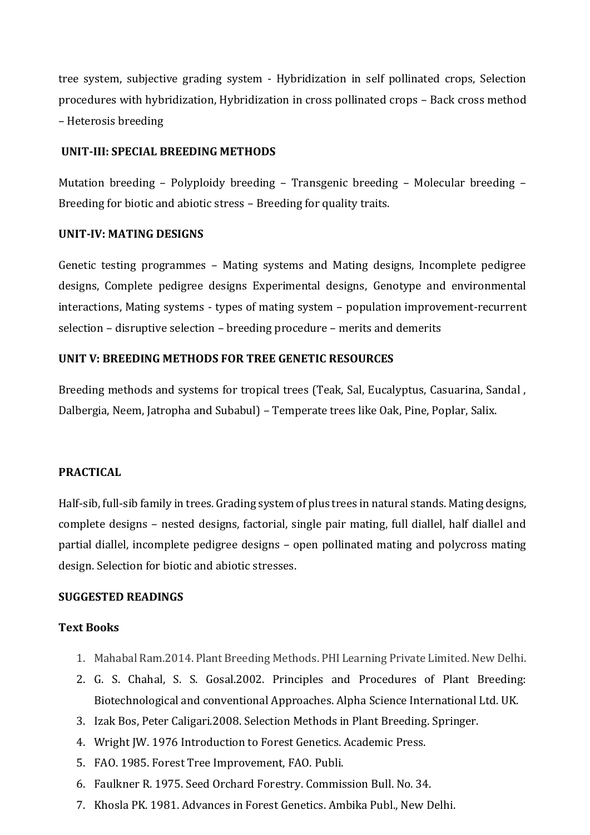tree system, subjective grading system - Hybridization in self pollinated crops, Selection procedures with hybridization, Hybridization in cross pollinated crops – Back cross method – Heterosis breeding

## **UNIT-III: SPECIAL BREEDING METHODS**

Mutation breeding – Polyploidy breeding – Transgenic breeding – Molecular breeding – Breeding for biotic and abiotic stress – Breeding for quality traits.

## **UNIT-IV: MATING DESIGNS**

Genetic testing programmes – Mating systems and Mating designs, Incomplete pedigree designs, Complete pedigree designs Experimental designs, Genotype and environmental interactions, Mating systems - types of mating system – population improvement-recurrent selection – disruptive selection – breeding procedure – merits and demerits

## **UNIT V: BREEDING METHODS FOR TREE GENETIC RESOURCES**

Breeding methods and systems for tropical trees (Teak, Sal, Eucalyptus, Casuarina, Sandal , Dalbergia, Neem, Jatropha and Subabul) – Temperate trees like Oak, Pine, Poplar, Salix.

## **PRACTICAL**

Half-sib, full-sib family in trees. Grading system of plus trees in natural stands. Mating designs, complete designs – nested designs, factorial, single pair mating, full diallel, half diallel and partial diallel, incomplete pedigree designs – open pollinated mating and polycross mating design. Selection for biotic and abiotic stresses.

## **SUGGESTED READINGS**

## **Text Books**

- 1. Mahabal Ram.2014. Plant Breeding Methods. PHI Learning Private Limited. New Delhi.
- 2. G. S. Chahal, S. S. Gosal.2002. Principles and Procedures of Plant Breeding: Biotechnological and conventional Approaches. Alpha Science International Ltd. UK.
- 3. Izak Bos, Peter Caligari.2008. Selection Methods in Plant Breeding. Springer.
- 4. Wright JW. 1976 Introduction to Forest Genetics. Academic Press.
- 5. FAO. 1985. Forest Tree Improvement, FAO. Publi.
- 6. Faulkner R. 1975. Seed Orchard Forestry. Commission Bull. No. 34.
- 7. Khosla PK. 1981. Advances in Forest Genetics. Ambika Publ., New Delhi.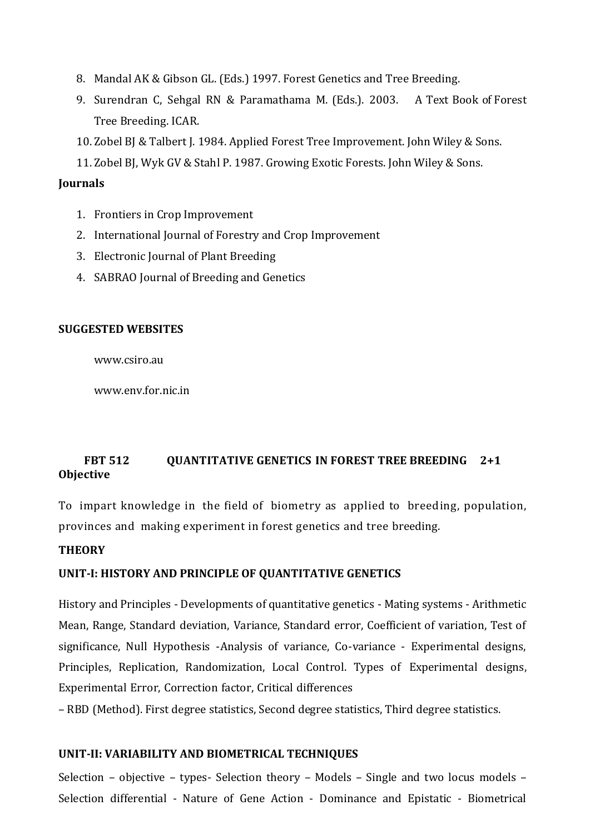- 8. Mandal AK & Gibson GL. (Eds.) 1997. Forest Genetics and Tree Breeding.
- 9. Surendran C, Sehgal RN & Paramathama M. (Eds.). 2003. A Text Book of Forest Tree Breeding. ICAR.
- 10. Zobel BJ & Talbert J. 1984. Applied Forest Tree Improvement. John Wiley & Sons.
- 11. Zobel BJ, Wyk GV & Stahl P. 1987. Growing Exotic Forests. John Wiley & Sons.

#### **Journals**

- 1. Frontiers in Crop Improvement
- 2. International Journal of Forestry and Crop Improvement
- 3. Electronic Journal of Plant Breeding
- 4. SABRAO Journal of Breeding and Genetics

#### **SUGGESTED WEBSITES**

[www.csiro.au](http://www.csiro.au/)

[www.env.for.nic.in](http://www.env.for.nic.in/)

## **FBT 512 QUANTITATIVE GENETICS IN FOREST TREE BREEDING 2+1 Objective**

To impart knowledge in the field of biometry as applied to breeding, population, provinces and making experiment in forest genetics and tree breeding.

#### **THEORY**

#### **UNIT-I: HISTORY AND PRINCIPLE OF QUANTITATIVE GENETICS**

History and Principles - Developments of quantitative genetics - Mating systems - Arithmetic Mean, Range, Standard deviation, Variance, Standard error, Coefficient of variation, Test of significance, Null Hypothesis -Analysis of variance, Co-variance - Experimental designs, Principles, Replication, Randomization, Local Control. Types of Experimental designs, Experimental Error, Correction factor, Critical differences

– RBD (Method). First degree statistics, Second degree statistics, Third degree statistics.

#### **UNIT-II: VARIABILITY AND BIOMETRICAL TECHNIQUES**

Selection – objective – types- Selection theory – Models – Single and two locus models – Selection differential - Nature of Gene Action - Dominance and Epistatic - Biometrical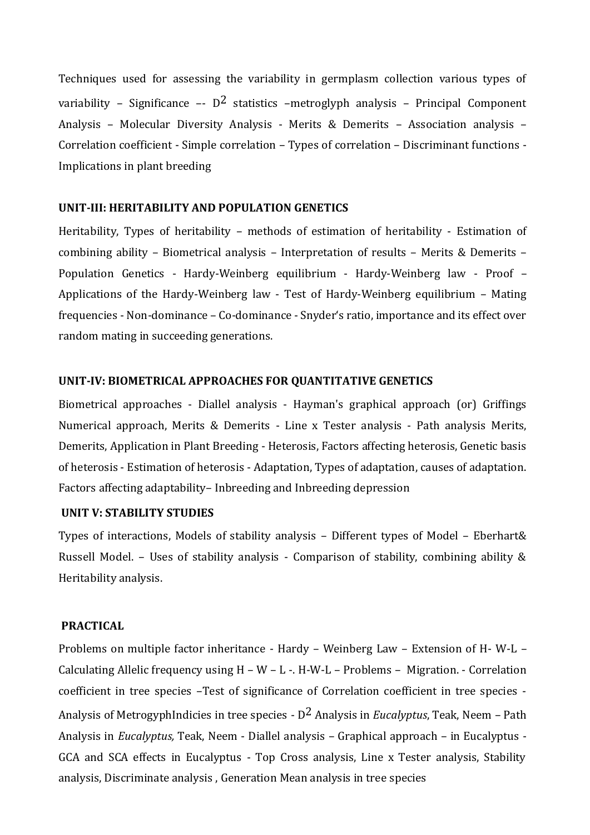Techniques used for assessing the variability in germplasm collection various types of variability – Significance –-  $D^2$  statistics –metroglyph analysis – Principal Component Analysis – Molecular Diversity Analysis - Merits & Demerits – Association analysis – Correlation coefficient - Simple correlation – Types of correlation – Discriminant functions - Implications in plant breeding

#### **UNIT-III: HERITABILITY AND POPULATION GENETICS**

Heritability, Types of heritability – methods of estimation of heritability - Estimation of combining ability – Biometrical analysis – Interpretation of results – Merits & Demerits – Population Genetics - Hardy-Weinberg equilibrium - Hardy-Weinberg law - Proof – Applications of the Hardy-Weinberg law - Test of Hardy-Weinberg equilibrium – Mating frequencies - Non-dominance – Co-dominance - Snyder's ratio, importance and its effect over random mating in succeeding generations.

#### **UNIT-IV: BIOMETRICAL APPROACHES FOR QUANTITATIVE GENETICS**

Biometrical approaches - Diallel analysis - Hayman's graphical approach (or) Griffings Numerical approach, Merits & Demerits - Line x Tester analysis - Path analysis Merits, Demerits, Application in Plant Breeding - Heterosis, Factors affecting heterosis, Genetic basis of heterosis - Estimation of heterosis - Adaptation, Types of adaptation, causes of adaptation. Factors affecting adaptability– Inbreeding and Inbreeding depression

#### **UNIT V: STABILITY STUDIES**

Types of interactions, Models of stability analysis – Different types of Model – Eberhart& Russell Model. – Uses of stability analysis - Comparison of stability, combining ability & Heritability analysis.

#### **PRACTICAL**

Problems on multiple factor inheritance - Hardy – Weinberg Law – Extension of H- W-L – Calculating Allelic frequency using  $H - W - L - H - W - L -$  Problems – Migration. - Correlation coefficient in tree species –Test of significance of Correlation coefficient in tree species - Analysis of MetrogyphIndicies in tree species - D2 Analysis in *Eucalyptus*, Teak, Neem – Path Analysis in *Eucalyptus,* Teak, Neem - Diallel analysis – Graphical approach – in Eucalyptus - GCA and SCA effects in Eucalyptus - Top Cross analysis, Line x Tester analysis, Stability analysis, Discriminate analysis , Generation Mean analysis in tree species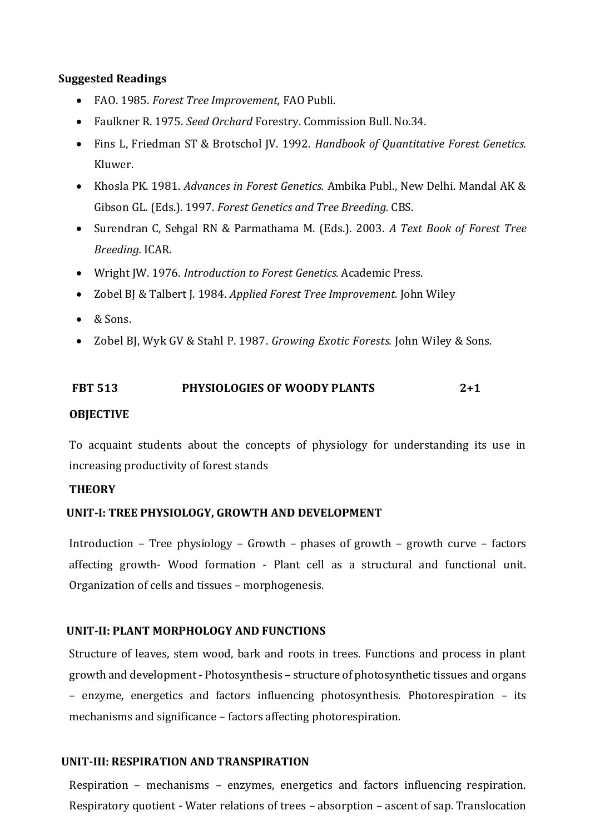#### **Suggested Readings**

- FAO. 1985. *Forest Tree Improvement,* FAO Publi.
- Faulkner R. 1975. *Seed Orchard* Forestry. Commission Bull. No.34.
- Fins L, Friedman ST & Brotschol JV. 1992. *Handbook of Quantitative Forest Genetics.*  Kluwer.
- Khosla PK. 1981. *Advances in Forest Genetics.* Ambika Publ., New Delhi. Mandal AK & Gibson GL. (Eds.). 1997. *Forest Genetics and Tree Breeding.* CBS.
- Surendran C, Sehgal RN & Parmathama M. (Eds.). 2003. *A Text Book of Forest Tree Breeding.* ICAR.
- Wright JW. 1976. *Introduction to Forest Genetics.* Academic Press.
- Zobel BJ & Talbert J. 1984. *Applied Forest Tree Improvement.* John Wiley
- & Sons.
- Zobel BJ, Wyk GV & Stahl P. 1987. *Growing Exotic Forests.* John Wiley & Sons.

# **FBT 513 PHYSIOLOGIES OF WOODY PLANTS 2+1 OBJECTIVE**

To acquaint students about the concepts of physiology for understanding its use in increasing productivity of forest stands

#### **THEORY**

#### **UNIT-I: TREE PHYSIOLOGY, GROWTH AND DEVELOPMENT**

Introduction – Tree physiology – Growth – phases of growth – growth curve – factors affecting growth- Wood formation - Plant cell as a structural and functional unit. Organization of cells and tissues – morphogenesis.

#### **UNIT-II: PLANT MORPHOLOGY AND FUNCTIONS**

Structure of leaves, stem wood, bark and roots in trees. Functions and process in plant growth and development - Photosynthesis – structure of photosynthetic tissues and organs – enzyme, energetics and factors influencing photosynthesis. Photorespiration – its mechanisms and significance – factors affecting photorespiration.

#### **UNIT-III: RESPIRATION AND TRANSPIRATION**

Respiration – mechanisms – enzymes, energetics and factors influencing respiration. Respiratory quotient - Water relations of trees – absorption – ascent of sap. Translocation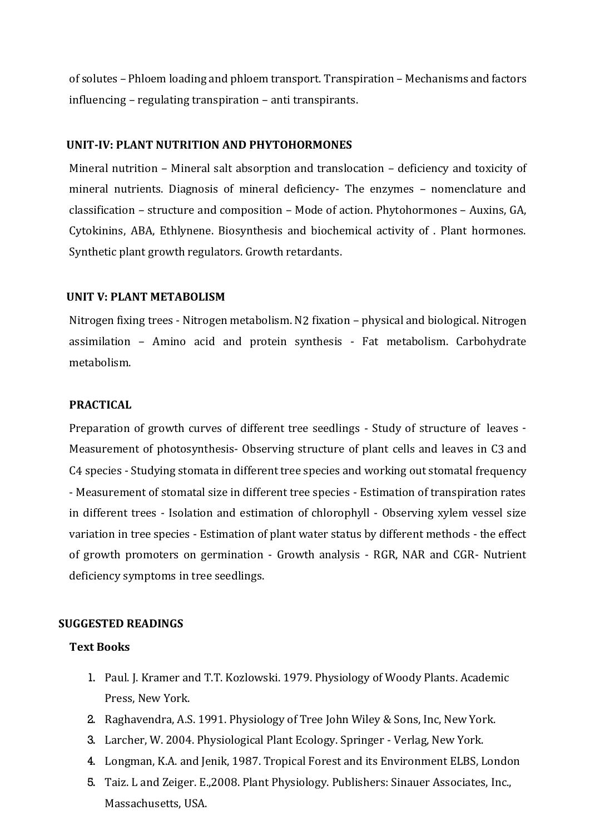of solutes – Phloem loading and phloem transport. Transpiration – Mechanisms and factors influencing – regulating transpiration – anti transpirants.

#### **UNIT-IV: PLANT NUTRITION AND PHYTOHORMONES**

Mineral nutrition – Mineral salt absorption and translocation – deficiency and toxicity of mineral nutrients. Diagnosis of mineral deficiency- The enzymes – nomenclature and classification – structure and composition – Mode of action. Phytohormones – Auxins, GA, Cytokinins, ABA, Ethlynene. Biosynthesis and biochemical activity of . Plant hormones. Synthetic plant growth regulators. Growth retardants.

#### **UNIT V: PLANT METABOLISM**

Nitrogen fixing trees - Nitrogen metabolism. N2 fixation – physical and biological. Nitrogen assimilation – Amino acid and protein synthesis - Fat metabolism. Carbohydrate metabolism.

#### **PRACTICAL**

Preparation of growth curves of different tree seedlings - Study of structure of leaves - Measurement of photosynthesis- Observing structure of plant cells and leaves in C3 and C4 species - Studying stomata in different tree species and working out stomatal frequency - Measurement of stomatal size in different tree species - Estimation of transpiration rates in different trees - Isolation and estimation of chlorophyll - Observing xylem vessel size variation in tree species - Estimation of plant water status by different methods - the effect of growth promoters on germination - Growth analysis - RGR, NAR and CGR- Nutrient deficiency symptoms in tree seedlings.

#### **SUGGESTED READINGS**

#### **Text Books**

- 1. Paul. J. Kramer and T.T. Kozlowski. 1979. Physiology of Woody Plants. Academic Press, New York.
- 2. Raghavendra, A.S. 1991. Physiology of Tree John Wiley & Sons, Inc, New York.
- 3. Larcher, W. 2004. Physiological Plant Ecology. Springer Verlag, New York.
- 4. Longman, K.A. and Jenik, 1987. Tropical Forest and its Environment ELBS, London
- 5. Taiz. L and Zeiger. E.,2008. Plant Physiology. Publishers: Sinauer Associates, Inc., Massachusetts, USA.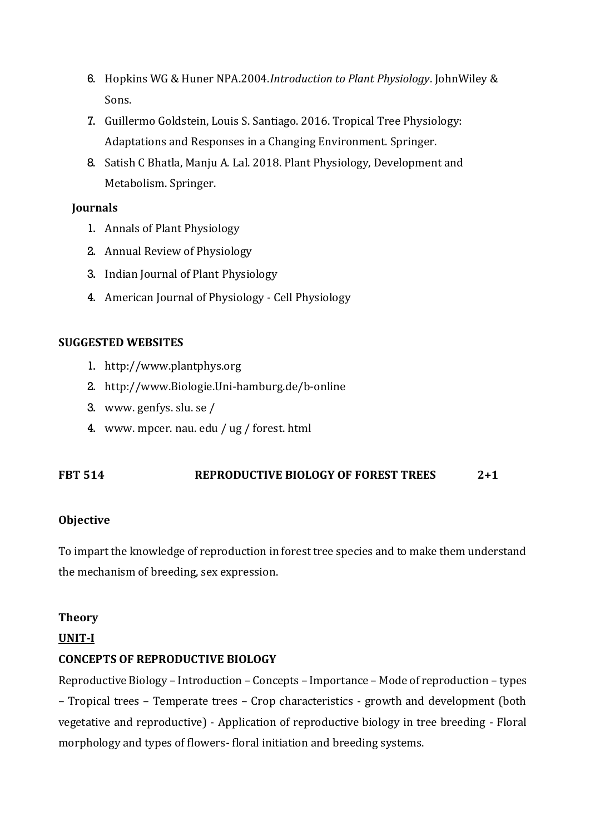- 6. Hopkins WG & Huner NPA.2004.*Introduction to Plant Physiology*. JohnWiley & Sons.
- 7. Guillermo Goldstein, Louis S. Santiago. 2016. Tropical Tree Physiology: Adaptations and Responses in a Changing Environment. Springer.
- 8. Satish C Bhatla, Manju A. Lal. 2018. Plant Physiology, Development and Metabolism. Springer.

#### **Journals**

- 1. Annals of Plant Physiology
- 2. Annual Review of Physiology
- 3. Indian Journal of Plant Physiology
- 4. American Journal of Physiology Cell Physiology

## **SUGGESTED WEBSITES**

- 1. [http://www.plantphys.org](http://www.plantphys.org/)
- 2. [http://www.Biologie.Uni-hamburg.de/b-online](http://www.biologie.uni-hamburg.de/b-online)
- 3. [www.](http://www/) genfys. slu. se /
- 4. [www.](http://www/) mpcer. nau. edu / ug / forest. html

# **FBT 514 REPRODUCTIVE BIOLOGY OF FOREST TREES 2+1**

## **Objective**

To impart the knowledge of reproduction in forest tree species and to make them understand the mechanism of breeding, sex expression.

## **Theory**

## **UNIT-I**

## **CONCEPTS OF REPRODUCTIVE BIOLOGY**

Reproductive Biology – Introduction – Concepts – Importance – Mode of reproduction – types – Tropical trees – Temperate trees – Crop characteristics - growth and development (both vegetative and reproductive) - Application of reproductive biology in tree breeding - Floral morphology and types of flowers- floral initiation and breeding systems.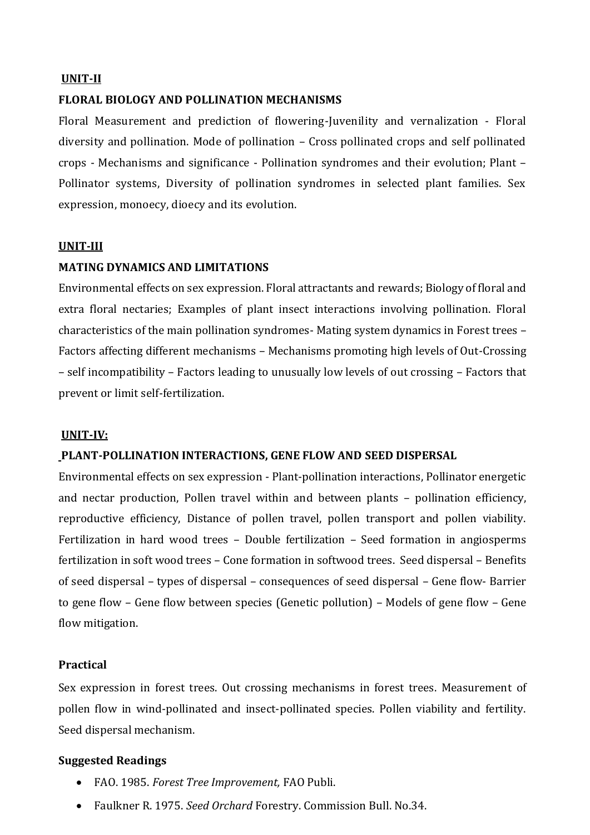#### **UNIT-II**

#### **FLORAL BIOLOGY AND POLLINATION MECHANISMS**

Floral Measurement and prediction of flowering-Juvenility and vernalization - Floral diversity and pollination. Mode of pollination – Cross pollinated crops and self pollinated crops - Mechanisms and significance - Pollination syndromes and their evolution; Plant – Pollinator systems, Diversity of pollination syndromes in selected plant families. Sex expression, monoecy, dioecy and its evolution.

#### **UNIT-III**

#### **MATING DYNAMICS AND LIMITATIONS**

Environmental effects on sex expression. Floral attractants and rewards; Biology of floral and extra floral nectaries; Examples of plant insect interactions involving pollination. Floral characteristics of the main pollination syndromes- Mating system dynamics in Forest trees – Factors affecting different mechanisms – Mechanisms promoting high levels of Out-Crossing – self incompatibility – Factors leading to unusually low levels of out crossing – Factors that prevent or limit self-fertilization.

#### **UNIT-IV:**

#### **PLANT-POLLINATION INTERACTIONS, GENE FLOW AND SEED DISPERSAL**

Environmental effects on sex expression - Plant-pollination interactions, Pollinator energetic and nectar production, Pollen travel within and between plants – pollination efficiency, reproductive efficiency, Distance of pollen travel, pollen transport and pollen viability. Fertilization in hard wood trees – Double fertilization – Seed formation in angiosperms fertilization in soft wood trees – Cone formation in softwood trees. Seed dispersal – Benefits of seed dispersal – types of dispersal – consequences of seed dispersal – Gene flow- Barrier to gene flow – Gene flow between species (Genetic pollution) – Models of gene flow – Gene flow mitigation.

#### **Practical**

Sex expression in forest trees. Out crossing mechanisms in forest trees. Measurement of pollen flow in wind-pollinated and insect-pollinated species. Pollen viability and fertility. Seed dispersal mechanism.

#### **Suggested Readings**

- FAO. 1985. *Forest Tree Improvement,* FAO Publi.
- Faulkner R. 1975. *Seed Orchard* Forestry. Commission Bull. No.34.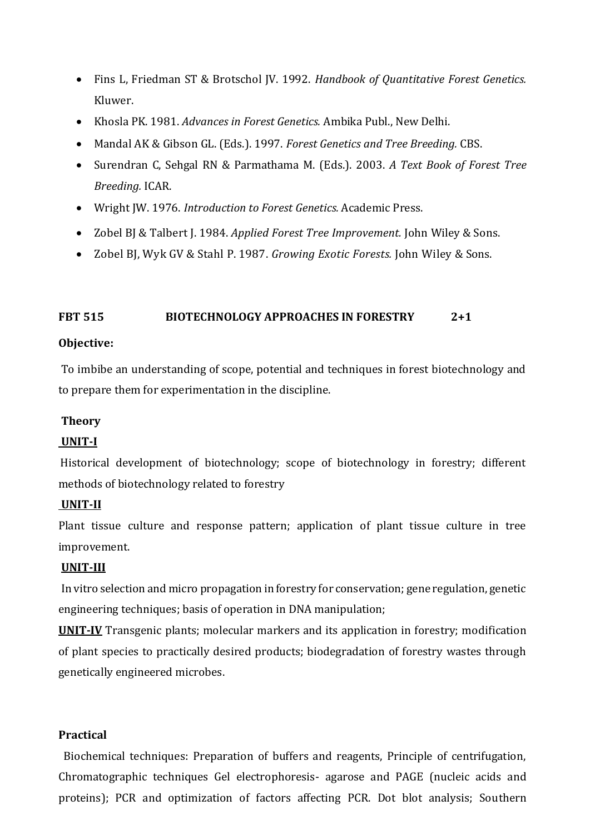- Fins L, Friedman ST & Brotschol JV. 1992. *Handbook of Quantitative Forest Genetics.*  Kluwer.
- Khosla PK. 1981. *Advances in Forest Genetics.* Ambika Publ., New Delhi.
- Mandal AK & Gibson GL. (Eds.). 1997. *Forest Genetics and Tree Breeding.* CBS.
- Surendran C, Sehgal RN & Parmathama M. (Eds.). 2003. *A Text Book of Forest Tree Breeding.* ICAR.
- Wright JW. 1976. *Introduction to Forest Genetics.* Academic Press.
- Zobel BJ & Talbert J. 1984. *Applied Forest Tree Improvement.* John Wiley & Sons.
- Zobel BJ, Wyk GV & Stahl P. 1987. *Growing Exotic Forests.* John Wiley & Sons.

# **FBT 515 BIOTECHNOLOGY APPROACHES IN FORESTRY 2+1**

# **Objective:**

To imbibe an understanding of scope, potential and techniques in forest biotechnology and to prepare them for experimentation in the discipline.

# **Theory**

# **UNIT-I**

 Historical development of biotechnology; scope of biotechnology in forestry; different methods of biotechnology related to forestry

# **UNIT-II**

Plant tissue culture and response pattern; application of plant tissue culture in tree improvement.

# **UNIT-III**

In vitro selection and micro propagation in forestry for conservation; gene regulation, genetic engineering techniques; basis of operation in DNA manipulation;

**UNIT-IV** Transgenic plants; molecular markers and its application in forestry; modification of plant species to practically desired products; biodegradation of forestry wastes through genetically engineered microbes.

# **Practical**

 Biochemical techniques: Preparation of buffers and reagents, Principle of centrifugation, Chromatographic techniques Gel electrophoresis- agarose and PAGE (nucleic acids and proteins); PCR and optimization of factors affecting PCR. Dot blot analysis; Southern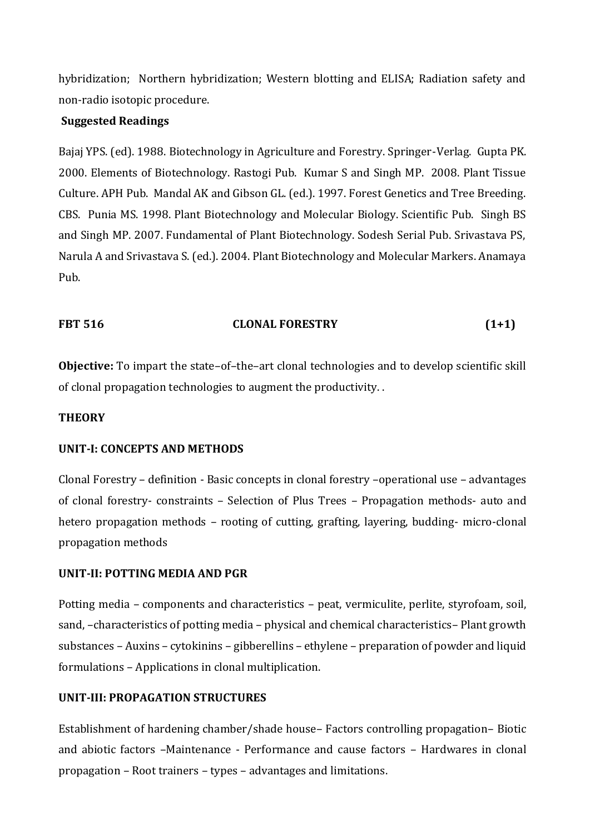hybridization; Northern hybridization; Western blotting and ELISA; Radiation safety and non-radio isotopic procedure.

#### **Suggested Readings**

Bajaj YPS. (ed). 1988. Biotechnology in Agriculture and Forestry. Springer-Verlag. Gupta PK. 2000. Elements of Biotechnology. Rastogi Pub. Kumar S and Singh MP. 2008. Plant Tissue Culture. APH Pub. Mandal AK and Gibson GL. (ed.). 1997. Forest Genetics and Tree Breeding. CBS. Punia MS. 1998. Plant Biotechnology and Molecular Biology. Scientific Pub. Singh BS and Singh MP. 2007. Fundamental of Plant Biotechnology. Sodesh Serial Pub. Srivastava PS, Narula A and Srivastava S. (ed.). 2004. Plant Biotechnology and Molecular Markers. Anamaya Pub.

# FBT 516 CLONAL FORESTRY (1+1)

**Objective:** To impart the state–of–the–art clonal technologies and to develop scientific skill of clonal propagation technologies to augment the productivity. .

#### **THEORY**

## **UNIT-I: CONCEPTS AND METHODS**

Clonal Forestry – definition - Basic concepts in clonal forestry –operational use – advantages of clonal forestry- constraints – Selection of Plus Trees – Propagation methods- auto and hetero propagation methods – rooting of cutting, grafting, layering, budding- micro-clonal propagation methods

## **UNIT-II: POTTING MEDIA AND PGR**

Potting media – components and characteristics – peat, vermiculite, perlite, styrofoam, soil, sand, –characteristics of potting media – physical and chemical characteristics– Plant growth substances – Auxins – cytokinins – gibberellins – ethylene – preparation of powder and liquid formulations – Applications in clonal multiplication.

## **UNIT-III: PROPAGATION STRUCTURES**

Establishment of hardening chamber/shade house– Factors controlling propagation– Biotic and abiotic factors –Maintenance - Performance and cause factors – Hardwares in clonal propagation – Root trainers – types – advantages and limitations.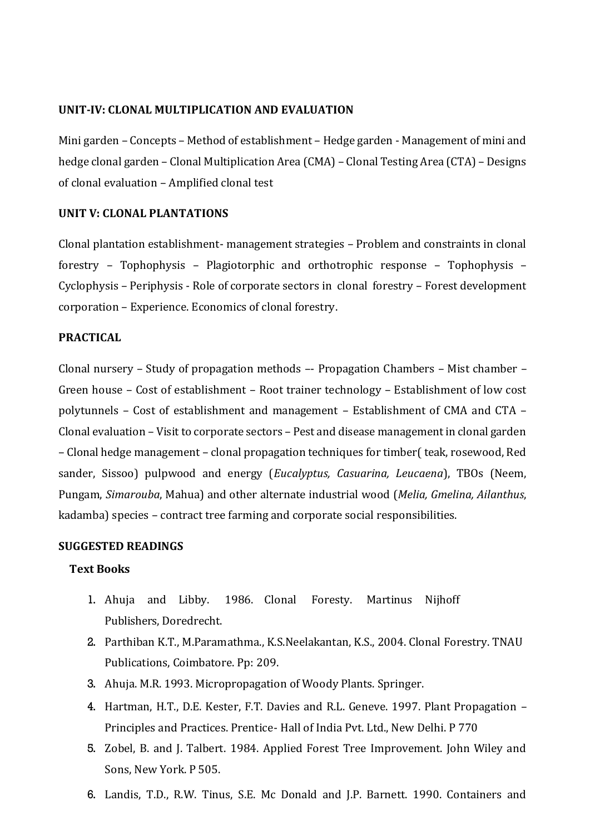## **UNIT-IV: CLONAL MULTIPLICATION AND EVALUATION**

Mini garden – Concepts – Method of establishment – Hedge garden - Management of mini and hedge clonal garden – Clonal Multiplication Area (CMA) – Clonal Testing Area (CTA) – Designs of clonal evaluation – Amplified clonal test

# **UNIT V: CLONAL PLANTATIONS**

Clonal plantation establishment- management strategies – Problem and constraints in clonal forestry – Tophophysis – Plagiotorphic and orthotrophic response – Tophophysis – Cyclophysis – Periphysis - Role of corporate sectors in clonal forestry – Forest development corporation – Experience. Economics of clonal forestry.

## **PRACTICAL**

Clonal nursery – Study of propagation methods –- Propagation Chambers – Mist chamber – Green house – Cost of establishment – Root trainer technology – Establishment of low cost polytunnels – Cost of establishment and management – Establishment of CMA and CTA – Clonal evaluation – Visit to corporate sectors – Pest and disease management in clonal garden – Clonal hedge management – clonal propagation techniques for timber( teak, rosewood, Red sander, Sissoo) pulpwood and energy (*Eucalyptus, Casuarina, Leucaena*), TBOs (Neem, Pungam, *Simarouba*, Mahua) and other alternate industrial wood (*Melia, Gmelina, Ailanthus*, kadamba) species – contract tree farming and corporate social responsibilities.

## **SUGGESTED READINGS**

## **Text Books**

- 1. Ahuja and Libby. 1986. Clonal Foresty. Martinus Nijhoff Publishers, Doredrecht.
- 2. Parthiban K.T., M.Paramathma., K.S.Neelakantan, K.S., 2004. Clonal Forestry. TNAU Publications, Coimbatore. Pp: 209.
- 3. Ahuja. M.R. 1993. Micropropagation of Woody Plants. Springer.
- 4. Hartman, H.T., D.E. Kester, F.T. Davies and R.L. Geneve. 1997. Plant Propagation Principles and Practices. Prentice- Hall of India Pvt. Ltd., New Delhi. P 770
- 5. Zobel, B. and J. Talbert. 1984. Applied Forest Tree Improvement. John Wiley and Sons, New York. P 505.
- 6. Landis, T.D., R.W. Tinus, S.E. Mc Donald and J.P. Barnett. 1990. Containers and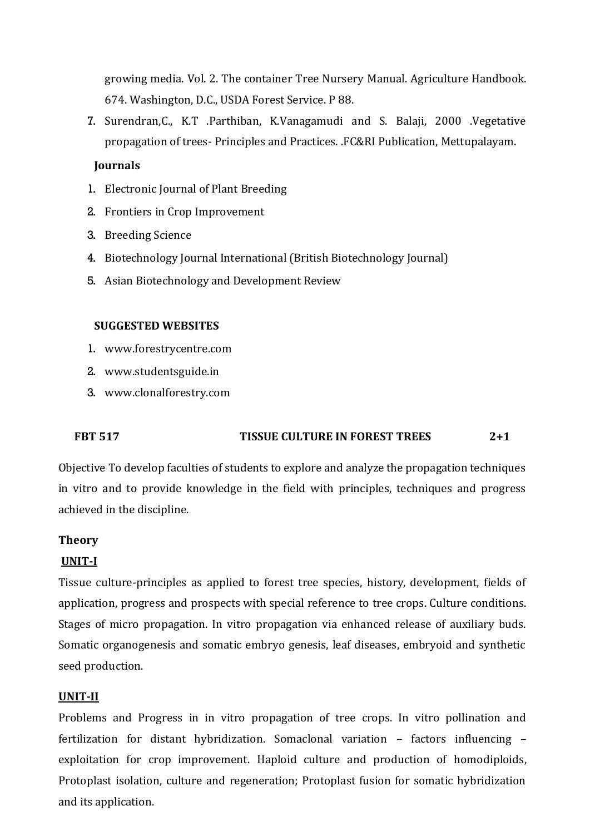growing media. Vol. 2. The container Tree Nursery Manual. Agriculture Handbook. 674. Washington, D.C., USDA Forest Service. P 88.

7. Surendran,C., K.T .Parthiban, K.Vanagamudi and S. Balaji, 2000 .Vegetative propagation of trees- Principles and Practices. .FC&RI Publication, Mettupalayam.

## **Journals**

- 1. Electronic Journal of Plant Breeding
- 2. Frontiers in Crop Improvement
- 3. Breeding Science
- 4. Biotechnology Journal International (British Biotechnology Journal)
- 5. Asian Biotechnology and Development Review

#### **SUGGESTED WEBSITES**

- 1. [www.forestrycentre.com](http://www.forestrycentre.com/)
- 2. [www.studentsguide.in](http://www.studentsguide.in/)
- 3. [www.clonalforestry.com](http://www.clonalforestry.com/)

## **FBT 517 TISSUE CULTURE IN FOREST TREES 2+1**

Objective To develop faculties of students to explore and analyze the propagation techniques in vitro and to provide knowledge in the field with principles, techniques and progress achieved in the discipline.

#### **Theory**

#### **UNIT-I**

Tissue culture-principles as applied to forest tree species, history, development, fields of application, progress and prospects with special reference to tree crops. Culture conditions. Stages of micro propagation. In vitro propagation via enhanced release of auxiliary buds. Somatic organogenesis and somatic embryo genesis, leaf diseases, embryoid and synthetic seed production.

#### **UNIT-II**

Problems and Progress in in vitro propagation of tree crops. In vitro pollination and fertilization for distant hybridization. Somaclonal variation – factors influencing – exploitation for crop improvement. Haploid culture and production of homodiploids, Protoplast isolation, culture and regeneration; Protoplast fusion for somatic hybridization and its application.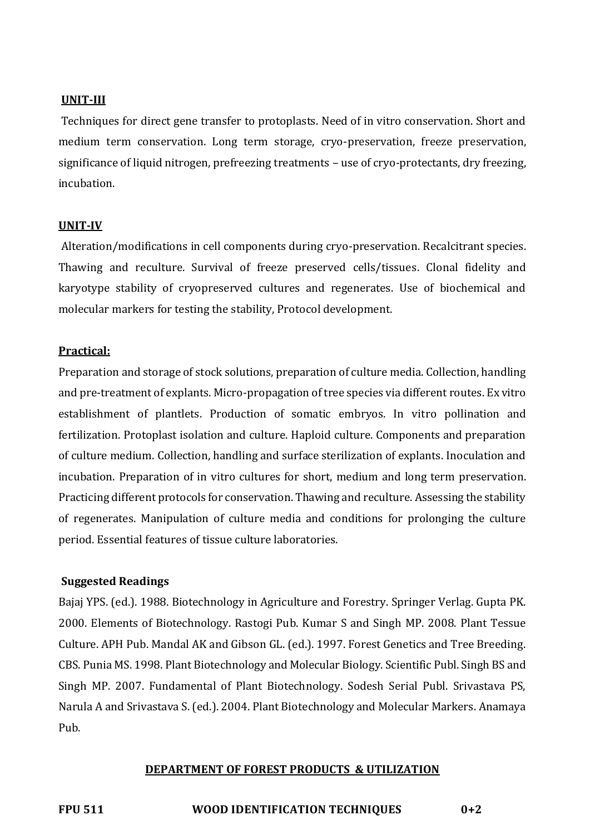## **UNIT-III**

Techniques for direct gene transfer to protoplasts. Need of in vitro conservation. Short and medium term conservation. Long term storage, cryo-preservation, freeze preservation, significance of liquid nitrogen, prefreezing treatments – use of cryo-protectants, dry freezing, incubation.

#### **UNIT-IV**

Alteration/modifications in cell components during cryo-preservation. Recalcitrant species. Thawing and reculture. Survival of freeze preserved cells/tissues. Clonal fidelity and karyotype stability of cryopreserved cultures and regenerates. Use of biochemical and molecular markers for testing the stability, Protocol development.

#### **Practical:**

Preparation and storage of stock solutions, preparation of culture media. Collection, handling and pre-treatment of explants. Micro-propagation of tree species via different routes. Ex vitro establishment of plantlets. Production of somatic embryos. In vitro pollination and fertilization. Protoplast isolation and culture. Haploid culture. Components and preparation of culture medium. Collection, handling and surface sterilization of explants. Inoculation and incubation. Preparation of in vitro cultures for short, medium and long term preservation. Practicing different protocols for conservation. Thawing and reculture. Assessing the stability of regenerates. Manipulation of culture media and conditions for prolonging the culture period. Essential features of tissue culture laboratories.

#### **Suggested Readings**

Bajaj YPS. (ed.). 1988. Biotechnology in Agriculture and Forestry. Springer Verlag. Gupta PK. 2000. Elements of Biotechnology. Rastogi Pub. Kumar S and Singh MP. 2008. Plant Tessue Culture. APH Pub. Mandal AK and Gibson GL. (ed.). 1997. Forest Genetics and Tree Breeding. CBS. Punia MS. 1998. Plant Biotechnology and Molecular Biology. Scientific Publ. Singh BS and Singh MP. 2007. Fundamental of Plant Biotechnology. Sodesh Serial Publ. Srivastava PS, Narula A and Srivastava S. (ed.). 2004. Plant Biotechnology and Molecular Markers. Anamaya Pub.

#### **DEPARTMENT OF FOREST PRODUCTS & UTILIZATION**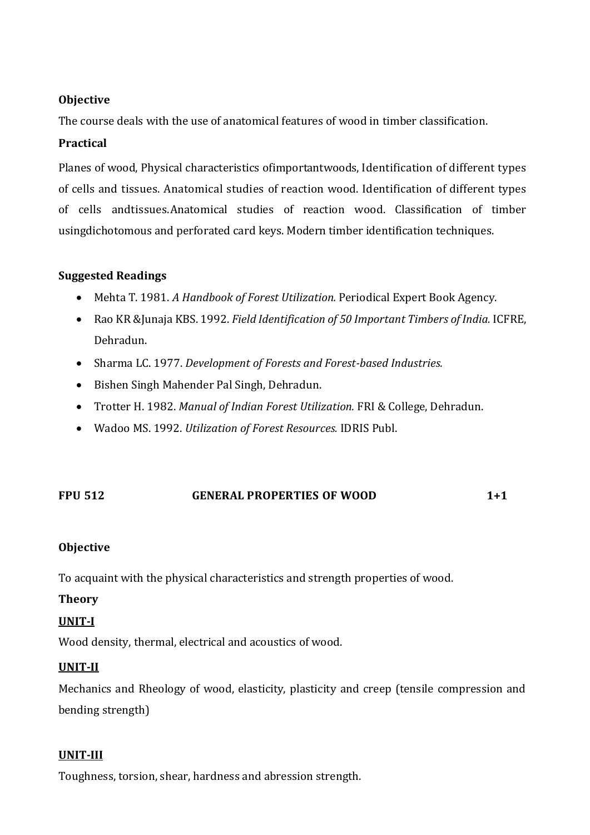# **Objective**

The course deals with the use of anatomical features of wood in timber classification.

# **Practical**

Planes of wood, Physical characteristics ofimportantwoods, Identification of different types of cells and tissues. Anatomical studies of reaction wood. Identification of different types of cells andtissues.Anatomical studies of reaction wood. Classification of timber usingdichotomous and perforated card keys. Modern timber identification techniques.

# **Suggested Readings**

- Mehta T. 1981. *A Handbook of Forest Utilization.* Periodical Expert Book Agency.
- Rao KR &Junaja KBS. 1992. *Field Identification of 50 Important Timbers of India.* ICFRE, Dehradun.
- Sharma LC. 1977. *Development of Forests and Forest-based Industries.*
- Bishen Singh Mahender Pal Singh, Dehradun.
- Trotter H. 1982. *Manual of Indian Forest Utilization.* FRI & College, Dehradun.
- Wadoo MS. 1992. *Utilization of Forest Resources.* IDRIS Publ.

# **FPU 512 GENERAL PROPERTIES OF WOOD 1+1**

# **Objective**

To acquaint with the physical characteristics and strength properties of wood.

# **Theory**

# **UNIT-I**

Wood density, thermal, electrical and acoustics of wood.

# **UNIT-II**

Mechanics and Rheology of wood, elasticity, plasticity and creep (tensile compression and bending strength)

# **UNIT-III**

Toughness, torsion, shear, hardness and abression strength.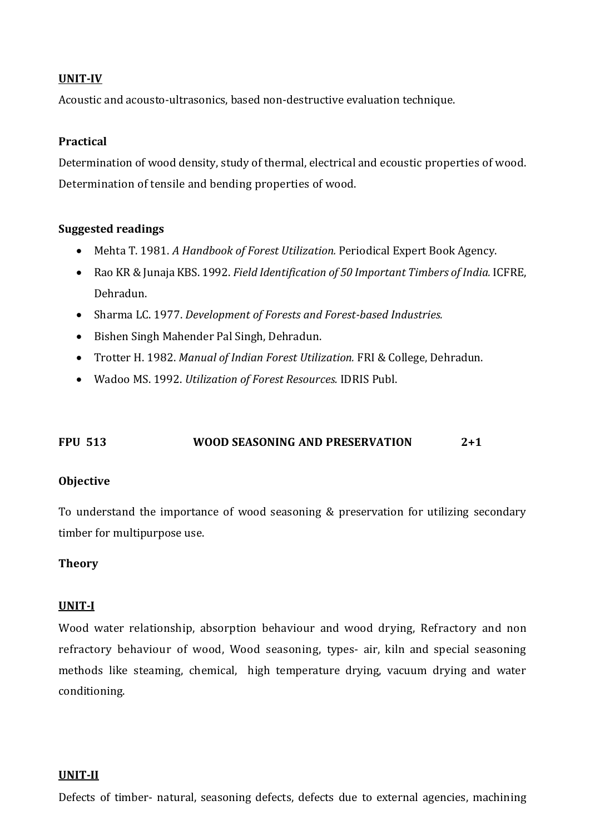## **UNIT-IV**

Acoustic and acousto-ultrasonics, based non-destructive evaluation technique.

#### **Practical**

Determination of wood density, study of thermal, electrical and ecoustic properties of wood. Determination of tensile and bending properties of wood.

#### **Suggested readings**

- Mehta T. 1981. *A Handbook of Forest Utilization.* Periodical Expert Book Agency.
- Rao KR & Junaja KBS. 1992. *Field Identification of 50 Important Timbers of India.* ICFRE, Dehradun.
- Sharma LC. 1977. *Development of Forests and Forest-based Industries.*
- Bishen Singh Mahender Pal Singh, Dehradun.
- Trotter H. 1982. *Manual of Indian Forest Utilization.* FRI & College, Dehradun.
- Wadoo MS. 1992. *Utilization of Forest Resources.* IDRIS Publ.

## **FPU 513 WOOD SEASONING AND PRESERVATION 2+1**

## **Objective**

To understand the importance of wood seasoning & preservation for utilizing secondary timber for multipurpose use.

#### **Theory**

#### **UNIT-I**

Wood water relationship, absorption behaviour and wood drying, Refractory and non refractory behaviour of wood, Wood seasoning, types- air, kiln and special seasoning methods like steaming, chemical, high temperature drying, vacuum drying and water conditioning.

#### **UNIT-II**

Defects of timber- natural, seasoning defects, defects due to external agencies, machining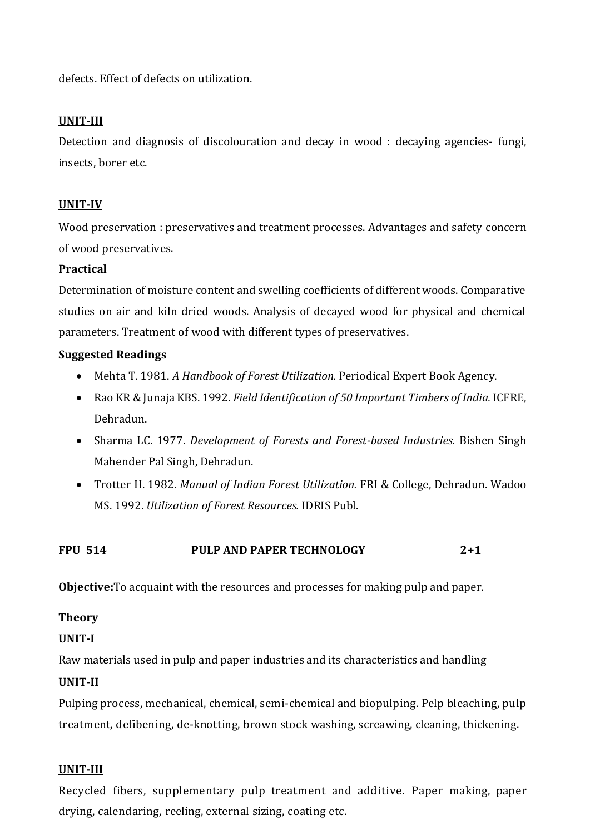defects. Effect of defects on utilization.

#### **UNIT-III**

Detection and diagnosis of discolouration and decay in wood : decaying agencies- fungi, insects, borer etc.

#### **UNIT-IV**

Wood preservation : preservatives and treatment processes. Advantages and safety concern of wood preservatives.

#### **Practical**

Determination of moisture content and swelling coefficients of different woods. Comparative studies on air and kiln dried woods. Analysis of decayed wood for physical and chemical parameters. Treatment of wood with different types of preservatives.

## **Suggested Readings**

- Mehta T. 1981. *A Handbook of Forest Utilization.* Periodical Expert Book Agency.
- Rao KR & Junaja KBS. 1992. *Field Identification of 50 Important Timbers of India.* ICFRE, Dehradun.
- Sharma LC. 1977. *Development of Forests and Forest-based Industries.* Bishen Singh Mahender Pal Singh, Dehradun.
- Trotter H. 1982. *Manual of Indian Forest Utilization.* FRI & College, Dehradun. Wadoo MS. 1992. *Utilization of Forest Resources.* IDRIS Publ.

| <b>FPU 514</b> | PULP AND PAPER TECHNOLOGY |  |
|----------------|---------------------------|--|
|                |                           |  |

**Objective:**To acquaint with the resources and processes for making pulp and paper.

#### **Theory**

#### **UNIT-I**

Raw materials used in pulp and paper industries and its characteristics and handling

#### **UNIT-II**

Pulping process, mechanical, chemical, semi-chemical and biopulping. Pelp bleaching, pulp treatment, defibening, de-knotting, brown stock washing, screawing, cleaning, thickening.

## **UNIT-III**

Recycled fibers, supplementary pulp treatment and additive. Paper making, paper drying, calendaring, reeling, external sizing, coating etc.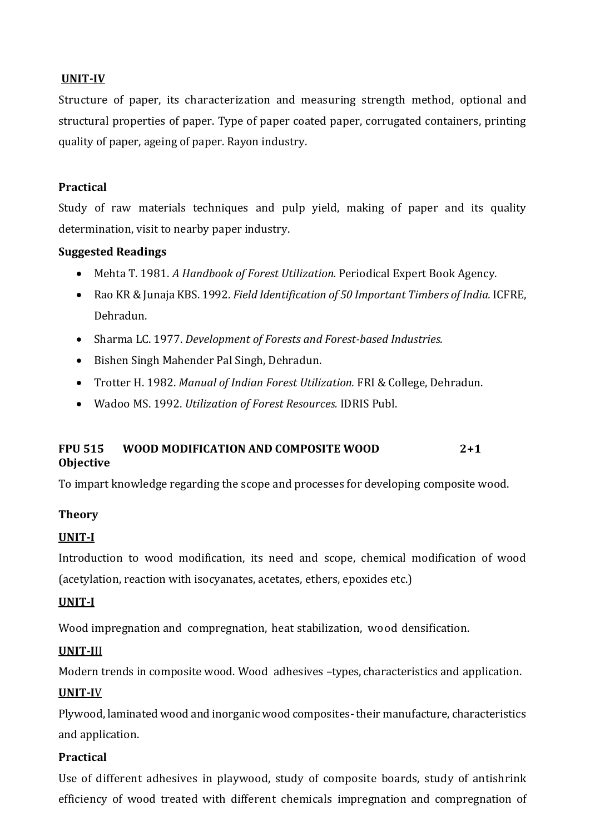# **UNIT-IV**

Structure of paper, its characterization and measuring strength method, optional and structural properties of paper. Type of paper coated paper, corrugated containers, printing quality of paper, ageing of paper. Rayon industry.

# **Practical**

Study of raw materials techniques and pulp yield, making of paper and its quality determination, visit to nearby paper industry.

## **Suggested Readings**

- Mehta T. 1981. *A Handbook of Forest Utilization.* Periodical Expert Book Agency.
- Rao KR & Junaja KBS. 1992. *Field Identification of 50 Important Timbers of India.* ICFRE, Dehradun.
- Sharma LC. 1977. *Development of Forests and Forest-based Industries.*
- Bishen Singh Mahender Pal Singh, Dehradun.
- Trotter H. 1982. *Manual of Indian Forest Utilization.* FRI & College, Dehradun.
- Wadoo MS. 1992. *Utilization of Forest Resources.* IDRIS Publ.

# **FPU 515 WOOD MODIFICATION AND COMPOSITE WOOD 2+1 Objective**

To impart knowledge regarding the scope and processes for developing composite wood.

# **Theory**

# **UNIT-I**

Introduction to wood modification, its need and scope, chemical modification of wood (acetylation, reaction with isocyanates, acetates, ethers, epoxides etc.)

## **UNIT-I**

Wood impregnation and compregnation, heat stabilization, wood densification.

## **UNIT-I**II

Modern trends in composite wood. Wood adhesives –types, characteristics and application.

# **UNIT-I**V

Plywood, laminated wood and inorganic wood composites-their manufacture, characteristics and application.

# **Practical**

Use of different adhesives in playwood, study of composite boards, study of antishrink efficiency of wood treated with different chemicals impregnation and compregnation of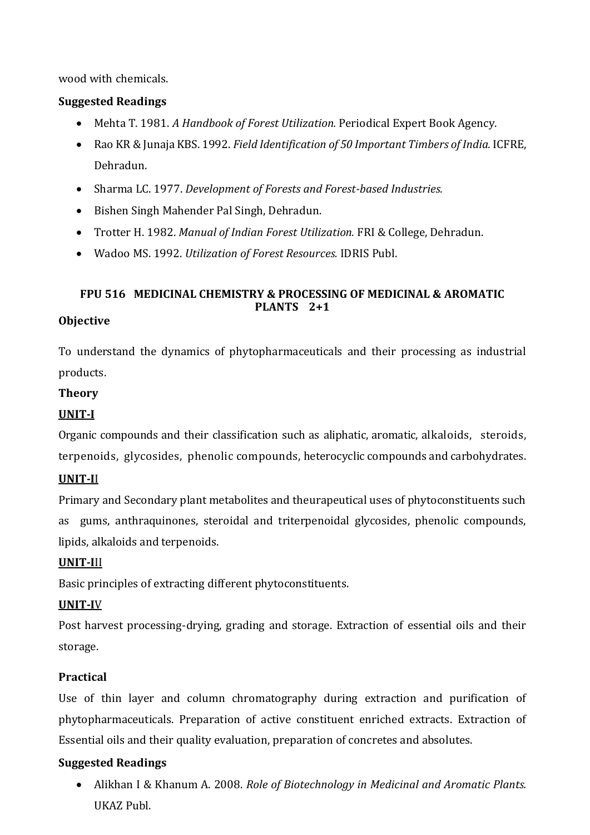wood with chemicals.

# **Suggested Readings**

- Mehta T. 1981. *A Handbook of Forest Utilization.* Periodical Expert Book Agency.
- Rao KR & Junaja KBS. 1992. *Field Identification of 50 Important Timbers of India.* ICFRE, Dehradun.
- Sharma LC. 1977. *Development of Forests and Forest-based Industries.*
- Bishen Singh Mahender Pal Singh, Dehradun.
- Trotter H. 1982. *Manual of Indian Forest Utilization.* FRI & College, Dehradun.
- Wadoo MS. 1992. *Utilization of Forest Resources.* IDRIS Publ.

# **FPU 516 MEDICINAL CHEMISTRY & PROCESSING OF MEDICINAL & AROMATIC PLANTS 2+1**

# **Objective**

To understand the dynamics of phytopharmaceuticals and their processing as industrial products.

# **Theory**

# **UNIT-I**

Organic compounds and their classification such as aliphatic, aromatic, alkaloids, steroids, terpenoids, glycosides, phenolic compounds, heterocyclic compounds and carbohydrates.

# **UNIT-I**I

Primary and Secondary plant metabolites and theurapeutical uses of phytoconstituents such as gums, anthraquinones, steroidal and triterpenoidal glycosides, phenolic compounds, lipids, alkaloids and terpenoids.

# **UNIT-I**II

Basic principles of extracting different phytoconstituents.

# **UNIT-I**V

Post harvest processing-drying, grading and storage. Extraction of essential oils and their storage.

# **Practical**

Use of thin layer and column chromatography during extraction and purification of phytopharmaceuticals. Preparation of active constituent enriched extracts. Extraction of Essential oils and their quality evaluation, preparation of concretes and absolutes.

# **Suggested Readings**

• Alikhan I & Khanum A. 2008. *Role of Biotechnology in Medicinal and Aromatic Plants.*  UKAZ Publ.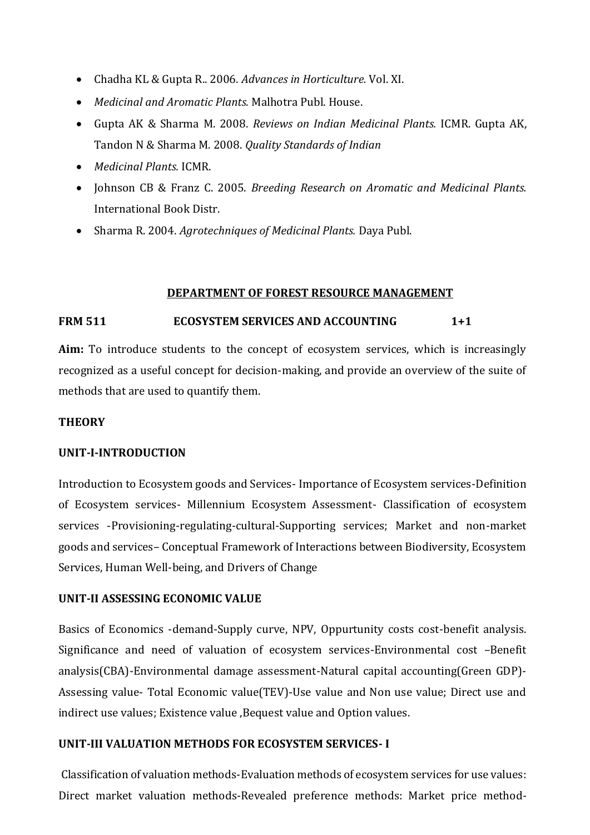- Chadha KL & Gupta R.. 2006. *Advances in Horticulture.* Vol. XI.
- *Medicinal and Aromatic Plants.* Malhotra Publ. House.
- Gupta AK & Sharma M. 2008. *Reviews on Indian Medicinal Plants.* ICMR. Gupta AK, Tandon N & Sharma M. 2008. *Quality Standards of Indian*
- *Medicinal Plants.* ICMR.
- Johnson CB & Franz C. 2005. *Breeding Research on Aromatic and Medicinal Plants.*  International Book Distr.
- Sharma R. 2004. *Agrotechniques of Medicinal Plants.* Daya Publ.

#### **DEPARTMENT OF FOREST RESOURCE MANAGEMENT**

# **FRM 511 ECOSYSTEM SERVICES AND ACCOUNTING 1+1**

**Aim:** To introduce students to the concept of ecosystem services, which is increasingly recognized as a useful concept for decision-making, and provide an overview of the suite of methods that are used to quantify them.

## **THEORY**

#### **UNIT-I-INTRODUCTION**

Introduction to Ecosystem goods and Services- Importance of Ecosystem services-Definition of Ecosystem services- Millennium Ecosystem Assessment- Classification of ecosystem services -Provisioning-regulating-cultural-Supporting services; Market and non-market goods and services– Conceptual Framework of Interactions between Biodiversity, Ecosystem Services, Human Well-being, and Drivers of Change

## **UNIT-II ASSESSING ECONOMIC VALUE**

Basics of Economics -demand-Supply curve, NPV, Oppurtunity costs cost-benefit analysis. Significance and need of valuation of ecosystem services-Environmental cost –Benefit analysis(CBA)-Environmental damage assessment-Natural capital accounting(Green GDP)- Assessing value- Total Economic value(TEV)-Use value and Non use value; Direct use and indirect use values; Existence value ,Bequest value and Option values.

#### **UNIT-III VALUATION METHODS FOR ECOSYSTEM SERVICES- I**

Classification of valuation methods-Evaluation methods of ecosystem services for use values: Direct market valuation methods-Revealed preference methods: Market price method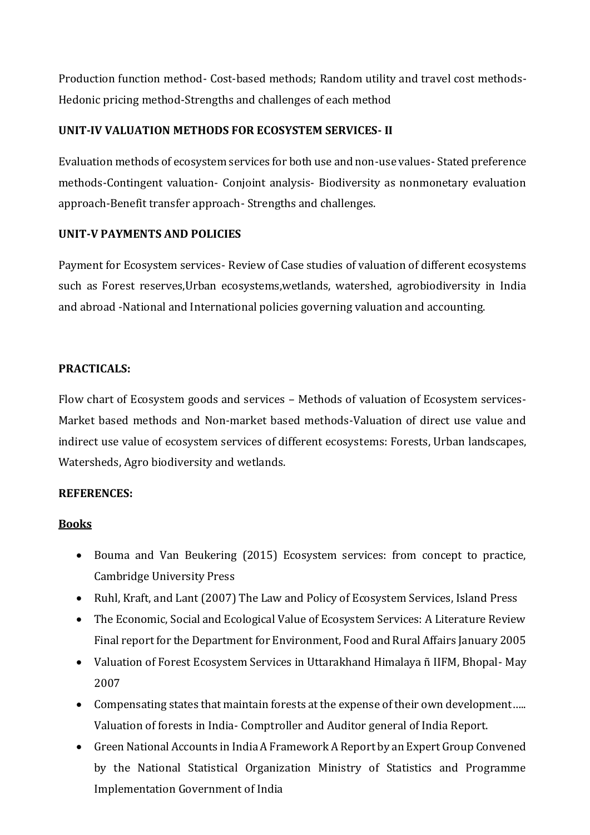Production function method- Cost-based methods; Random utility and travel cost methods-Hedonic pricing method-Strengths and challenges of each method

# **UNIT-IV VALUATION METHODS FOR ECOSYSTEM SERVICES- II**

Evaluation methods of ecosystem services for both use and non-use values- Stated preference methods-Contingent valuation- Conjoint analysis- Biodiversity as nonmonetary evaluation approach-Benefit transfer approach- Strengths and challenges.

# **UNIT-V PAYMENTS AND POLICIES**

Payment for Ecosystem services- Review of Case studies of valuation of different ecosystems such as Forest reserves,Urban ecosystems,wetlands, watershed, agrobiodiversity in India and abroad -National and International policies governing valuation and accounting.

# **PRACTICALS:**

Flow chart of Ecosystem goods and services – Methods of valuation of Ecosystem services-Market based methods and Non-market based methods-Valuation of direct use value and indirect use value of ecosystem services of different ecosystems: Forests, Urban landscapes, Watersheds, Agro biodiversity and wetlands.

# **REFERENCES:**

# **Books**

- Bouma and Van Beukering (2015) Ecosystem services: from concept to practice, Cambridge University Press
- Ruhl, Kraft, and Lant (2007) The Law and Policy of Ecosystem Services, Island Press
- The Economic, Social and Ecological Value of Ecosystem Services: A Literature Review Final report for the Department for Environment, Food and Rural Affairs January 2005
- Valuation of Forest Ecosystem Services in Uttarakhand Himalaya ñ IIFM, Bhopal- May 2007
- Compensating states that maintain forests at the expense of their own development..... Valuation of forests in India- Comptroller and Auditor general of India Report.
- Green National Accounts in India A Framework A Report by an Expert Group Convened by the National Statistical Organization Ministry of Statistics and Programme Implementation Government of India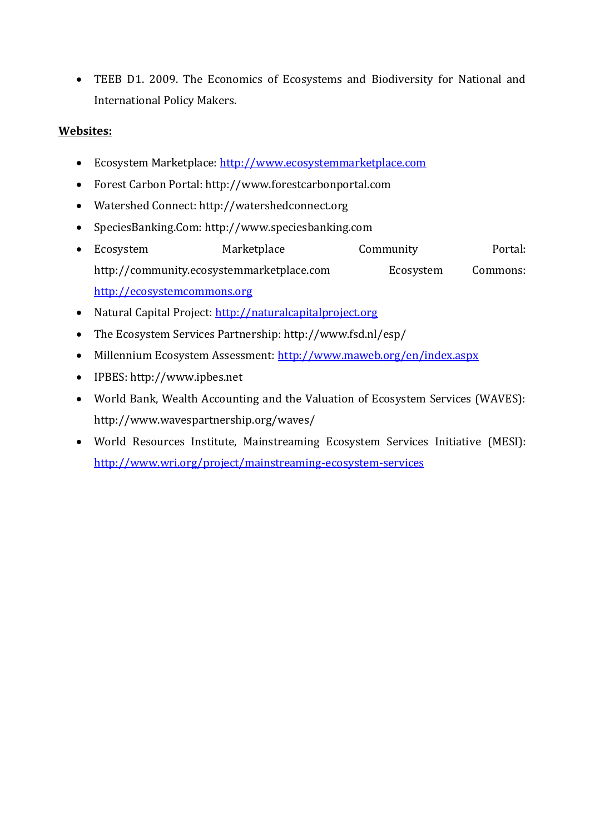• TEEB D1. 2009. The Economics of Ecosystems and Biodiversity for National and International Policy Makers.

# **Websites:**

- Ecosystem Marketplace: [http://www.ecosystemmarketplace.com](http://www.ecosystemmarketplace.com/)
- Forest Carbon Portal: http://www.forestcarbonportal.com
- Watershed Connect: http://watershedconnect.org
- SpeciesBanking.Com: http://www.speciesbanking.com
- Ecosystem Marketplace Community Portal: http://community.ecosystemmarketplace.com Ecosystem Commons: [http://ecosystemcommons.org](http://ecosystemcommons.org/)
- Natural Capital Project: [http://naturalcapitalproject.org](http://naturalcapitalproject.org/)
- The Ecosystem Services Partnership: http://www.fsd.nl/esp/
- Millennium Ecosystem Assessment:<http://www.maweb.org/en/index.aspx>
- IPBES: http://www.ipbes.net
- World Bank, Wealth Accounting and the Valuation of Ecosystem Services (WAVES): http://www.wavespartnership.org/waves/
- World Resources Institute, Mainstreaming Ecosystem Services Initiative (MESI): <http://www.wri.org/project/mainstreaming-ecosystem-services>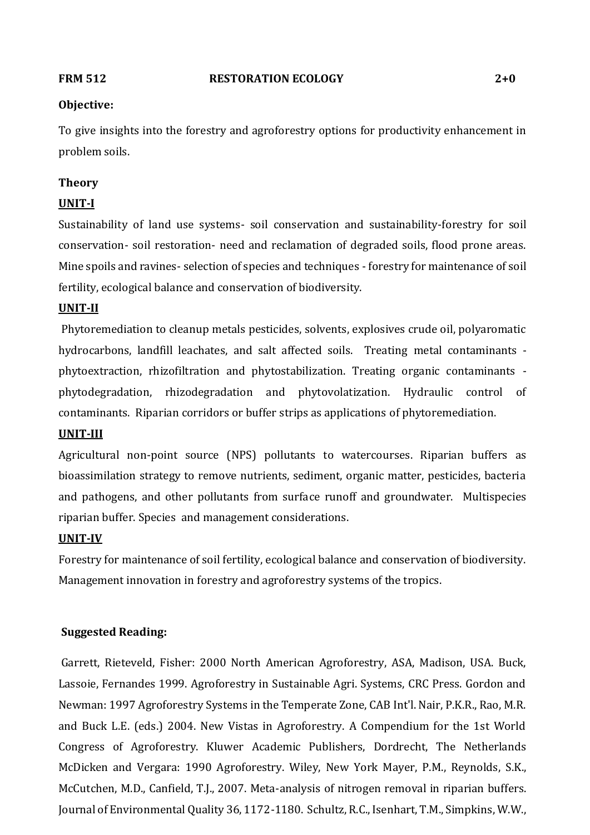#### **FRM 512 RESTORATION ECOLOGY 2+0**

#### **Objective:**

To give insights into the forestry and agroforestry options for productivity enhancement in problem soils.

## **Theory**

## **UNIT-I**

Sustainability of land use systems- soil conservation and sustainability-forestry for soil conservation- soil restoration- need and reclamation of degraded soils, flood prone areas. Mine spoils and ravines- selection of species and techniques - forestry for maintenance of soil fertility, ecological balance and conservation of biodiversity.

#### **UNIT-II**

Phytoremediation to cleanup metals pesticides, solvents, explosives crude oil, polyaromatic hydrocarbons, landfill leachates, and salt affected soils. Treating metal contaminants phytoextraction, rhizofiltration and phytostabilization. Treating organic contaminants phytodegradation, rhizodegradation and phytovolatization. Hydraulic control of contaminants. Riparian corridors or buffer strips as applications of phytoremediation.

#### **UNIT-III**

Agricultural non-point source (NPS) pollutants to watercourses. Riparian buffers as bioassimilation strategy to remove nutrients, sediment, organic matter, pesticides, bacteria and pathogens, and other pollutants from surface runoff and groundwater. Multispecies riparian buffer. Species and management considerations.

#### **UNIT-IV**

Forestry for maintenance of soil fertility, ecological balance and conservation of biodiversity. Management innovation in forestry and agroforestry systems of the tropics.

#### **Suggested Reading:**

Garrett, Rieteveld, Fisher: 2000 North American Agroforestry, ASA, Madison, USA. Buck, Lassoie, Fernandes 1999. Agroforestry in Sustainable Agri. Systems, CRC Press. Gordon and Newman: 1997 Agroforestry Systems in the Temperate Zone, CAB Int'l. Nair, P.K.R., Rao, M.R. and Buck L.E. (eds.) 2004. New Vistas in Agroforestry. A Compendium for the 1st World Congress of Agroforestry. Kluwer Academic Publishers, Dordrecht, The Netherlands McDicken and Vergara: 1990 Agroforestry. Wiley, New York Mayer, P.M., Reynolds, S.K., McCutchen, M.D., Canfield, T.J., 2007. Meta-analysis of nitrogen removal in riparian buffers. Journal of Environmental Quality 36, 1172-1180. Schultz, R.C., Isenhart, T.M., Simpkins, W.W.,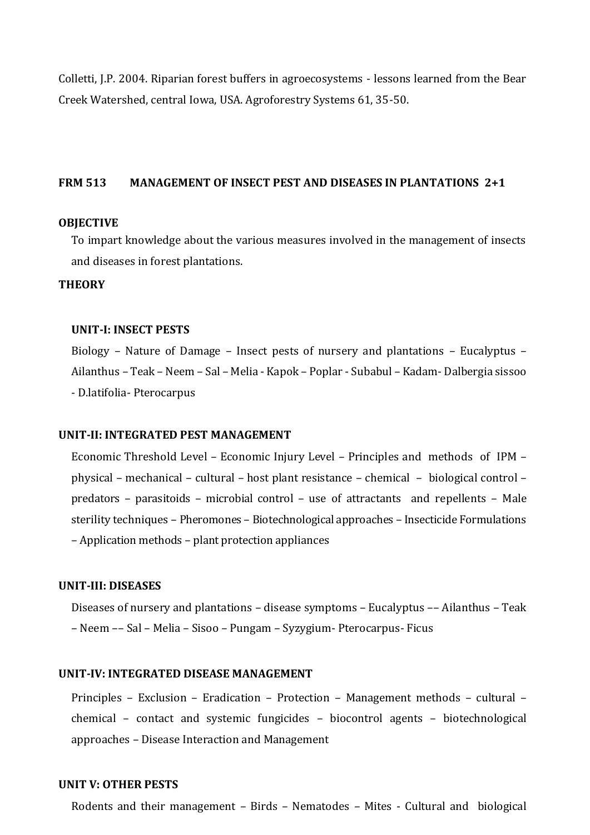Colletti, J.P. 2004. Riparian forest buffers in agroecosystems - lessons learned from the Bear Creek Watershed, central Iowa, USA. Agroforestry Systems 61, 35-50.

#### **FRM 513 MANAGEMENT OF INSECT PEST AND DISEASES IN PLANTATIONS 2+1**

#### **OBJECTIVE**

To impart knowledge about the various measures involved in the management of insects and diseases in forest plantations.

#### **THEORY**

#### **UNIT-I: INSECT PESTS**

Biology – Nature of Damage – Insect pests of nursery and plantations – Eucalyptus – Ailanthus – Teak – Neem – Sal – Melia - Kapok – Poplar - Subabul – Kadam- Dalbergia sissoo - D.latifolia- Pterocarpus

#### **UNIT-II: INTEGRATED PEST MANAGEMENT**

Economic Threshold Level – Economic Injury Level – Principles and methods of IPM – physical – mechanical – cultural – host plant resistance – chemical – biological control – predators – parasitoids – microbial control – use of attractants and repellents – Male sterility techniques – Pheromones – Biotechnological approaches – Insecticide Formulations – Application methods – plant protection appliances

#### **UNIT-III: DISEASES**

Diseases of nursery and plantations – disease symptoms – Eucalyptus –– Ailanthus – Teak – Neem –– Sal – Melia – Sisoo – Pungam – Syzygium- Pterocarpus- Ficus

#### **UNIT-IV: INTEGRATED DISEASE MANAGEMENT**

Principles – Exclusion – Eradication – Protection – Management methods – cultural – chemical – contact and systemic fungicides – biocontrol agents – biotechnological approaches – Disease Interaction and Management

#### **UNIT V: OTHER PESTS**

Rodents and their management – Birds – Nematodes – Mites - Cultural and biological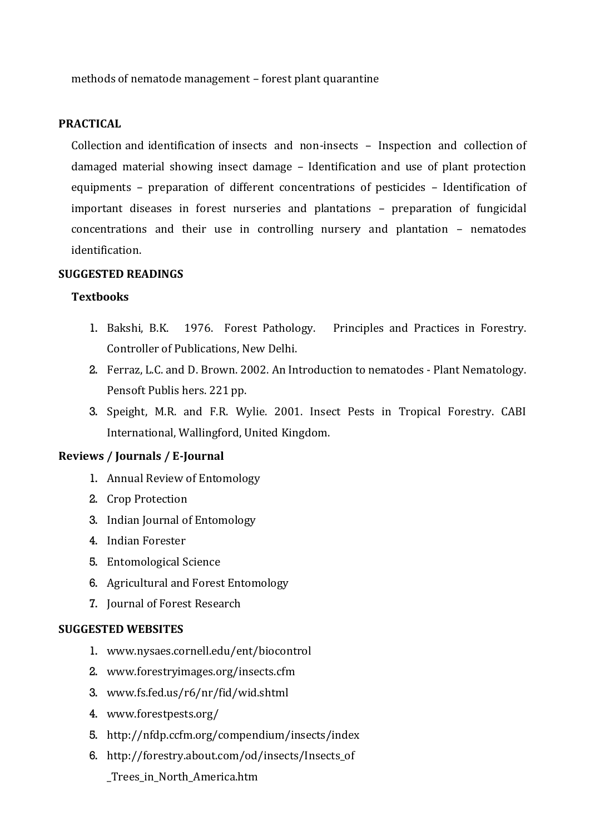methods of nematode management – forest plant quarantine

#### **PRACTICAL**

Collection and identification of insects and non-insects – Inspection and collection of damaged material showing insect damage – Identification and use of plant protection equipments – preparation of different concentrations of pesticides – Identification of important diseases in forest nurseries and plantations – preparation of fungicidal concentrations and their use in controlling nursery and plantation – nematodes identification.

#### **SUGGESTED READINGS**

#### **Textbooks**

- 1. Bakshi, B.K. 1976. Forest Pathology. Principles and Practices in Forestry. Controller of Publications, New Delhi.
- 2. Ferraz, L.C. and D. Brown. 2002. An Introduction to nematodes Plant Nematology. Pensoft Publis hers. 221 pp.
- 3. Speight, M.R. and F.R. Wylie. 2001. Insect Pests in Tropical Forestry. CABI International, Wallingford, United Kingdom.

#### **Reviews / Journals / E-Journal**

- 1. Annual Review of Entomology
- 2. Crop Protection
- 3. Indian Journal of Entomology
- 4. Indian Forester
- 5. Entomological Science
- 6. Agricultural and Forest Entomology
- 7. Journal of Forest Research

#### **SUGGESTED WEBSITES**

- 1. [www.nysaes.cornell.edu/ent/biocontrol](http://www.nysaes.cornell.edu/ent/biocontrol)
- 2. [www.forestryimages.org/insects.cfm](http://www.forestryimages.org/insects.cfm)
- 3. [www.fs.fed.us/r6/nr/fid/wid.shtml](http://www.fs.fed.us/r6/nr/fid/wid.shtml)
- 4. [www.forestpests.org/](http://www.forestpests.org/)
- 5. <http://nfdp.ccfm.org/compendium/insects/index>
- 6. [http://forestry.about.com/od/insects/Insects\\_of](http://forestry.about.com/od/insects/Insects_of%20_Trees_in_North_America.htm) [\\_Trees\\_in\\_North\\_America.htm](http://forestry.about.com/od/insects/Insects_of%20_Trees_in_North_America.htm)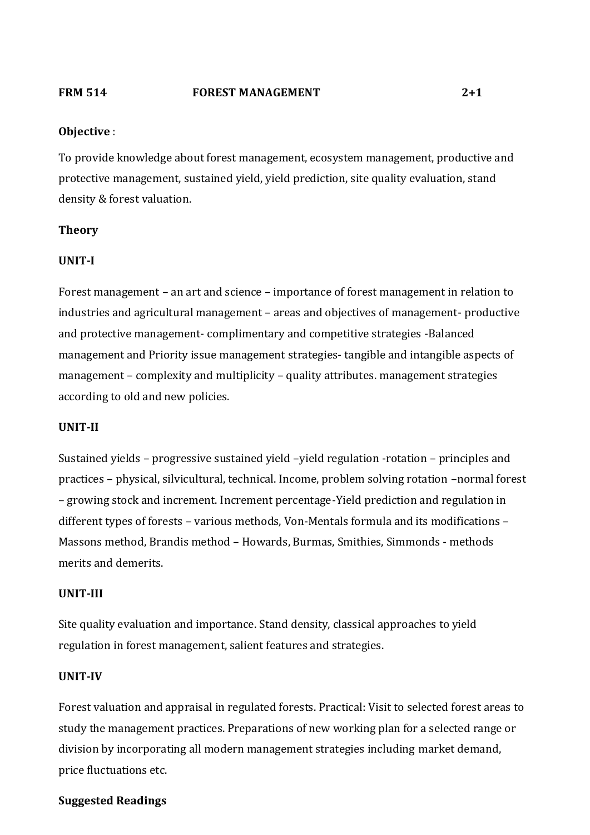## **FRM 514 FOREST MANAGEMENT 2+1**

#### **Objective** :

To provide knowledge about forest management, ecosystem management, productive and protective management, sustained yield, yield prediction, site quality evaluation, stand density & forest valuation.

## **Theory**

## **UNIT-I**

Forest management – an art and science – importance of forest management in relation to industries and agricultural management – areas and objectives of management- productive and protective management- complimentary and competitive strategies -Balanced management and Priority issue management strategies- tangible and intangible aspects of management – complexity and multiplicity – quality attributes. management strategies according to old and new policies.

## **UNIT-II**

Sustained yields – progressive sustained yield –yield regulation -rotation – principles and practices – physical, silvicultural, technical. Income, problem solving rotation –normal forest – growing stock and increment. Increment percentage-Yield prediction and regulation in different types of forests – various methods, Von-Mentals formula and its modifications – Massons method, Brandis method – Howards, Burmas, Smithies, Simmonds - methods merits and demerits.

## **UNIT-III**

Site quality evaluation and importance. Stand density, classical approaches to yield regulation in forest management, salient features and strategies.

#### **UNIT-IV**

Forest valuation and appraisal in regulated forests. Practical: Visit to selected forest areas to study the management practices. Preparations of new working plan for a selected range or division by incorporating all modern management strategies including market demand, price fluctuations etc.

## **Suggested Readings**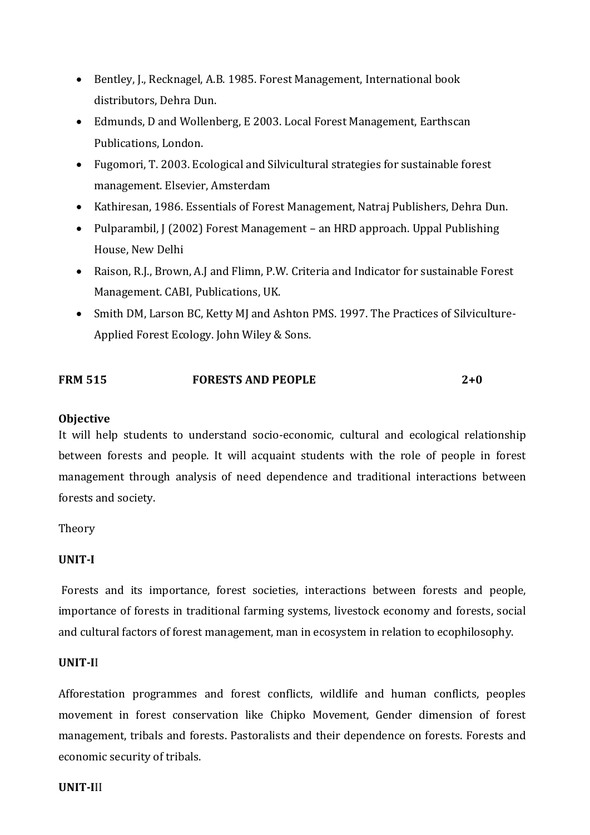- Bentley, J., Recknagel, A.B. 1985. Forest Management, International book distributors, Dehra Dun.
- Edmunds, D and Wollenberg, E 2003. Local Forest Management, Earthscan Publications, London.
- Fugomori, T. 2003. Ecological and Silvicultural strategies for sustainable forest management. Elsevier, Amsterdam
- Kathiresan, 1986. Essentials of Forest Management, Natraj Publishers, Dehra Dun.
- Pulparambil, J (2002) Forest Management an HRD approach. Uppal Publishing House, New Delhi
- Raison, R.J., Brown, A.J and Flimn, P.W. Criteria and Indicator for sustainable Forest Management. CABI, Publications, UK.
- Smith DM, Larson BC, Ketty MJ and Ashton PMS. 1997. The Practices of Silviculture-Applied Forest Ecology. John Wiley & Sons.

# **FRM 515 FORESTS AND PEOPLE 2+0**

#### **Objective**

It will help students to understand socio-economic, cultural and ecological relationship between forests and people. It will acquaint students with the role of people in forest management through analysis of need dependence and traditional interactions between forests and society.

Theory

#### **UNIT-I**

Forests and its importance, forest societies, interactions between forests and people, importance of forests in traditional farming systems, livestock economy and forests, social and cultural factors of forest management, man in ecosystem in relation to ecophilosophy.

#### **UNIT-I**I

Afforestation programmes and forest conflicts, wildlife and human conflicts, peoples movement in forest conservation like Chipko Movement, Gender dimension of forest management, tribals and forests. Pastoralists and their dependence on forests. Forests and economic security of tribals.

#### **UNIT-I**II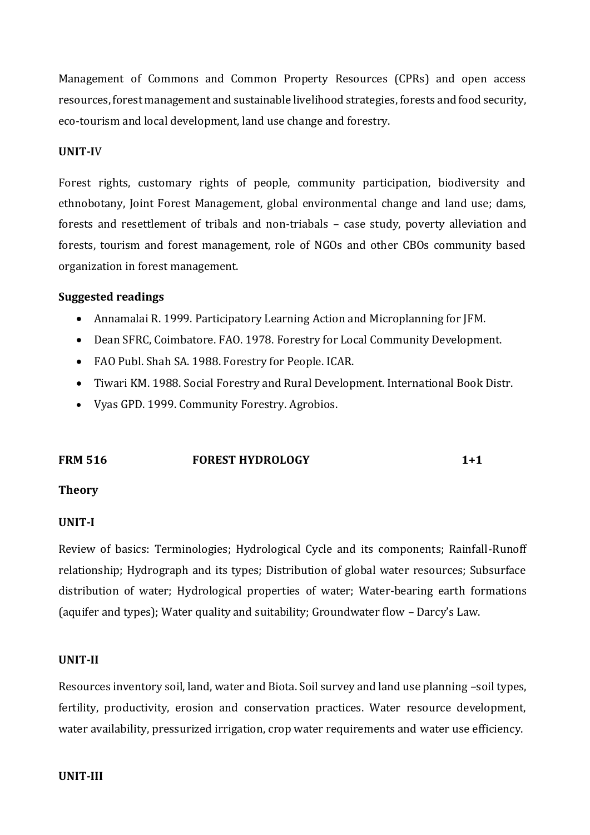Management of Commons and Common Property Resources (CPRs) and open access resources, forest management and sustainable livelihood strategies, forests and food security, eco-tourism and local development, land use change and forestry.

#### **UNIT-I**V

Forest rights, customary rights of people, community participation, biodiversity and ethnobotany, Joint Forest Management, global environmental change and land use; dams, forests and resettlement of tribals and non-triabals – case study, poverty alleviation and forests, tourism and forest management, role of NGOs and other CBOs community based organization in forest management.

#### **Suggested readings**

- Annamalai R. 1999. Participatory Learning Action and Microplanning for JFM.
- Dean SFRC, Coimbatore. FAO. 1978. Forestry for Local Community Development.
- FAO Publ. Shah SA. 1988. Forestry for People. ICAR.
- Tiwari KM. 1988. Social Forestry and Rural Development. International Book Distr.
- Vyas GPD. 1999. Community Forestry. Agrobios.

## **FRM 516 FOREST HYDROLOGY 1+1**

#### **Theory**

#### **UNIT-I**

Review of basics: Terminologies; Hydrological Cycle and its components; Rainfall-Runoff relationship; Hydrograph and its types; Distribution of global water resources; Subsurface distribution of water; Hydrological properties of water; Water-bearing earth formations (aquifer and types); Water quality and suitability; Groundwater flow – Darcy's Law.

#### **UNIT-II**

Resources inventory soil, land, water and Biota. Soil survey and land use planning –soil types, fertility, productivity, erosion and conservation practices. Water resource development, water availability, pressurized irrigation, crop water requirements and water use efficiency.

#### **UNIT-III**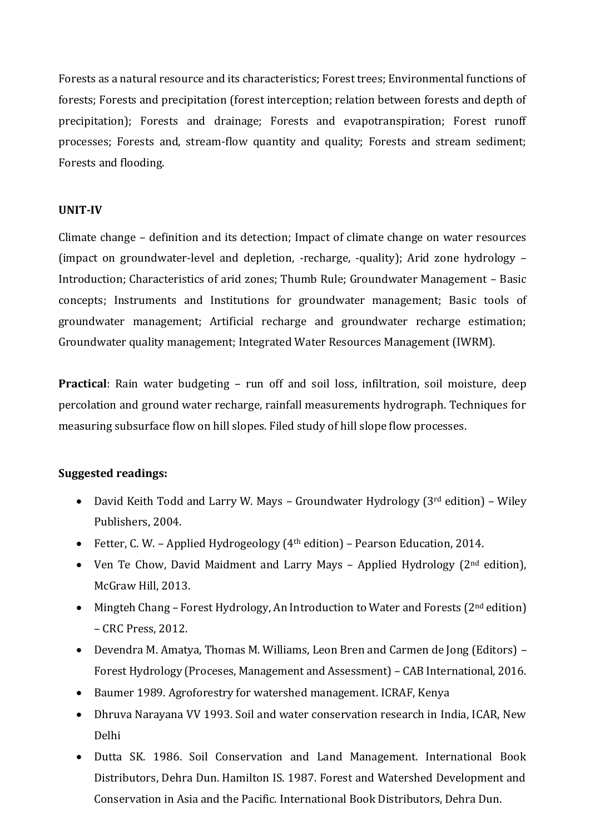Forests as a natural resource and its characteristics; Forest trees; Environmental functions of forests; Forests and precipitation (forest interception; relation between forests and depth of precipitation); Forests and drainage; Forests and evapotranspiration; Forest runoff processes; Forests and, stream-flow quantity and quality; Forests and stream sediment; Forests and flooding.

## **UNIT-IV**

Climate change – definition and its detection; Impact of climate change on water resources (impact on groundwater-level and depletion, -recharge, -quality); Arid zone hydrology – Introduction; Characteristics of arid zones; Thumb Rule; Groundwater Management – Basic concepts; Instruments and Institutions for groundwater management; Basic tools of groundwater management; Artificial recharge and groundwater recharge estimation; Groundwater quality management; Integrated Water Resources Management (IWRM).

**Practical**: Rain water budgeting – run off and soil loss, infiltration, soil moisture, deep percolation and ground water recharge, rainfall measurements hydrograph. Techniques for measuring subsurface flow on hill slopes. Filed study of hill slope flow processes.

## **Suggested readings:**

- David Keith Todd and Larry W. Mays Groundwater Hydrology  $(3^{rd}$  edition) Wiley Publishers, 2004.
- Fetter, C. W. Applied Hydrogeology (4<sup>th</sup> edition) Pearson Education, 2014.
- Ven Te Chow, David Maidment and Larry Mays Applied Hydrology (2<sup>nd</sup> edition), McGraw Hill, 2013.
- Mingteh Chang Forest Hydrology, An Introduction to Water and Forests ( $2<sup>nd</sup>$  edition) – CRC Press, 2012.
- Devendra M. Amatya, Thomas M. Williams, Leon Bren and Carmen de Jong (Editors) Forest Hydrology (Proceses, Management and Assessment) – CAB International, 2016.
- Baumer 1989. Agroforestry for watershed management. ICRAF, Kenya
- Dhruva Narayana VV 1993. Soil and water conservation research in India, ICAR, New Delhi
- Dutta SK. 1986. Soil Conservation and Land Management. International Book Distributors, Dehra Dun. Hamilton IS. 1987. Forest and Watershed Development and Conservation in Asia and the Pacific. International Book Distributors, Dehra Dun.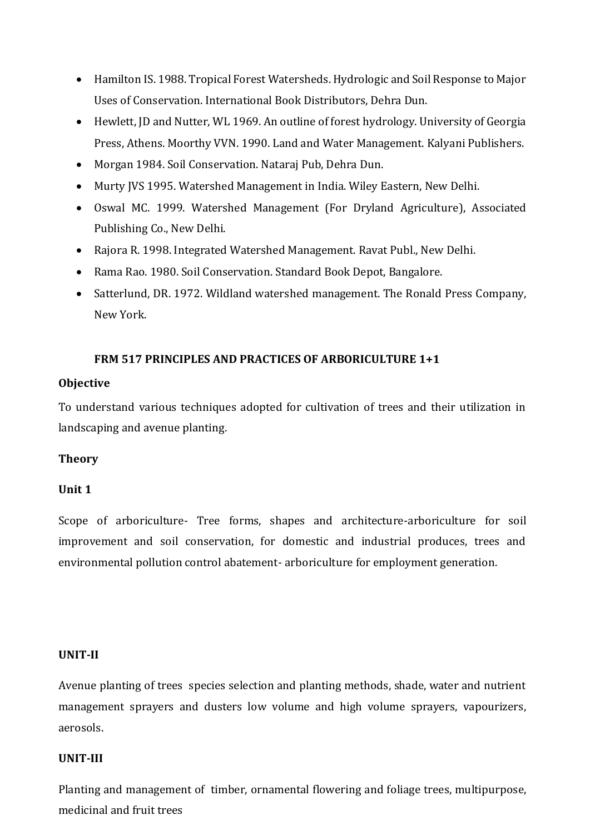- Hamilton IS. 1988. Tropical Forest Watersheds. Hydrologic and Soil Response to Major Uses of Conservation. International Book Distributors, Dehra Dun.
- Hewlett, JD and Nutter, WL 1969. An outline of forest hydrology. University of Georgia Press, Athens. Moorthy VVN. 1990. Land and Water Management. Kalyani Publishers.
- Morgan 1984. Soil Conservation. Nataraj Pub, Dehra Dun.
- Murty JVS 1995. Watershed Management in India. Wiley Eastern, New Delhi.
- Oswal MC. 1999. Watershed Management (For Dryland Agriculture), Associated Publishing Co., New Delhi.
- Rajora R. 1998. Integrated Watershed Management. Ravat Publ., New Delhi.
- Rama Rao. 1980. Soil Conservation. Standard Book Depot, Bangalore.
- Satterlund, DR. 1972. Wildland watershed management. The Ronald Press Company, New York.

# **FRM 517 PRINCIPLES AND PRACTICES OF ARBORICULTURE 1+1**

## **Objective**

To understand various techniques adopted for cultivation of trees and their utilization in landscaping and avenue planting.

## **Theory**

## **Unit 1**

Scope of arboriculture- Tree forms, shapes and architecture-arboriculture for soil improvement and soil conservation, for domestic and industrial produces, trees and environmental pollution control abatement- arboriculture for employment generation.

## **UNIT-II**

Avenue planting of trees species selection and planting methods, shade, water and nutrient management sprayers and dusters low volume and high volume sprayers, vapourizers, aerosols.

## **UNIT-III**

Planting and management of timber, ornamental flowering and foliage trees, multipurpose, medicinal and fruit trees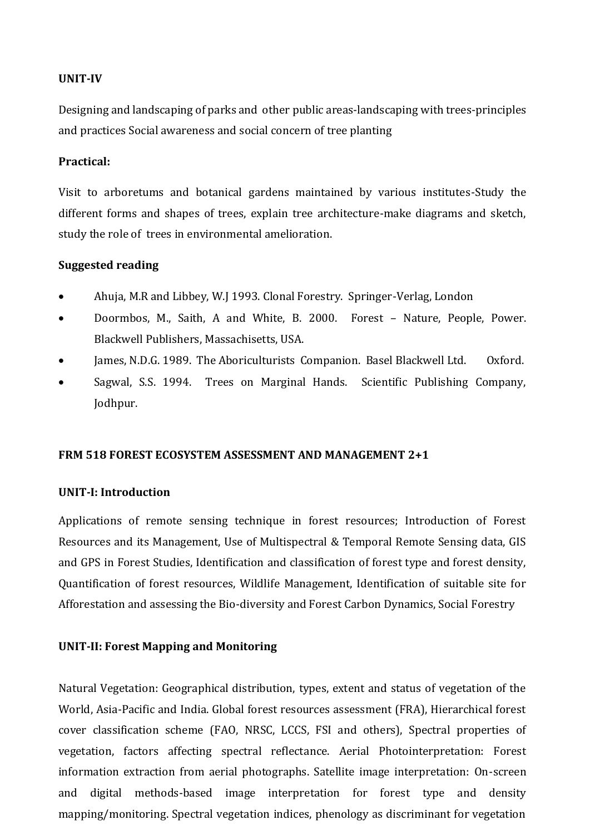## **UNIT-IV**

Designing and landscaping of parks and other public areas-landscaping with trees-principles and practices Social awareness and social concern of tree planting

## **Practical:**

Visit to arboretums and botanical gardens maintained by various institutes-Study the different forms and shapes of trees, explain tree architecture-make diagrams and sketch, study the role of trees in environmental amelioration.

## **Suggested reading**

- Ahuja, M.R and Libbey, W.J 1993. Clonal Forestry. Springer-Verlag, London
- Doormbos, M., Saith, A and White, B. 2000. Forest Nature, People, Power. Blackwell Publishers, Massachisetts, USA.
- James, N.D.G. 1989. The Aboriculturists Companion. Basel Blackwell Ltd. Oxford.
- Sagwal, S.S. 1994. Trees on Marginal Hands. Scientific Publishing Company, Jodhpur.

## **FRM 518 FOREST ECOSYSTEM ASSESSMENT AND MANAGEMENT 2+1**

#### **UNIT-I: Introduction**

Applications of remote sensing technique in forest resources; Introduction of Forest Resources and its Management, Use of Multispectral & Temporal Remote Sensing data, GIS and GPS in Forest Studies, Identification and classification of forest type and forest density, Quantification of forest resources, Wildlife Management, Identification of suitable site for Afforestation and assessing the Bio-diversity and Forest Carbon Dynamics, Social Forestry

#### **UNIT-II: Forest Mapping and Monitoring**

Natural Vegetation: Geographical distribution, types, extent and status of vegetation of the World, Asia-Pacific and India. Global forest resources assessment (FRA), Hierarchical forest cover classification scheme (FAO, NRSC, LCCS, FSI and others), Spectral properties of vegetation, factors affecting spectral reflectance. Aerial Photointerpretation: Forest information extraction from aerial photographs. Satellite image interpretation: On-screen and digital methods-based image interpretation for forest type and density mapping/monitoring. Spectral vegetation indices, phenology as discriminant for vegetation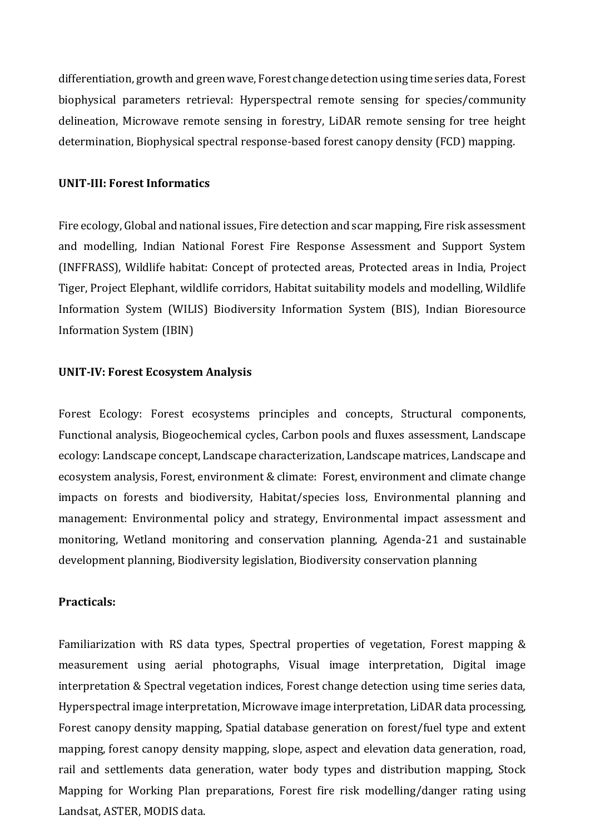differentiation, growth and green wave, Forest change detection using time series data, Forest biophysical parameters retrieval: Hyperspectral remote sensing for species/community delineation, Microwave remote sensing in forestry, LiDAR remote sensing for tree height determination, Biophysical spectral response-based forest canopy density (FCD) mapping.

#### **UNIT-III: Forest Informatics**

Fire ecology, Global and national issues, Fire detection and scar mapping, Fire risk assessment and modelling, Indian National Forest Fire Response Assessment and Support System (INFFRASS), Wildlife habitat: Concept of protected areas, Protected areas in India, Project Tiger, Project Elephant, wildlife corridors, Habitat suitability models and modelling, Wildlife Information System (WILIS) Biodiversity Information System (BIS), Indian Bioresource Information System (IBIN)

#### **UNIT-IV: Forest Ecosystem Analysis**

Forest Ecology: Forest ecosystems principles and concepts, Structural components, Functional analysis, Biogeochemical cycles, Carbon pools and fluxes assessment, Landscape ecology: Landscape concept, Landscape characterization, Landscape matrices, Landscape and ecosystem analysis, Forest, environment & climate: Forest, environment and climate change impacts on forests and biodiversity, Habitat/species loss, Environmental planning and management: Environmental policy and strategy, Environmental impact assessment and monitoring, Wetland monitoring and conservation planning, Agenda-21 and sustainable development planning, Biodiversity legislation, Biodiversity conservation planning

#### **Practicals:**

Familiarization with RS data types, Spectral properties of vegetation, Forest mapping & measurement using aerial photographs, Visual image interpretation, Digital image interpretation & Spectral vegetation indices, Forest change detection using time series data, Hyperspectral image interpretation, Microwave image interpretation, LiDAR data processing, Forest canopy density mapping, Spatial database generation on forest/fuel type and extent mapping, forest canopy density mapping, slope, aspect and elevation data generation, road, rail and settlements data generation, water body types and distribution mapping, Stock Mapping for Working Plan preparations, Forest fire risk modelling/danger rating using Landsat, ASTER, MODIS data.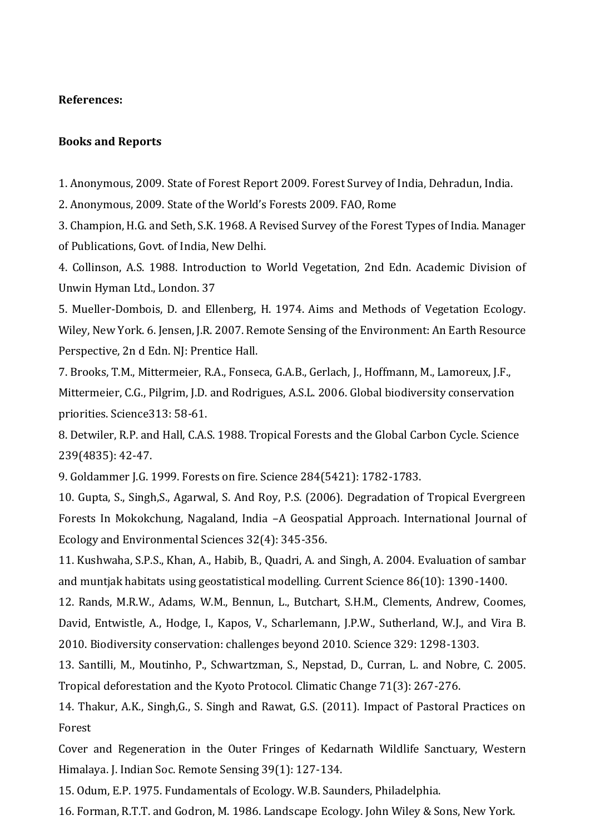#### **References:**

#### **Books and Reports**

1. Anonymous, 2009. State of Forest Report 2009. Forest Survey of India, Dehradun, India.

2. Anonymous, 2009. State of the World's Forests 2009. FAO, Rome

3. Champion, H.G. and Seth, S.K. 1968. A Revised Survey of the Forest Types of India. Manager of Publications, Govt. of India, New Delhi.

4. Collinson, A.S. 1988. Introduction to World Vegetation, 2nd Edn. Academic Division of Unwin Hyman Ltd., London. 37

5. Mueller-Dombois, D. and Ellenberg, H. 1974. Aims and Methods of Vegetation Ecology. Wiley, New York. 6. Jensen, J.R. 2007. Remote Sensing of the Environment: An Earth Resource Perspective, 2n d Edn. NJ: Prentice Hall.

7. Brooks, T.M., Mittermeier, R.A., Fonseca, G.A.B., Gerlach, J., Hoffmann, M., Lamoreux, J.F., Mittermeier, C.G., Pilgrim, J.D. and Rodrigues, A.S.L. 2006. Global biodiversity conservation priorities. Science313: 58-61.

8. Detwiler, R.P. and Hall, C.A.S. 1988. Tropical Forests and the Global Carbon Cycle. Science 239(4835): 42-47.

9. Goldammer J.G. 1999. Forests on fire. Science 284(5421): 1782-1783.

10. Gupta, S., Singh,S., Agarwal, S. And Roy, P.S. (2006). Degradation of Tropical Evergreen Forests In Mokokchung, Nagaland, India –A Geospatial Approach. International Journal of Ecology and Environmental Sciences 32(4): 345-356.

11. Kushwaha, S.P.S., Khan, A., Habib, B., Quadri, A. and Singh, A. 2004. Evaluation of sambar and muntjak habitats using geostatistical modelling. Current Science 86(10): 1390-1400.

12. Rands, M.R.W., Adams, W.M., Bennun, L., Butchart, S.H.M., Clements, Andrew, Coomes, David, Entwistle, A., Hodge, I., Kapos, V., Scharlemann, J.P.W., Sutherland, W.J., and Vira B. 2010. Biodiversity conservation: challenges beyond 2010. Science 329: 1298-1303.

13. Santilli, M., Moutinho, P., Schwartzman, S., Nepstad, D., Curran, L. and Nobre, C. 2005. Tropical deforestation and the Kyoto Protocol. Climatic Change 71(3): 267-276.

14. Thakur, A.K., Singh,G., S. Singh and Rawat, G.S. (2011). Impact of Pastoral Practices on Forest

Cover and Regeneration in the Outer Fringes of Kedarnath Wildlife Sanctuary, Western Himalaya. J. Indian Soc. Remote Sensing 39(1): 127-134.

15. Odum, E.P. 1975. Fundamentals of Ecology. W.B. Saunders, Philadelphia.

16. Forman, R.T.T. and Godron, M. 1986. Landscape Ecology. John Wiley & Sons, New York.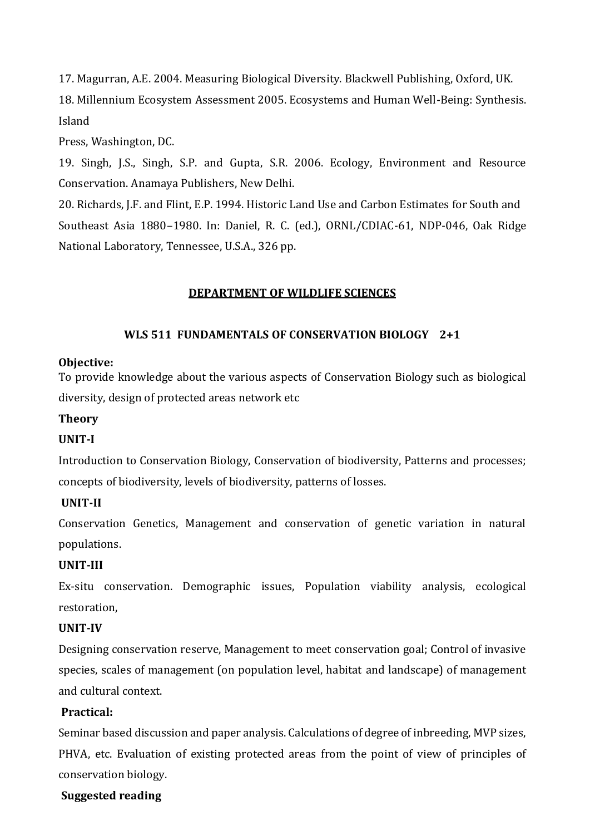17. Magurran, A.E. 2004. Measuring Biological Diversity. Blackwell Publishing, Oxford, UK. 18. Millennium Ecosystem Assessment 2005. Ecosystems and Human Well-Being: Synthesis. Island

Press, Washington, DC.

19. Singh, J.S., Singh, S.P. and Gupta, S.R. 2006. Ecology, Environment and Resource Conservation. Anamaya Publishers, New Delhi.

20. Richards, J.F. and Flint, E.P. 1994. Historic Land Use and Carbon Estimates for South and Southeast Asia 1880–1980. In: Daniel, R. C. (ed.), ORNL/CDIAC-61, NDP-046, Oak Ridge National Laboratory, Tennessee, U.S.A., 326 pp.

# **DEPARTMENT OF WILDLIFE SCIENCES**

# **WLS 511 FUNDAMENTALS OF CONSERVATION BIOLOGY 2+1**

#### **Objective:**

To provide knowledge about the various aspects of Conservation Biology such as biological diversity, design of protected areas network etc

## **Theory**

## **UNIT-I**

Introduction to Conservation Biology, Conservation of biodiversity, Patterns and processes; concepts of biodiversity, levels of biodiversity, patterns of losses.

## **UNIT-II**

Conservation Genetics, Management and conservation of genetic variation in natural populations.

## **UNIT-III**

Ex-situ conservation. Demographic issues, Population viability analysis, ecological restoration,

## **UNIT-IV**

Designing conservation reserve, Management to meet conservation goal; Control of invasive species, scales of management (on population level, habitat and landscape) of management and cultural context.

## **Practical:**

Seminar based discussion and paper analysis. Calculations of degree of inbreeding, MVP sizes, PHVA, etc. Evaluation of existing protected areas from the point of view of principles of conservation biology.

## **Suggested reading**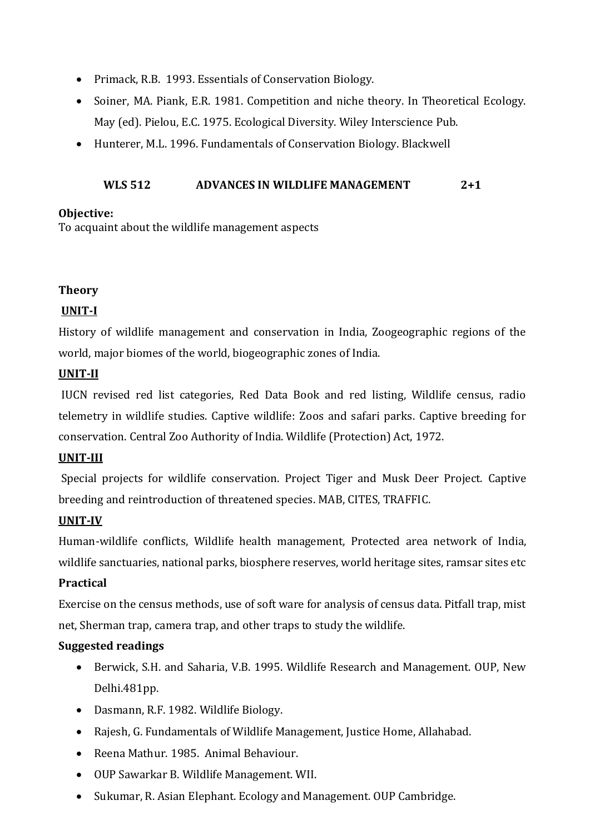- Primack, R.B. 1993. Essentials of Conservation Biology.
- Soiner, MA. Piank, E.R. 1981. Competition and niche theory. In Theoretical Ecology. May (ed). Pielou, E.C. 1975. Ecological Diversity. Wiley Interscience Pub.
- Hunterer, M.L. 1996. Fundamentals of Conservation Biology. Blackwell

# **WLS 512 ADVANCES IN WILDLIFE MANAGEMENT 2+1**

## **Objective:**

To acquaint about the wildlife management aspects

# **Theory**

# **UNIT-I**

History of wildlife management and conservation in India, Zoogeographic regions of the world, major biomes of the world, biogeographic zones of India.

# **UNIT-II**

IUCN revised red list categories, Red Data Book and red listing, Wildlife census, radio telemetry in wildlife studies. Captive wildlife: Zoos and safari parks. Captive breeding for conservation. Central Zoo Authority of India. Wildlife (Protection) Act, 1972.

# **UNIT-III**

Special projects for wildlife conservation. Project Tiger and Musk Deer Project. Captive breeding and reintroduction of threatened species. MAB, CITES, TRAFFIC.

# **UNIT-IV**

Human-wildlife conflicts, Wildlife health management, Protected area network of India, wildlife sanctuaries, national parks, biosphere reserves, world heritage sites, ramsar sites etc

## **Practical**

Exercise on the census methods, use of soft ware for analysis of census data. Pitfall trap, mist net, Sherman trap, camera trap, and other traps to study the wildlife.

# **Suggested readings**

- Berwick, S.H. and Saharia, V.B. 1995. Wildlife Research and Management. OUP, New Delhi.481pp.
- Dasmann, R.F. 1982. Wildlife Biology.
- Rajesh, G. Fundamentals of Wildlife Management, Justice Home, Allahabad.
- Reena Mathur. 1985. Animal Behaviour.
- OUP Sawarkar B. Wildlife Management. WII.
- Sukumar, R. Asian Elephant. Ecology and Management. OUP Cambridge.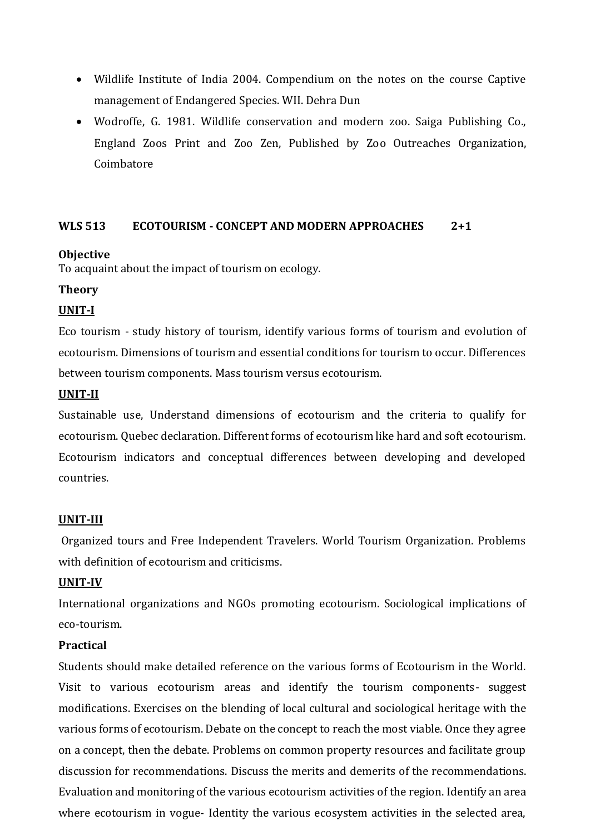- Wildlife Institute of India 2004. Compendium on the notes on the course Captive management of Endangered Species. WII. Dehra Dun
- Wodroffe, G. 1981. Wildlife conservation and modern zoo. Saiga Publishing Co., England Zoos Print and Zoo Zen, Published by Zoo Outreaches Organization, Coimbatore

# **WLS 513 ECOTOURISM - CONCEPT AND MODERN APPROACHES 2+1**

## **Objective**

To acquaint about the impact of tourism on ecology.

## **Theory**

#### **UNIT-I**

Eco tourism - study history of tourism, identify various forms of tourism and evolution of ecotourism. Dimensions of tourism and essential conditions for tourism to occur. Differences between tourism components. Mass tourism versus ecotourism.

## **UNIT-II**

Sustainable use, Understand dimensions of ecotourism and the criteria to qualify for ecotourism. Quebec declaration. Different forms of ecotourism like hard and soft ecotourism. Ecotourism indicators and conceptual differences between developing and developed countries.

## **UNIT-III**

Organized tours and Free Independent Travelers. World Tourism Organization. Problems with definition of ecotourism and criticisms.

## **UNIT-IV**

International organizations and NGOs promoting ecotourism. Sociological implications of eco-tourism.

## **Practical**

Students should make detailed reference on the various forms of Ecotourism in the World. Visit to various ecotourism areas and identify the tourism components- suggest modifications. Exercises on the blending of local cultural and sociological heritage with the various forms of ecotourism. Debate on the concept to reach the most viable. Once they agree on a concept, then the debate. Problems on common property resources and facilitate group discussion for recommendations. Discuss the merits and demerits of the recommendations. Evaluation and monitoring of the various ecotourism activities of the region. Identify an area where ecotourism in vogue- Identity the various ecosystem activities in the selected area,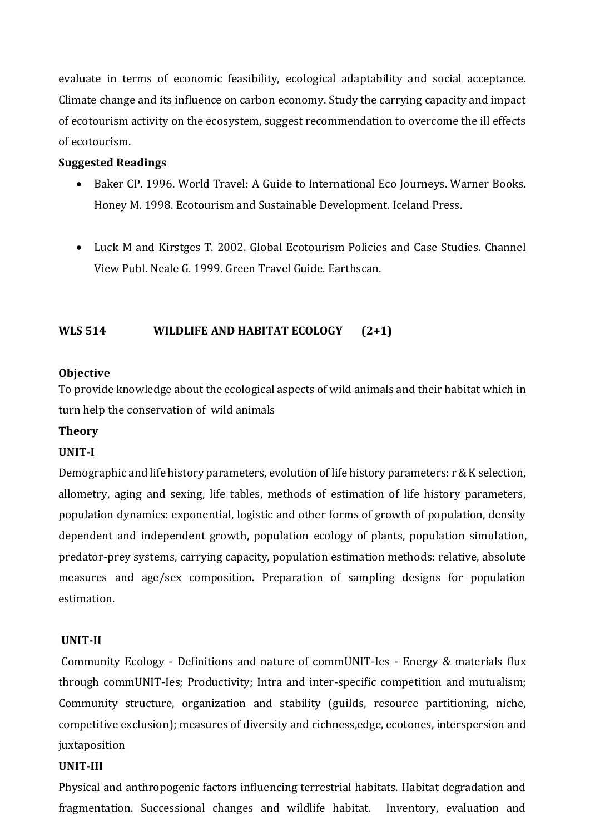evaluate in terms of economic feasibility, ecological adaptability and social acceptance. Climate change and its influence on carbon economy. Study the carrying capacity and impact of ecotourism activity on the ecosystem, suggest recommendation to overcome the ill effects of ecotourism.

#### **Suggested Readings**

- Baker CP. 1996. World Travel: A Guide to International Eco Journeys. Warner Books. Honey M. 1998. Ecotourism and Sustainable Development. Iceland Press.
- Luck M and Kirstges T. 2002. Global Ecotourism Policies and Case Studies. Channel View Publ. Neale G. 1999. Green Travel Guide. Earthscan.

## **WLS 514 WILDLIFE AND HABITAT ECOLOGY (2+1)**

#### **Objective**

To provide knowledge about the ecological aspects of wild animals and their habitat which in turn help the conservation of wild animals

## **Theory**

#### **UNIT-I**

Demographic and life history parameters, evolution of life history parameters: r & K selection, allometry, aging and sexing, life tables, methods of estimation of life history parameters, population dynamics: exponential, logistic and other forms of growth of population, density dependent and independent growth, population ecology of plants, population simulation, predator-prey systems, carrying capacity, population estimation methods: relative, absolute measures and age/sex composition. Preparation of sampling designs for population estimation.

#### **UNIT-II**

Community Ecology - Definitions and nature of commUNIT-Ies - Energy & materials flux through commUNIT-Ies; Productivity; Intra and inter-specific competition and mutualism; Community structure, organization and stability (guilds, resource partitioning, niche, competitive exclusion); measures of diversity and richness,edge, ecotones, interspersion and juxtaposition

#### **UNIT-III**

Physical and anthropogenic factors influencing terrestrial habitats. Habitat degradation and fragmentation. Successional changes and wildlife habitat. Inventory, evaluation and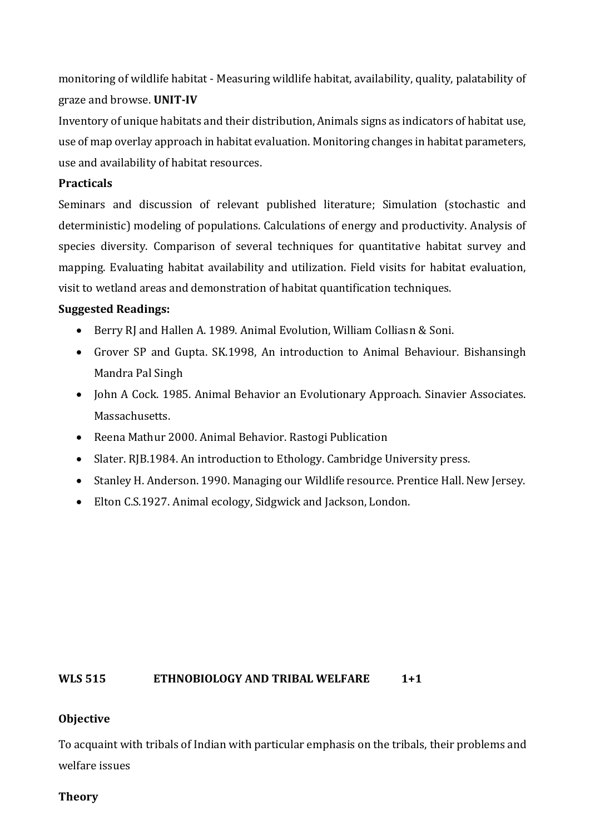monitoring of wildlife habitat - Measuring wildlife habitat, availability, quality, palatability of graze and browse. **UNIT-IV**

Inventory of unique habitats and their distribution, Animals signs as indicators of habitat use, use of map overlay approach in habitat evaluation. Monitoring changes in habitat parameters, use and availability of habitat resources.

## **Practicals**

Seminars and discussion of relevant published literature; Simulation (stochastic and deterministic) modeling of populations. Calculations of energy and productivity. Analysis of species diversity. Comparison of several techniques for quantitative habitat survey and mapping. Evaluating habitat availability and utilization. Field visits for habitat evaluation, visit to wetland areas and demonstration of habitat quantification techniques.

# **Suggested Readings:**

- Berry RJ and Hallen A. 1989. Animal Evolution, William Colliasn & Soni.
- Grover SP and Gupta. SK.1998, An introduction to Animal Behaviour. Bishansingh Mandra Pal Singh
- John A Cock. 1985. Animal Behavior an Evolutionary Approach. Sinavier Associates. Massachusetts.
- Reena Mathur 2000. Animal Behavior. Rastogi Publication
- Slater. RJB.1984. An introduction to Ethology. Cambridge University press.
- Stanley H. Anderson. 1990. Managing our Wildlife resource. Prentice Hall. New Jersey.
- Elton C.S.1927. Animal ecology, Sidgwick and Jackson, London.

## WLS 515 **ETHNOBIOLOGY AND TRIBAL WELFARE** 1+1

## **Objective**

To acquaint with tribals of Indian with particular emphasis on the tribals, their problems and welfare issues

## **Theory**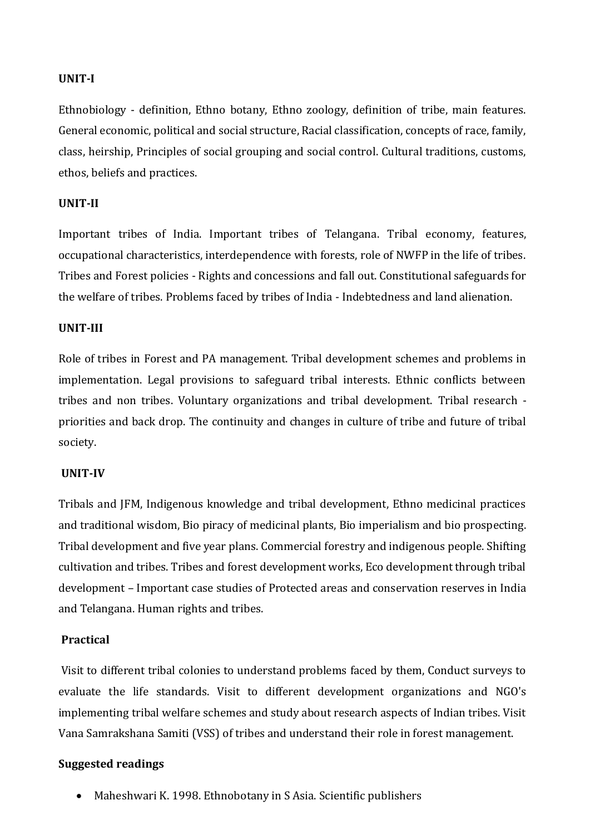#### **UNIT-I**

Ethnobiology - definition, Ethno botany, Ethno zoology, definition of tribe, main features. General economic, political and social structure, Racial classification, concepts of race, family, class, heirship, Principles of social grouping and social control. Cultural traditions, customs, ethos, beliefs and practices.

#### **UNIT-II**

Important tribes of India. Important tribes of Telangana. Tribal economy, features, occupational characteristics, interdependence with forests, role of NWFP in the life of tribes. Tribes and Forest policies - Rights and concessions and fall out. Constitutional safeguards for the welfare of tribes. Problems faced by tribes of India - Indebtedness and land alienation.

#### **UNIT-III**

Role of tribes in Forest and PA management. Tribal development schemes and problems in implementation. Legal provisions to safeguard tribal interests. Ethnic conflicts between tribes and non tribes. Voluntary organizations and tribal development. Tribal research priorities and back drop. The continuity and changes in culture of tribe and future of tribal society.

#### **UNIT-IV**

Tribals and JFM, Indigenous knowledge and tribal development, Ethno medicinal practices and traditional wisdom, Bio piracy of medicinal plants, Bio imperialism and bio prospecting. Tribal development and five year plans. Commercial forestry and indigenous people. Shifting cultivation and tribes. Tribes and forest development works, Eco development through tribal development – Important case studies of Protected areas and conservation reserves in India and Telangana. Human rights and tribes.

#### **Practical**

Visit to different tribal colonies to understand problems faced by them, Conduct surveys to evaluate the life standards. Visit to different development organizations and NGO's implementing tribal welfare schemes and study about research aspects of Indian tribes. Visit Vana Samrakshana Samiti (VSS) of tribes and understand their role in forest management.

#### **Suggested readings**

• Maheshwari K. 1998. Ethnobotany in S Asia. Scientific publishers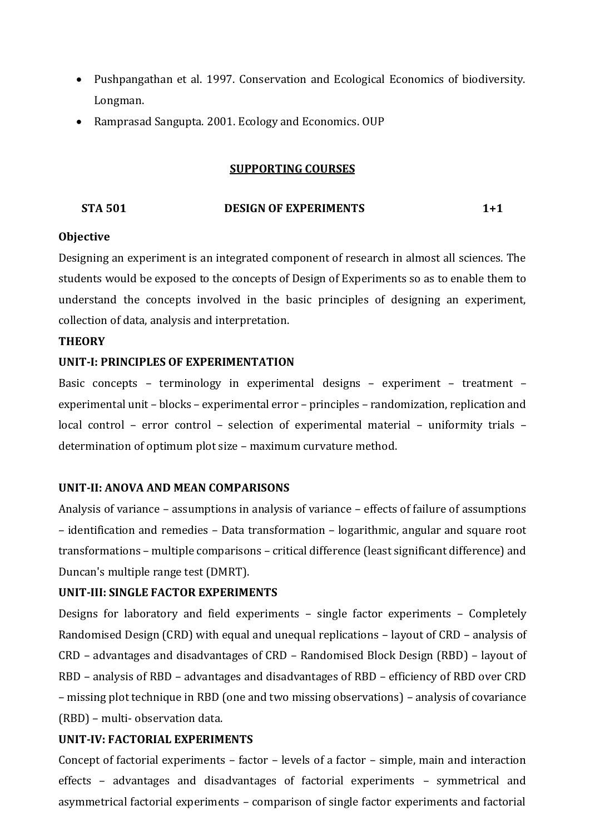- Pushpangathan et al. 1997. Conservation and Ecological Economics of biodiversity. Longman.
- Ramprasad Sangupta. 2001. Ecology and Economics. OUP

# **SUPPORTING COURSES**

# **STA 501 DESIGN OF EXPERIMENTS** 1+1

## **Objective**

Designing an experiment is an integrated component of research in almost all sciences. The students would be exposed to the concepts of Design of Experiments so as to enable them to understand the concepts involved in the basic principles of designing an experiment, collection of data, analysis and interpretation.

# **THEORY**

# **UNIT-I: PRINCIPLES OF EXPERIMENTATION**

Basic concepts – terminology in experimental designs – experiment – treatment – experimental unit – blocks – experimental error – principles – randomization, replication and local control – error control – selection of experimental material – uniformity trials – determination of optimum plot size – maximum curvature method.

## **UNIT-II: ANOVA AND MEAN COMPARISONS**

Analysis of variance – assumptions in analysis of variance – effects of failure of assumptions – identification and remedies – Data transformation – logarithmic, angular and square root transformations – multiple comparisons – critical difference (least significant difference) and Duncan's multiple range test (DMRT).

# **UNIT-III: SINGLE FACTOR EXPERIMENTS**

Designs for laboratory and field experiments – single factor experiments – Completely Randomised Design (CRD) with equal and unequal replications – layout of CRD – analysis of CRD – advantages and disadvantages of CRD – Randomised Block Design (RBD) – layout of RBD – analysis of RBD – advantages and disadvantages of RBD – efficiency of RBD over CRD – missing plot technique in RBD (one and two missing observations) – analysis of covariance (RBD) – multi- observation data.

# **UNIT-IV: FACTORIAL EXPERIMENTS**

Concept of factorial experiments – factor – levels of a factor – simple, main and interaction effects – advantages and disadvantages of factorial experiments – symmetrical and asymmetrical factorial experiments – comparison of single factor experiments and factorial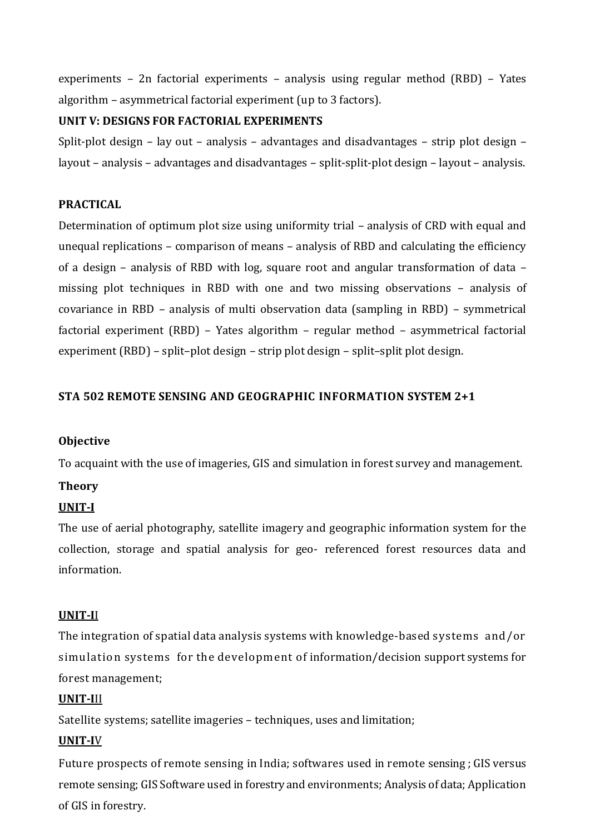experiments – 2n factorial experiments – analysis using regular method (RBD) – Yates algorithm – asymmetrical factorial experiment (up to 3 factors).

# **UNIT V: DESIGNS FOR FACTORIAL EXPERIMENTS**

Split-plot design – lay out – analysis – advantages and disadvantages – strip plot design – layout – analysis – advantages and disadvantages – split-split-plot design – layout – analysis.

# **PRACTICAL**

Determination of optimum plot size using uniformity trial – analysis of CRD with equal and unequal replications – comparison of means – analysis of RBD and calculating the efficiency of a design – analysis of RBD with log, square root and angular transformation of data – missing plot techniques in RBD with one and two missing observations – analysis of covariance in RBD – analysis of multi observation data (sampling in RBD) – symmetrical factorial experiment (RBD) – Yates algorithm – regular method – asymmetrical factorial experiment (RBD) – split–plot design – strip plot design – split–split plot design.

# **STA 502 REMOTE SENSING AND GEOGRAPHIC INFORMATION SYSTEM 2+1**

# **Objective**

To acquaint with the use of imageries, GIS and simulation in forest survey and management.

# **Theory**

# **UNIT-I**

The use of aerial photography, satellite imagery and geographic information system for the collection, storage and spatial analysis for geo- referenced forest resources data and information.

# **UNIT-I**I

The integration of spatial data analysis systems with knowledge-based systems and/or simulation systems for the development of information/decision support systems for forest management;

# **UNIT-I**II

Satellite systems; satellite imageries – techniques, uses and limitation;

# **UNIT-I**V

Future prospects of remote sensing in India; softwares used in remote sensing ; GIS versus remote sensing; GIS Software used in forestry and environments; Analysis of data; Application of GIS in forestry.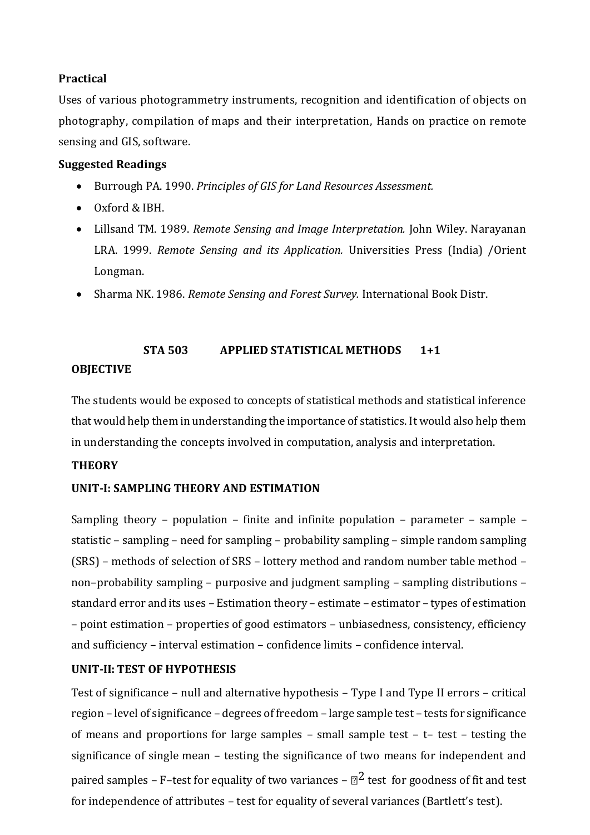## **Practical**

Uses of various photogrammetry instruments, recognition and identification of objects on photography, compilation of maps and their interpretation, Hands on practice on remote sensing and GIS, software.

#### **Suggested Readings**

- Burrough PA. 1990. *Principles of GIS for Land Resources Assessment.*
- Oxford & IBH.
- Lillsand TM. 1989. *Remote Sensing and Image Interpretation.* John Wiley. Narayanan LRA. 1999. *Remote Sensing and its Application.* Universities Press (India) /Orient Longman.
- Sharma NK. 1986. *Remote Sensing and Forest Survey.* International Book Distr.

# **STA 503 APPLIED STATISTICAL METHODS 1+1 OBJECTIVE**

The students would be exposed to concepts of statistical methods and statistical inference that would help them in understanding the importance of statistics. It would also help them in understanding the concepts involved in computation, analysis and interpretation.

## **THEORY**

## **UNIT-I: SAMPLING THEORY AND ESTIMATION**

Sampling theory – population – finite and infinite population – parameter – sample – statistic – sampling – need for sampling – probability sampling – simple random sampling (SRS) – methods of selection of SRS – lottery method and random number table method – non–probability sampling – purposive and judgment sampling – sampling distributions – standard error and its uses – Estimation theory – estimate – estimator – types of estimation – point estimation – properties of good estimators – unbiasedness, consistency, efficiency and sufficiency – interval estimation – confidence limits – confidence interval.

## **UNIT-II: TEST OF HYPOTHESIS**

Test of significance – null and alternative hypothesis – Type I and Type II errors – critical region – level of significance – degrees of freedom – large sample test – tests for significance of means and proportions for large samples – small sample test –  $t-$  test – testing the significance of single mean – testing the significance of two means for independent and paired samples – F-test for equality of two variances –  $\mathbb{Z}^2$  test for goodness of fit and test for independence of attributes – test for equality of several variances (Bartlett's test).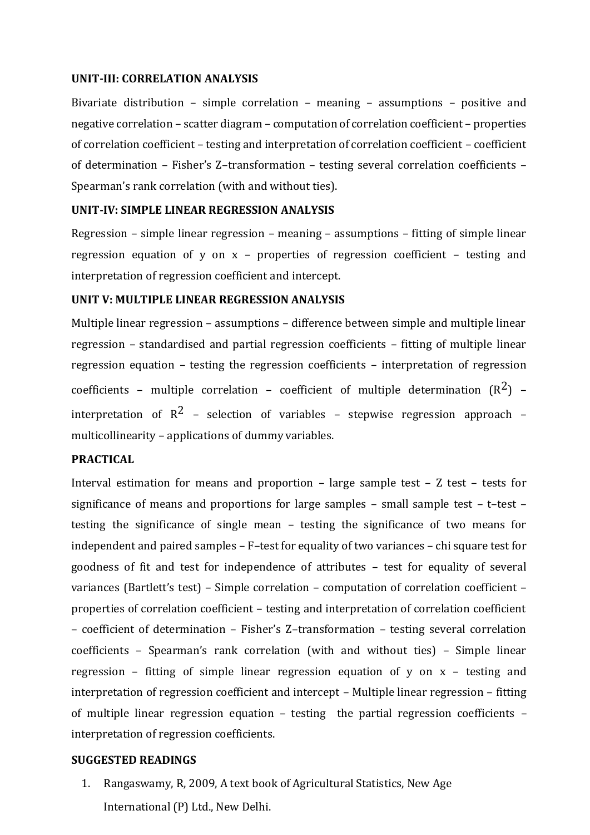#### **UNIT-III: CORRELATION ANALYSIS**

Bivariate distribution – simple correlation – meaning – assumptions – positive and negative correlation – scatter diagram – computation of correlation coefficient – properties of correlation coefficient – testing and interpretation of correlation coefficient – coefficient of determination – Fisher's Z–transformation – testing several correlation coefficients – Spearman's rank correlation (with and without ties).

### **UNIT-IV: SIMPLE LINEAR REGRESSION ANALYSIS**

Regression – simple linear regression – meaning – assumptions – fitting of simple linear regression equation of y on x – properties of regression coefficient – testing and interpretation of regression coefficient and intercept.

## **UNIT V: MULTIPLE LINEAR REGRESSION ANALYSIS**

Multiple linear regression – assumptions – difference between simple and multiple linear regression – standardised and partial regression coefficients – fitting of multiple linear regression equation – testing the regression coefficients – interpretation of regression coefficients – multiple correlation – coefficient of multiple determination  $(R^2)$  – interpretation of  $R^2$  – selection of variables – stepwise regression approach – multicollinearity – applications of dummy variables.

#### **PRACTICAL**

Interval estimation for means and proportion  $-$  large sample test  $-$  Z test  $-$  tests for significance of means and proportions for large samples – small sample test – t–test – testing the significance of single mean – testing the significance of two means for independent and paired samples – F–test for equality of two variances – chi square test for goodness of fit and test for independence of attributes – test for equality of several variances (Bartlett's test) – Simple correlation – computation of correlation coefficient – properties of correlation coefficient – testing and interpretation of correlation coefficient – coefficient of determination – Fisher's Z–transformation – testing several correlation coefficients – Spearman's rank correlation (with and without ties) – Simple linear regression – fitting of simple linear regression equation of y on x – testing and interpretation of regression coefficient and intercept – Multiple linear regression – fitting of multiple linear regression equation – testing the partial regression coefficients – interpretation of regression coefficients.

### **SUGGESTED READINGS**

1. Rangaswamy, R, 2009, A text book of Agricultural Statistics, New Age International (P) Ltd., New Delhi.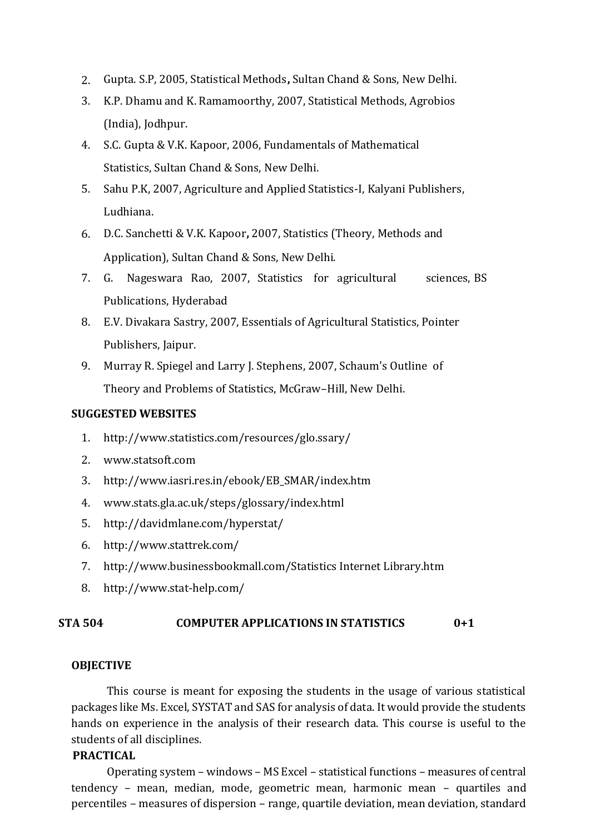- 2. Gupta. S.P, 2005, Statistical Methods**,** Sultan Chand & Sons, New Delhi.
- 3. K.P. Dhamu and K. Ramamoorthy, 2007, Statistical Methods, Agrobios (India), Jodhpur.
- 4. S.C. Gupta & V.K. Kapoor, 2006, Fundamentals of Mathematical Statistics, Sultan Chand & Sons, New Delhi.
- 5. Sahu P.K, 2007, Agriculture and Applied Statistics-I, Kalyani Publishers, Ludhiana.
- 6. D.C. Sanchetti & V.K. Kapoor**,** 2007, Statistics (Theory, Methods and Application), Sultan Chand & Sons, New Delhi.
- 7. G. Nageswara Rao, 2007, Statistics for agricultural sciences, BS Publications, Hyderabad
- 8. E.V. Divakara Sastry, 2007, Essentials of Agricultural Statistics, Pointer Publishers, Jaipur.
- 9. Murray R. Spiegel and Larry J. Stephens, 2007, Schaum's Outline of Theory and Problems of Statistics, McGraw–Hill, New Delhi.

## **SUGGESTED WEBSITES**

- 1. [http://www.statistics.com/resources/glo.ssary/](http://www.statistics.com/resources/glossary/)
- 2. [www.statsoft.com](http://www.statsoft.com/)
- 3. [http://www.iasri.res.in/ebook/EB\\_SMAR/index.htm](http://www.iasri.res.in/ebook/EB_SMAR/index.htm)
- 4. [www.stats.gla.ac.uk/steps/glossary/index.html](http://www.stats.gla.ac.uk/steps/glossary/index.html)
- 5. <http://davidmlane.com/hyperstat/>
- 6. <http://www.stattrek.com/>
- 7. [http://www.businessbookmall.com/Statistics Internet Library.htm](http://www.businessbookmall.com/Statistics%20Internet%20Library.htm)
- 8. <http://www.stat-help.com/>

### **STA 504 COMPUTER APPLICATIONS IN STATISTICS 0+1**

#### **OBJECTIVE**

This course is meant for exposing the students in the usage of various statistical packages like Ms. Excel, SYSTAT and SAS for analysis of data. It would provide the students hands on experience in the analysis of their research data. This course is useful to the students of all disciplines.

## **PRACTICAL**

Operating system – windows – MS Excel – statistical functions – measures of central tendency – mean, median, mode, geometric mean, harmonic mean – quartiles and percentiles – measures of dispersion – range, quartile deviation, mean deviation, standard